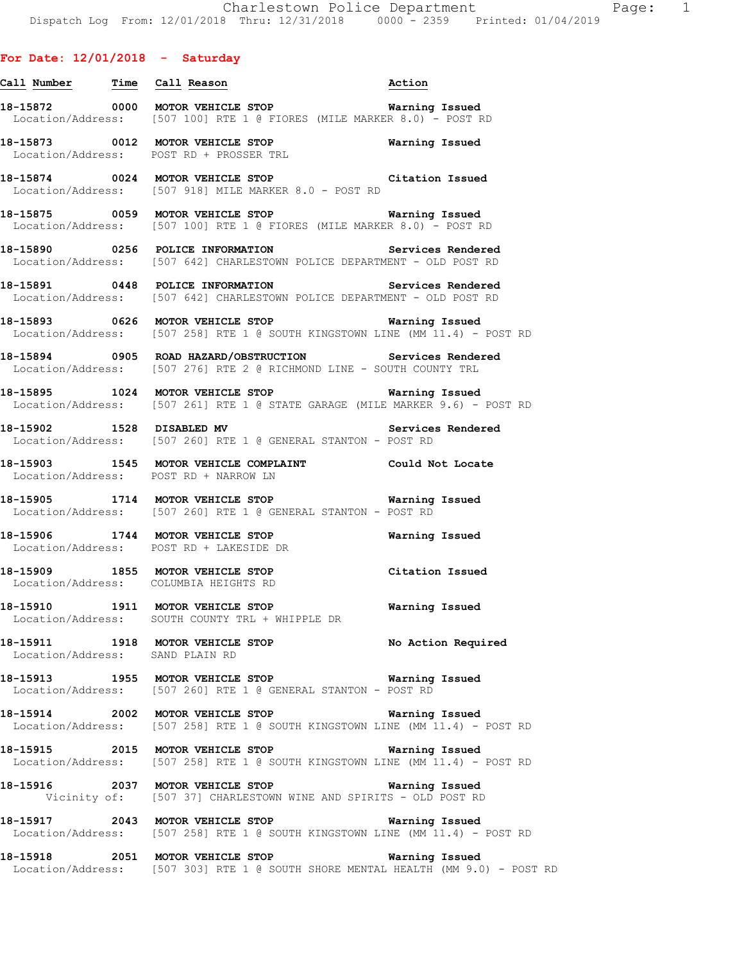# **For Date: 12/01/2018 - Saturday**

**Call Number Time Call Reason Action 18-15872 0000 MOTOR VEHICLE STOP Warning Issued**  Location/Address: [507 100] RTE 1 @ FIORES (MILE MARKER 8.0) - POST RD **18-15873 0012 MOTOR VEHICLE STOP Warning Issued**  Location/Address: POST RD + PROSSER TRL **18-15874 0024 MOTOR VEHICLE STOP Citation Issued**  Location/Address: [507 918] MILE MARKER 8.0 - POST RD **18-15875 0059 MOTOR VEHICLE STOP Warning Issued**  Location/Address: [507 100] RTE 1 @ FIORES (MILE MARKER 8.0) - POST RD **18-15890 0256 POLICE INFORMATION Services Rendered**  Location/Address: [507 642] CHARLESTOWN POLICE DEPARTMENT - OLD POST RD **18-15891 0448 POLICE INFORMATION Services Rendered**  Location/Address: [507 642] CHARLESTOWN POLICE DEPARTMENT - OLD POST RD

**18-15893 0626 MOTOR VEHICLE STOP Warning Issued**  Location/Address: [507 258] RTE 1 @ SOUTH KINGSTOWN LINE (MM 11.4) - POST RD

**18-15894 0905 ROAD HAZARD/OBSTRUCTION Services Rendered**  Location/Address: [507 276] RTE 2 @ RICHMOND LINE - SOUTH COUNTY TRL

**18-15895 1024 MOTOR VEHICLE STOP Warning Issued**  Location/Address: [507 261] RTE 1 @ STATE GARAGE (MILE MARKER 9.6) - POST RD

**18-15902 1528 DISABLED MV Services Rendered**  Location/Address: [507 260] RTE 1 @ GENERAL STANTON - POST RD

**18-15903 1545 MOTOR VEHICLE COMPLAINT Could Not Locate**  Location/Address: POST RD + NARROW LN

**18-15905 1714 MOTOR VEHICLE STOP Warning Issued**  Location/Address: [507 260] RTE 1 @ GENERAL STANTON - POST RD

**18-15906 1744 MOTOR VEHICLE STOP Warning Issued**  Location/Address: POST RD + LAKESIDE DR

**18-15909 1855 MOTOR VEHICLE STOP Citation Issued**  Location/Address: COLUMBIA HEIGHTS RD

**18-15910 1911 MOTOR VEHICLE STOP Warning Issued**  Location/Address: SOUTH COUNTY TRL + WHIPPLE DR

**18-15911 1918 MOTOR VEHICLE STOP No Action Required**  Location/Address: SAND PLAIN RD

**18-15913 1955 MOTOR VEHICLE STOP Warning Issued**  Location/Address: [507 260] RTE 1 @ GENERAL STANTON - POST RD

**18-15914 2002 MOTOR VEHICLE STOP Warning Issued**  Location/Address: [507 258] RTE 1 @ SOUTH KINGSTOWN LINE (MM 11.4) - POST RD

**18-15915 2015 MOTOR VEHICLE STOP Warning Issued**  Location/Address: [507 258] RTE 1 @ SOUTH KINGSTOWN LINE (MM 11.4) - POST RD

**18-15916 2037 MOTOR VEHICLE STOP Warning Issued**  Vicinity of: [507 37] CHARLESTOWN WINE AND SPIRITS - OLD POST RD

**18-15917 2043 MOTOR VEHICLE STOP Warning Issued**  Location/Address: [507 258] RTE 1 @ SOUTH KINGSTOWN LINE (MM 11.4) - POST RD

**18-15918 2051 MOTOR VEHICLE STOP Warning Issued**  Location/Address: [507 303] RTE 1 @ SOUTH SHORE MENTAL HEALTH (MM 9.0) - POST RD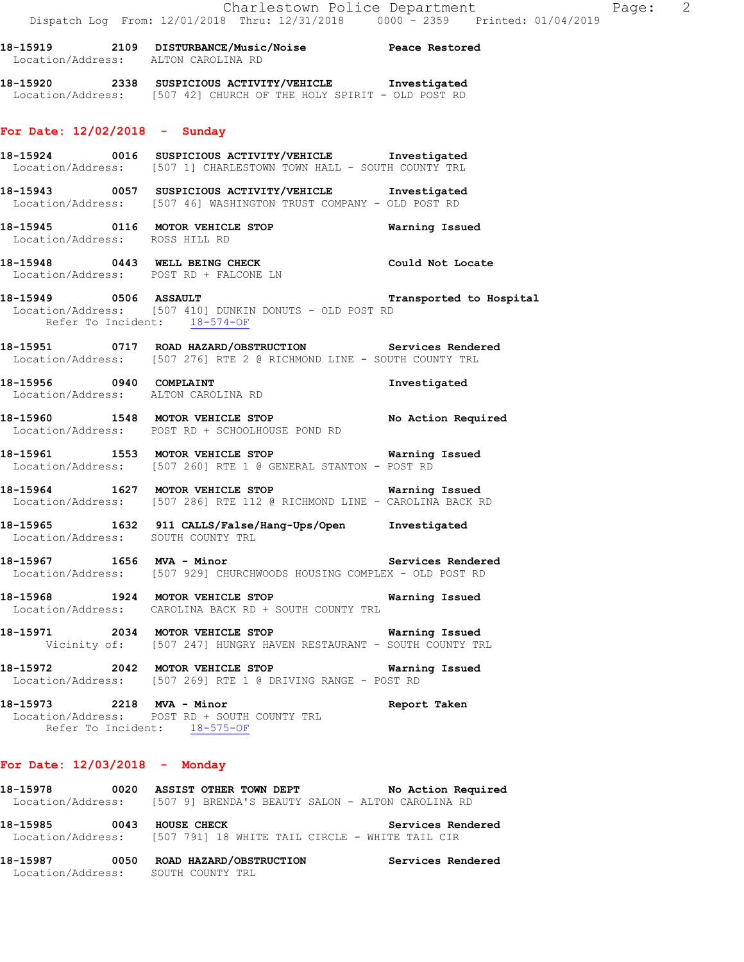| 18–15919          | 2109 | <b>DISTURBANCE/Music/Noise</b> | Peace Restored |
|-------------------|------|--------------------------------|----------------|
| Location/Address: |      | ALTON CAROLINA RD              |                |
|                   |      |                                |                |

**18-15920 2338 SUSPICIOUS ACTIVITY/VEHICLE Investigated**  Location/Address: [507 42] CHURCH OF THE HOLY SPIRIT - OLD POST RD

# **For Date: 12/02/2018 - Sunday**

**18-15924 0016 SUSPICIOUS ACTIVITY/VEHICLE Investigated**  Location/Address: [507 1] CHARLESTOWN TOWN HALL - SOUTH COUNTY TRL

- **18-15943 0057 SUSPICIOUS ACTIVITY/VEHICLE Investigated**  Location/Address: [507 46] WASHINGTON TRUST COMPANY - OLD POST RD
- **18-15945 0116 MOTOR VEHICLE STOP Warning Issued**  Location/Address: ROSS HILL RD
- **18-15948 0443 WELL BEING CHECK Could Not Locate**  Location/Address: POST RD + FALCONE LN
- **18-15949 0506 ASSAULT Transported to Hospital**  Location/Address: [507 410] DUNKIN DONUTS - OLD POST RD Refer To Incident: 18-574-OF
- **18-15951 0717 ROAD HAZARD/OBSTRUCTION Services Rendered**  Location/Address: [507 276] RTE 2 @ RICHMOND LINE - SOUTH COUNTY TRL
- **18-15956 0940 COMPLAINT Investigated**  Location/Address: ALTON CAROLINA RD
- **18-15960 1548 MOTOR VEHICLE STOP No Action Required**  Location/Address: POST RD + SCHOOLHOUSE POND RD
- **18-15961 1553 MOTOR VEHICLE STOP Warning Issued**  Location/Address: [507 260] RTE 1 @ GENERAL STANTON - POST RD
- **18-15964 1627 MOTOR VEHICLE STOP Warning Issued**  Location/Address: [507 286] RTE 112 @ RICHMOND LINE - CAROLINA BACK RD
- **18-15965 1632 911 CALLS/False/Hang-Ups/Open Investigated**  Location/Address: SOUTH COUNTY TRL
- **18-15967 1656 MVA Minor Services Rendered**  Location/Address: [507 929] CHURCHWOODS HOUSING COMPLEX - OLD POST RD
- **18-15968 1924 MOTOR VEHICLE STOP Warning Issued**  Location/Address: CAROLINA BACK RD + SOUTH COUNTY TRL
- **18-15971 2034 MOTOR VEHICLE STOP Warning Issued**  Vicinity of: [507 247] HUNGRY HAVEN RESTAURANT - SOUTH COUNTY TRL
- **18-15972 2042 MOTOR VEHICLE STOP Warning Issued**  Location/Address: [507 269] RTE 1 @ DRIVING RANGE - POST RD
- **18-15973 2218 MVA Minor Report Taken**  Location/Address: POST RD + SOUTH COUNTY TRL Refer To Incident: 18-575-OF

### **For Date: 12/03/2018 - Monday**

| 18-15978 |      | 0020 ASSIST OTHER TOWN DEPT<br>No Action Required<br>Location/Address: [507 9] BRENDA'S BEAUTY SALON - ALTON CAROLINA RD |  |
|----------|------|--------------------------------------------------------------------------------------------------------------------------|--|
| 18–15985 | 0043 | Services Rendered<br>HOUSE CHECK<br>Location/Address: [507 791] 18 WHITE TAIL CIRCLE - WHITE TAIL CIR                    |  |

**18-15987 0050 ROAD HAZARD/OBSTRUCTION Services Rendered**  Location/Address: SOUTH COUNTY TRL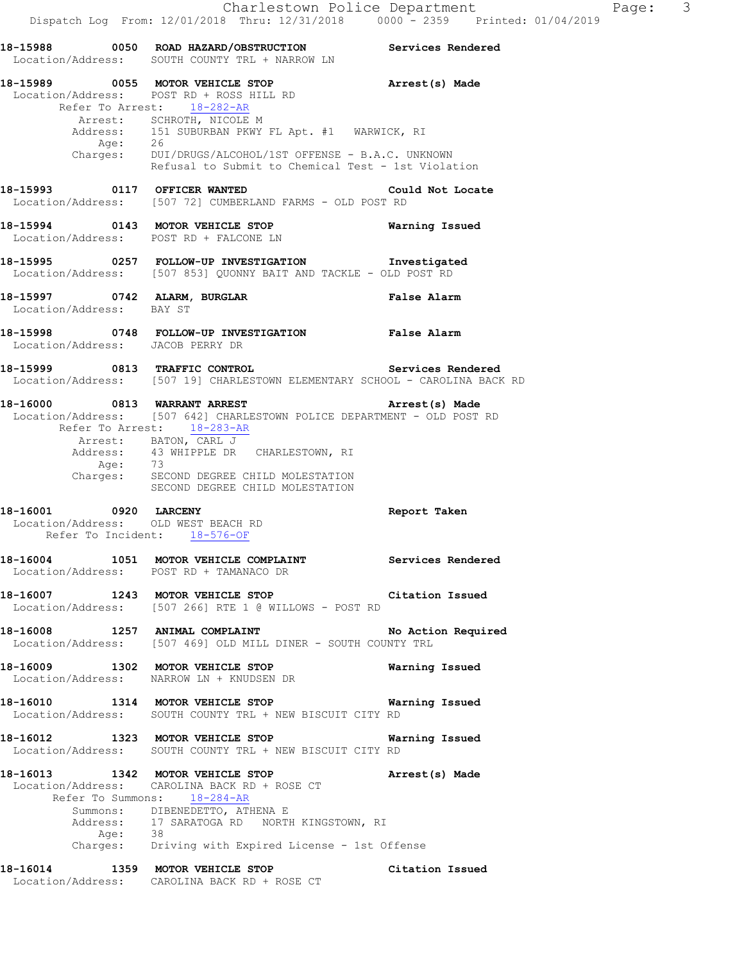**18-15988 0050 ROAD HAZARD/OBSTRUCTION Services Rendered**  Location/Address: SOUTH COUNTY TRL + NARROW LN **18-15989 0055 MOTOR VEHICLE STOP Arrest(s) Made**  Location/Address: POST RD + ROSS HILL RD Refer To Arrest: 18-282-AR Arrest: SCHROTH, NICOLE M Address: 151 SUBURBAN PKWY FL Apt. #1 WARWICK, RI Age: 26 Charges: DUI/DRUGS/ALCOHOL/1ST OFFENSE - B.A.C. UNKNOWN Refusal to Submit to Chemical Test - 1st Violation **18-15993 0117 OFFICER WANTED Could Not Locate**  Location/Address: [507 72] CUMBERLAND FARMS - OLD POST RD **18-15994 0143 MOTOR VEHICLE STOP Warning Issued**  Location/Address: POST RD + FALCONE LN **18-15995 0257 FOLLOW-UP INVESTIGATION Investigated**  Location/Address: [507 853] QUONNY BAIT AND TACKLE - OLD POST RD **18-15997 0742 ALARM, BURGLAR False Alarm**  Location/Address: BAY ST **18-15998 0748 FOLLOW-UP INVESTIGATION False Alarm**  Location/Address: JACOB PERRY DR **18-15999 0813 TRAFFIC CONTROL Services Rendered**  Location/Address: [507 19] CHARLESTOWN ELEMENTARY SCHOOL - CAROLINA BACK RD **18-16000 0813 WARRANT ARREST Arrest(s) Made**  Location/Address: [507 642] CHARLESTOWN POLICE DEPARTMENT - OLD POST RD Refer To Arrest: 18-283-AR Arrest: BATON, CARL J<br>Address: 43 WHIPPLE DR 43 WHIPPLE DR CHARLESTOWN, RI<br>73 Age: Charges: SECOND DEGREE CHILD MOLESTATION SECOND DEGREE CHILD MOLESTATION **18-16001 0920 LARCENY Report Taken**  Location/Address: OLD WEST BEACH RD Refer To Incident: 18-576-OF **18-16004 1051 MOTOR VEHICLE COMPLAINT Services Rendered**  Location/Address: POST RD + TAMANACO DR **18-16007 1243 MOTOR VEHICLE STOP Citation Issued**  Location/Address: [507 266] RTE 1 @ WILLOWS - POST RD **18-16008 1257 ANIMAL COMPLAINT No Action Required**  Location/Address: [507 469] OLD MILL DINER - SOUTH COUNTY TRL **18-16009 1302 MOTOR VEHICLE STOP Warning Issued**  Location/Address: NARROW LN + KNUDSEN DR **18-16010 1314 MOTOR VEHICLE STOP Warning Issued**  Location/Address: SOUTH COUNTY TRL + NEW BISCUIT CITY RD **18-16012 1323 MOTOR VEHICLE STOP Warning Issued**  Location/Address: SOUTH COUNTY TRL + NEW BISCUIT CITY RD **18-16013 1342 MOTOR VEHICLE STOP Arrest(s) Made**  Location/Address: CAROLINA BACK RD + ROSE CT Refer To Summons: 18-284-AR Summons: DIBENEDETTO, ATHENA E Address: 17 SARATOGA RD NORTH KINGSTOWN, RI<br>Age: 38 Age: Charges: Driving with Expired License - 1st Offense **18-16014 1359 MOTOR VEHICLE STOP Citation Issued**  Location/Address: CAROLINA BACK RD + ROSE CT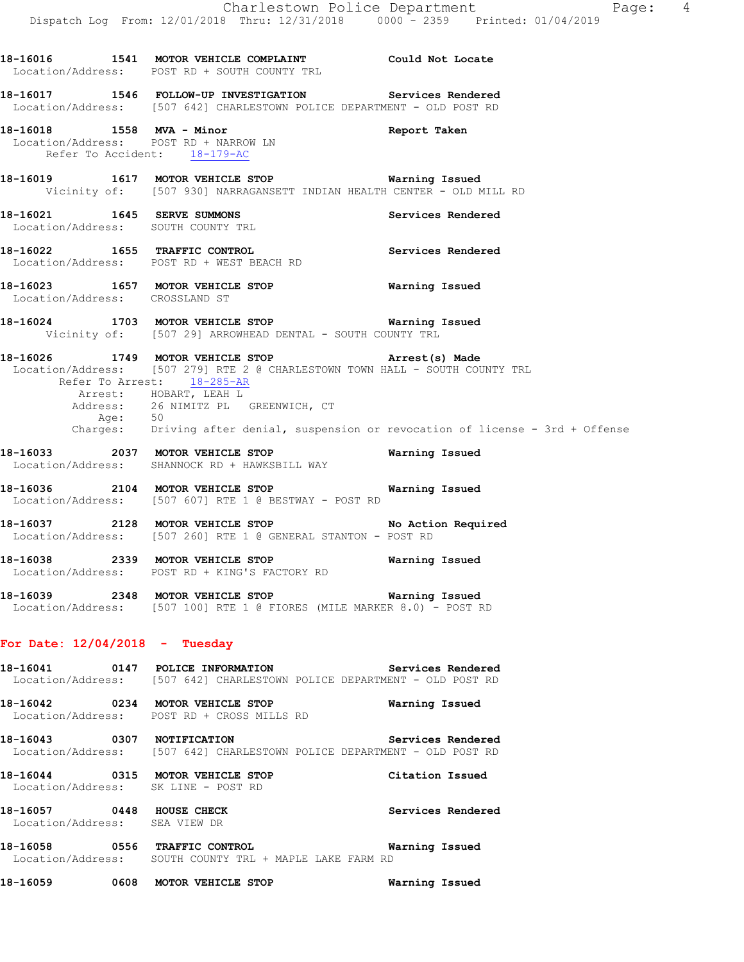**18-16016 1541 MOTOR VEHICLE COMPLAINT Could Not Locate**  Location/Address: POST RD + SOUTH COUNTY TRL **18-16017 1546 FOLLOW-UP INVESTIGATION Services Rendered**  Location/Address: [507 642] CHARLESTOWN POLICE DEPARTMENT - OLD POST RD **18-16018 1558 MVA - Minor Report Taken**  Location/Address: POST RD + NARROW LN Refer To Accident: 18-179-AC **18-16019 1617 MOTOR VEHICLE STOP Warning Issued**  Vicinity of: [507 930] NARRAGANSETT INDIAN HEALTH CENTER - OLD MILL RD **18-16021 1645 SERVE SUMMONS Services Rendered**  Location/Address: SOUTH COUNTY TRL **18-16022 1655 TRAFFIC CONTROL Services Rendered**  Location/Address: POST RD + WEST BEACH RD **18-16023 1657 MOTOR VEHICLE STOP Warning Issued**  Location/Address: CROSSLAND ST **18-16024 1703 MOTOR VEHICLE STOP Warning Issued**  Vicinity of: [507 29] ARROWHEAD DENTAL - SOUTH COUNTY TRL **18-16026 1749 MOTOR VEHICLE STOP Arrest(s) Made**  Location/Address: [507 279] RTE 2 @ CHARLESTOWN TOWN HALL - SOUTH COUNTY TRL Refer To Arrest: 18-285-AR Arrest: HOBART, LEAH L Address: 26 NIMITZ PL GREENWICH, CT Age: 50 Charges: Driving after denial, suspension or revocation of license - 3rd + Offense **18-16033 2037 MOTOR VEHICLE STOP Warning Issued**  Location/Address: SHANNOCK RD + HAWKSBILL WAY **18-16036 2104 MOTOR VEHICLE STOP Warning Issued**  Location/Address: [507 607] RTE 1 @ BESTWAY - POST RD **18-16037 2128 MOTOR VEHICLE STOP No Action Required**  Location/Address: [507 260] RTE 1 @ GENERAL STANTON - POST RD **18-16038 2339 MOTOR VEHICLE STOP Warning Issued**  Location/Address: POST RD + KING'S FACTORY RD **18-16039 2348 MOTOR VEHICLE STOP Warning Issued**  Location/Address: [507 100] RTE 1 @ FIORES (MILE MARKER 8.0) - POST RD **For Date: 12/04/2018 - Tuesday 18-16041 0147 POLICE INFORMATION Services Rendered**  Location/Address: [507 642] CHARLESTOWN POLICE DEPARTMENT - OLD POST RD **18-16042 0234 MOTOR VEHICLE STOP Warning Issued**  Location/Address: POST RD + CROSS MILLS RD **18-16043 0307 NOTIFICATION Services Rendered**  Location/Address: [507 642] CHARLESTOWN POLICE DEPARTMENT - OLD POST RD **18-16044 0315 MOTOR VEHICLE STOP Citation Issued**  Location/Address: SK LINE - POST RD **18-16057** 0448 HOUSE CHECK **Services Rendered**  Location/Address: SEA VIEW DR **18-16058 0556 TRAFFIC CONTROL Warning Issued** 

Location/Address: SOUTH COUNTY TRL + MAPLE LAKE FARM RD

**18-16059 0608 MOTOR VEHICLE STOP Warning Issued**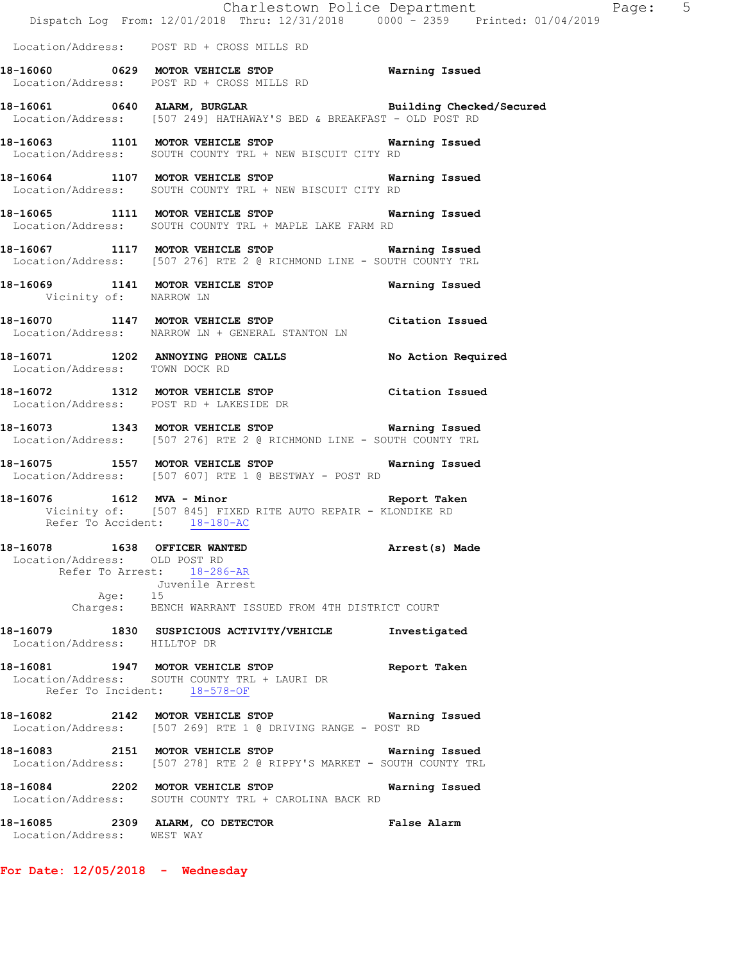|                                |                                                                                                                                                       | Charlestown Police Department The Page: 5<br>Dispatch Log From: 12/01/2018 Thru: 12/31/2018 0000 - 2359 Printed: 01/04/2019 |  |
|--------------------------------|-------------------------------------------------------------------------------------------------------------------------------------------------------|-----------------------------------------------------------------------------------------------------------------------------|--|
|                                | Location/Address: POST RD + CROSS MILLS RD                                                                                                            |                                                                                                                             |  |
|                                | 18-16060 0629 MOTOR VEHICLE STOP Warning Issued<br>Location/Address: POST RD + CROSS MILLS RD                                                         |                                                                                                                             |  |
|                                | 18-16061 0640 ALARM, BURGLAR BURGLAR Building Checked/Secured<br>Location/Address: [507 249] HATHAWAY'S BED & BREAKFAST - OLD POST RD                 |                                                                                                                             |  |
|                                | 18-16063 1101 MOTOR VEHICLE STOP 6 Warning Issued<br>Location/Address: SOUTH COUNTY TRL + NEW BISCUIT CITY RD                                         |                                                                                                                             |  |
|                                | 18-16064 1107 MOTOR VEHICLE STOP <b>WATER WATER</b><br>Location/Address: SOUTH COUNTY TRL + NEW BISCUIT CITY RD                                       |                                                                                                                             |  |
|                                | 18-16065 1111 MOTOR VEHICLE STOP 60 Warning Issued<br>Location/Address: SOUTH COUNTY TRL + MAPLE LAKE FARM RD                                         |                                                                                                                             |  |
|                                | 18-16067 1117 MOTOR VEHICLE STOP Warning Issued<br>Location/Address: [507 276] RTE 2 @ RICHMOND LINE - SOUTH COUNTY TRL                               |                                                                                                                             |  |
| Vicinity of: NARROW LN         | 18-16069 1141 MOTOR VEHICLE STOP Warning Issued                                                                                                       |                                                                                                                             |  |
|                                | 18-16070 1147 MOTOR VEHICLE STOP Citation Issued<br>Location/Address: NARROW LN + GENERAL STANTON LN                                                  |                                                                                                                             |  |
| Location/Address: TOWN DOCK RD | 18-16071 1202 ANNOYING PHONE CALLS No Action Required                                                                                                 |                                                                                                                             |  |
|                                | 18-16072 1312 MOTOR VEHICLE STOP Citation Issued<br>Location/Address: POST RD + LAKESIDE DR                                                           |                                                                                                                             |  |
|                                | 18-16073 1343 MOTOR VEHICLE STOP Warning Issued<br>Location/Address: [507 276] RTE 2 @ RICHMOND LINE - SOUTH COUNTY TRL                               |                                                                                                                             |  |
|                                | 18-16075 1557 MOTOR VEHICLE STOP 6 Warning Issued<br>Location/Address: [507 607] RTE 1 @ BESTWAY - POST RD                                            |                                                                                                                             |  |
|                                | 18-16076 1612 MVA - Minor<br>Vicinity of: [507 845] FIXED RITE AUTO REPAIR - KLONDIKE RD<br>Refer To Accident: 18-180-AC                              | Report Taken                                                                                                                |  |
| Location/Address: OLD POST RD  | 18-16078   1638   OFFICER WANTED<br>Refer To Arrest: 18-286-AR<br>Juvenile Arrest<br>Age: 15<br>Charges: BENCH WARRANT ISSUED FROM 4TH DISTRICT COURT | Arrest(s) Made                                                                                                              |  |
| Location/Address: HILLTOP DR   | 18-16079 1830 SUSPICIOUS ACTIVITY/VEHICLE Investigated                                                                                                |                                                                                                                             |  |
|                                | 18-16081 1947 MOTOR VEHICLE STOP<br>Location/Address: SOUTH COUNTY TRL + LAURI DR<br>Refer To Incident: 18-578-OF                                     | Report Taken                                                                                                                |  |
|                                | 18-16082 2142 MOTOR VEHICLE STOP 6 Warning Issued<br>Location/Address: [507 269] RTE 1 @ DRIVING RANGE - POST RD                                      |                                                                                                                             |  |
|                                | 18-16083 2151 MOTOR VEHICLE STOP 6 Warning Issued<br>Location/Address: [507 278] RTE 2 @ RIPPY'S MARKET - SOUTH COUNTY TRL                            |                                                                                                                             |  |
|                                | 18-16084 2202 MOTOR VEHICLE STOP<br>Location/Address: SOUTH COUNTY TRL + CAROLINA BACK RD                                                             | Warning Issued                                                                                                              |  |
| Location/Address: WEST WAY     | 18-16085 2309 ALARM, CO DETECTOR False Alarm                                                                                                          |                                                                                                                             |  |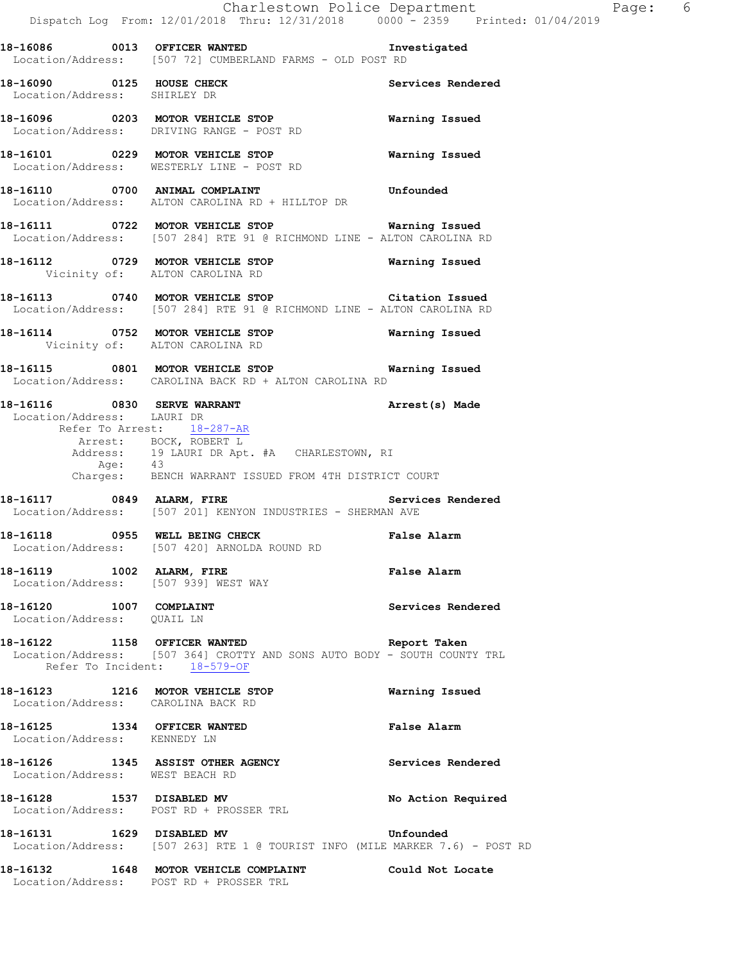**18-16086 0013 OFFICER WANTED Investigated**  Location/Address: [507 72] CUMBERLAND FARMS - OLD POST RD

**18-16090 0125 HOUSE CHECK Services Rendered**  Location/Address: SHIRLEY DR

**18-16096 0203 MOTOR VEHICLE STOP Warning Issued**  Location/Address: DRIVING RANGE - POST RD

**18-16101 0229 MOTOR VEHICLE STOP Warning Issued**  Location/Address: WESTERLY LINE - POST RD

**18-16110 0700 ANIMAL COMPLAINT Unfounded**  Location/Address: ALTON CAROLINA RD + HILLTOP DR

**18-16111 0722 MOTOR VEHICLE STOP Warning Issued**  Location/Address: [507 284] RTE 91 @ RICHMOND LINE - ALTON CAROLINA RD

**18-16112 0729 MOTOR VEHICLE STOP Warning Issued**  Vicinity of: ALTON CAROLINA RD

**18-16113 0740 MOTOR VEHICLE STOP Citation Issued**  Location/Address: [507 284] RTE 91 @ RICHMOND LINE - ALTON CAROLINA RD

**18-16114 0752 MOTOR VEHICLE STOP Warning Issued**  Vicinity of: ALTON CAROLINA RD

**18-16115 0801 MOTOR VEHICLE STOP Warning Issued**  Location/Address: CAROLINA BACK RD + ALTON CAROLINA RD

**18-16116 0830 SERVE WARRANT Arrest(s) Made**  Location/Address: LAURI DR Refer To Arrest: 18-287-AR Arrest: BOCK, ROBERT L Address: 19 LAURI DR Apt. #A CHARLESTOWN, RI Age: 43 Charges: BENCH WARRANT ISSUED FROM 4TH DISTRICT COURT

**18-16117 0849 ALARM, FIRE Services Rendered**  Location/Address: [507 201] KENYON INDUSTRIES - SHERMAN AVE

**18-16118 0955 WELL BEING CHECK False Alarm**  Location/Address: [507 420] ARNOLDA ROUND RD

**18-16119 1002 ALARM, FIRE False Alarm**  Location/Address: [507 939] WEST WAY

**18-16120** 1007 COMPLAINT Services Rendered Location/Address: QUAIL LN

**18-16122 1158 OFFICER WANTED Report Taken**  Location/Address: [507 364] CROTTY AND SONS AUTO BODY - SOUTH COUNTY TRL Refer To Incident: 18-579-OF

**18-16123 1216 MOTOR VEHICLE STOP Warning Issued**  Location/Address: CAROLINA BACK RD

**18-16125 1334 OFFICER WANTED False Alarm**  Location/Address: KENNEDY LN

**18-16126 1345 ASSIST OTHER AGENCY Services Rendered**  Location/Address: WEST BEACH RD

18-16128 1537 DISABLED MV **No Action Required** Location/Address: POST RD + PROSSER TRL

**18-16131 1629 DISABLED MV Unfounded**  Location/Address: [507 263] RTE 1 @ TOURIST INFO (MILE MARKER 7.6) - POST RD

**18-16132 1648 MOTOR VEHICLE COMPLAINT Could Not Locate**  Location/Address: POST RD + PROSSER TRL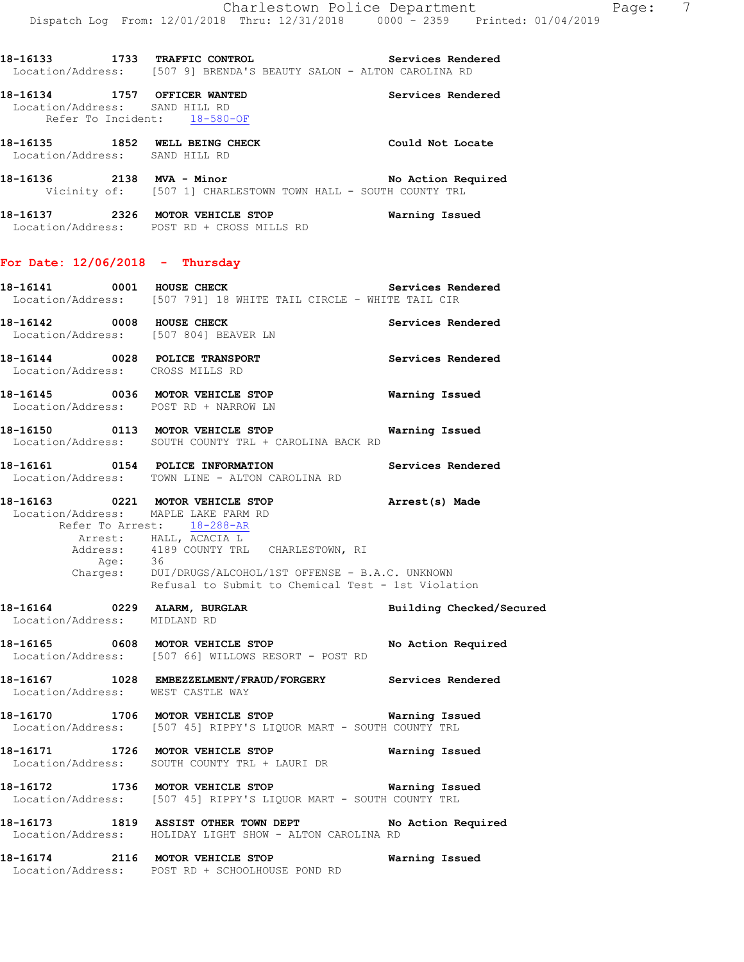**18-16133 1733 TRAFFIC CONTROL Services Rendered**  Location/Address: [507 9] BRENDA'S BEAUTY SALON - ALTON CAROLINA RD **18-16134 1757 OFFICER WANTED Services Rendered**  Location/Address: SAND HILL RD Refer To Incident: 18-580-OF **18-16135 1852 WELL BEING CHECK Could Not Locate**  Location/Address: SAND HILL RD **18-16136 2138 MVA - Minor No Action Required**  Vicinity of: [507 1] CHARLESTOWN TOWN HALL - SOUTH COUNTY TRL **18-16137 2326 MOTOR VEHICLE STOP Warning Issued**  Location/Address: POST RD + CROSS MILLS RD **For Date: 12/06/2018 - Thursday 18-16141 18-16141 18-16141 18-16141 18-16141 18-16141 18-16141 18-16141 18-16141 18-16141 18-16141 18-16141 18-16141 18-16141 18-16141 18-16141 18-16141 18-16141 18-16141 18-16141 1**  Location/Address: [507 791] 18 WHITE TAIL CIRCLE - WHITE TAIL CIR **18-16142 0008 HOUSE CHECK Services Rendered** 

 Location/Address: [507 804] BEAVER LN **18-16144 0028 POLICE TRANSPORT Services Rendered**  Location/Address: CROSS MILLS RD

**18-16145 0036 MOTOR VEHICLE STOP Warning Issued**  Location/Address: POST RD + NARROW LN

**18-16150 0113 MOTOR VEHICLE STOP Warning Issued**  Location/Address: SOUTH COUNTY TRL + CAROLINA BACK RD

**18-16161 0154 POLICE INFORMATION Services Rendered**  Location/Address: TOWN LINE - ALTON CAROLINA RD

**18-16163 0221 MOTOR VEHICLE STOP Arrest(s) Made**  Location/Address: MAPLE LAKE FARM RD Refer To Arrest: 18-288-AR Arrest: HALL, ACACIA L Address: 4189 COUNTY TRL CHARLESTOWN, RI Age: 36

 Charges: DUI/DRUGS/ALCOHOL/1ST OFFENSE - B.A.C. UNKNOWN Refusal to Submit to Chemical Test - 1st Violation

**18-16164 0229 ALARM, BURGLAR Building Checked/Secured**  Location/Address: MIDLAND RD **18-16165 0608 MOTOR VEHICLE STOP No Action Required**  Location/Address: [507 66] WILLOWS RESORT - POST RD

**18-16167 1028 EMBEZZELMENT/FRAUD/FORGERY Services Rendered**  Location/Address: WEST CASTLE WAY

**18-16170 1706 MOTOR VEHICLE STOP Warning Issued**  Location/Address: [507 45] RIPPY'S LIQUOR MART - SOUTH COUNTY TRL

**18-16171 1726 MOTOR VEHICLE STOP Warning Issued**  Location/Address: SOUTH COUNTY TRL + LAURI DR

**18-16172 1736 MOTOR VEHICLE STOP Warning Issued**  Location/Address: [507 45] RIPPY'S LIQUOR MART - SOUTH COUNTY TRL

**18-16173 1819 ASSIST OTHER TOWN DEPT No Action Required**  Location/Address: HOLIDAY LIGHT SHOW - ALTON CAROLINA RD

**18-16174 2116 MOTOR VEHICLE STOP Warning Issued**  Location/Address: POST RD + SCHOOLHOUSE POND RD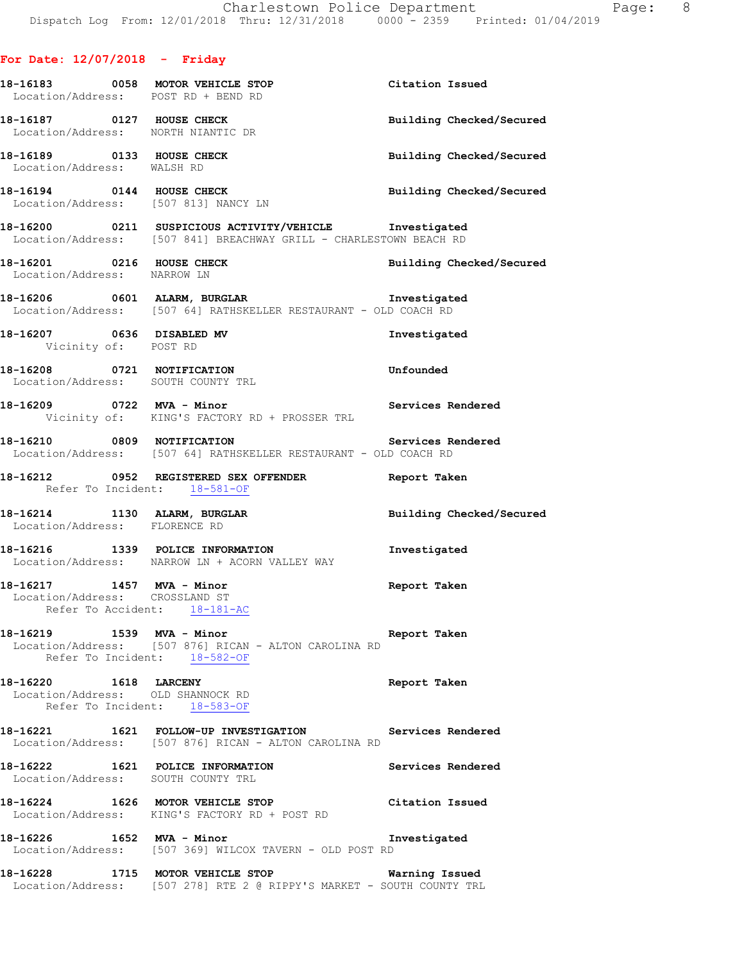|                                                         | 18-16183 0058 MOTOR VEHICLE STOP<br>Location/Address: POST RD + BEND RD                                                      | Citation Issued          |
|---------------------------------------------------------|------------------------------------------------------------------------------------------------------------------------------|--------------------------|
| 18-16187 0127 HOUSE CHECK                               | Location/Address: NORTH NIANTIC DR                                                                                           | Building Checked/Secured |
| 18-16189 0133 HOUSE CHECK<br>Location/Address: WALSH RD |                                                                                                                              | Building Checked/Secured |
|                                                         | 18-16194 0144 HOUSE CHECK<br>Location/Address: [507 813] NANCY LN                                                            | Building Checked/Secured |
|                                                         | 18-16200 0211 SUSPICIOUS ACTIVITY/VEHICLE Investigated<br>Location/Address: [507 841] BREACHWAY GRILL - CHARLESTOWN BEACH RD |                          |
| Location/Address: NARROW LN                             | 18-16201 0216 HOUSE CHECK                                                                                                    | Building Checked/Secured |
|                                                         | 18-16206 0601 ALARM, BURGLAR 1nvestigated<br>Location/Address: [507 64] RATHSKELLER RESTAURANT - OLD COACH RD                |                          |
| 18-16207 0636 DISABLED MV<br>Vicinity of: POST RD       |                                                                                                                              | Investigated             |
|                                                         | 18-16208 0721 NOTIFICATION<br>Location/Address: SOUTH COUNTY TRL                                                             | Unfounded                |
|                                                         | 18-16209 0722 MVA - Minor<br>Vicinity of: KING'S FACTORY RD + PROSSER TRL                                                    | Services Rendered        |
|                                                         | 18-16210 0809 NOTIFICATION 2000 Services Rendered<br>Location/Address: [507 64] RATHSKELLER RESTAURANT - OLD COACH RD        |                          |
|                                                         | 18-16212 0952 REGISTERED SEX OFFENDER Report Taken<br>Refer To Incident: 18-581-OF                                           |                          |
| Location/Address: FLORENCE RD                           | 18-16214 1130 ALARM, BURGLAR                                                                                                 | Building Checked/Secured |
|                                                         | 18-16216 1339 POLICE INFORMATION<br>Location/Address: NARROW LN + ACORN VALLEY WAY                                           | Investigated             |
|                                                         | 18-16217 1457 MVA - Minor<br>Location/Address: CROSSLAND ST<br>Refer To Accident: 18-181-AC                                  | Report Taken             |
| 18-16219 1539 MVA - Minor                               | Location/Address: [507 876] RICAN - ALTON CAROLINA RD<br>Refer To Incident: 18-582-OF                                        | Report Taken             |
| 18-16220    1618 LARCENY                                | Location/Address: OLD SHANNOCK RD<br>Refer To Incident: 18-583-OF                                                            | Report Taken             |
|                                                         | 18-16221 1621 FOLLOW-UP INVESTIGATION Services Rendered<br>Location/Address: [507 876] RICAN - ALTON CAROLINA RD             |                          |
|                                                         | 18-16222 1621 POLICE INFORMATION<br>Location/Address: SOUTH COUNTY TRL                                                       | Services Rendered        |
|                                                         | 18-16224 1626 MOTOR VEHICLE STOP<br>Location/Address: KING'S FACTORY RD + POST RD                                            | Citation Issued          |
| 18-16226 1652 MVA - Minor                               | Location/Address: [507 369] WILCOX TAVERN - OLD POST RD                                                                      | Investigated             |
|                                                         | 18-16228 1715 MOTOR VEHICLE STOP 6 Warning Issued<br>Location/Address: [507 278] RTE 2 @ RIPPY'S MARKET - SOUTH COUNTY TRL   |                          |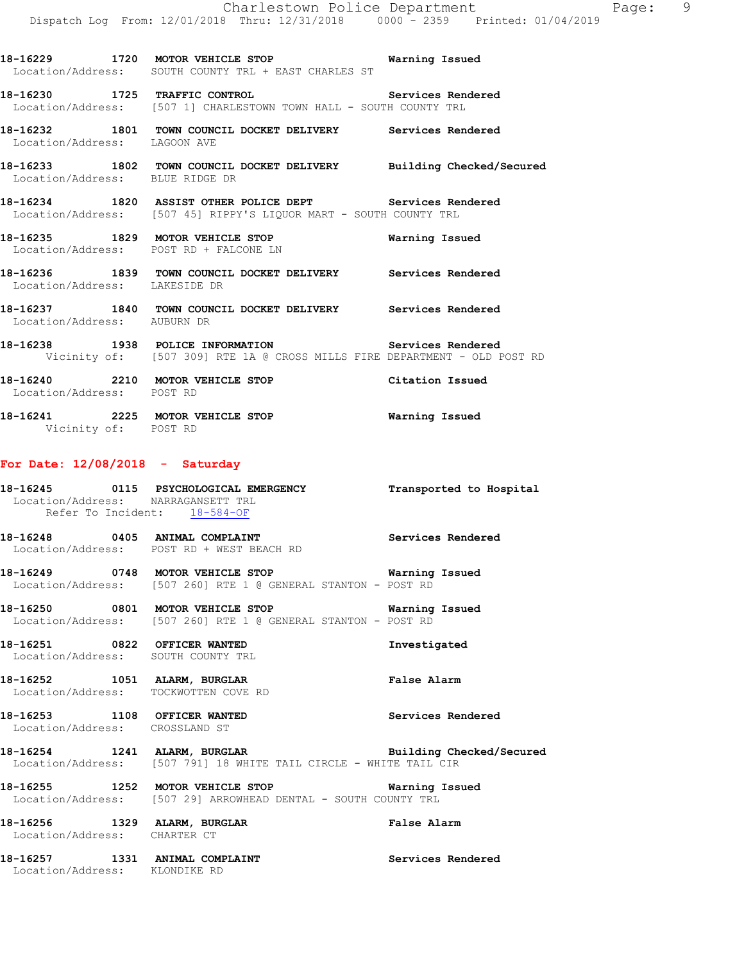**18-16229 1720 MOTOR VEHICLE STOP Warning Issued** 

**18-16230 1725 TRAFFIC CONTROL Services Rendered**  Location/Address: [507 1] CHARLESTOWN TOWN HALL - SOUTH COUNTY TRL

**18-16232 1801 TOWN COUNCIL DOCKET DELIVERY Services Rendered** 

Location/Address: SOUTH COUNTY TRL + EAST CHARLES ST

Location/Address: LAGOON AVE

**18-16233 1802 TOWN COUNCIL DOCKET DELIVERY Building Checked/Secured**  Location/Address: BLUE RIDGE DR **18-16234 1820 ASSIST OTHER POLICE DEPT Services Rendered**  Location/Address: [507 45] RIPPY'S LIQUOR MART - SOUTH COUNTY TRL **18-16235 1829 MOTOR VEHICLE STOP Warning Issued**  Location/Address: POST RD + FALCONE LN **18-16236 1839 TOWN COUNCIL DOCKET DELIVERY Services Rendered**  Location/Address: LAKESIDE DR **18-16237 1840 TOWN COUNCIL DOCKET DELIVERY Services Rendered**  Location/Address: AUBURN DR **18-16238 1938 POLICE INFORMATION Services Rendered**  Vicinity of: [507 309] RTE 1A @ CROSS MILLS FIRE DEPARTMENT - OLD POST RD **18-16240 2210 MOTOR VEHICLE STOP Citation Issued**  Location/Address: POST RD **18-16241 2225 MOTOR VEHICLE STOP Warning Issued**  Vicinity of: POST RD **For Date: 12/08/2018 - Saturday 18-16245 0115 PSYCHOLOGICAL EMERGENCY Transported to Hospital**  Location/Address: NARRAGANSETT TRL Refer To Incident: 18-584-OF **18-16248 0405 ANIMAL COMPLAINT Services Rendered**  Location/Address: POST RD + WEST BEACH RD **18-16249 0748 MOTOR VEHICLE STOP Warning Issued**  Location/Address: [507 260] RTE 1 @ GENERAL STANTON - POST RD **18-16250 0801 MOTOR VEHICLE STOP Warning Issued**  Location/Address: [507 260] RTE 1 @ GENERAL STANTON - POST RD **18-16251 0822 OFFICER WANTED Investigated**  Location/Address: SOUTH COUNTY TRL 18-16252 1051 ALARM, BURGLAR **False Alarm** Location/Address: TOCKWOTTEN COVE RD

**18-16253 1108 OFFICER WANTED Services Rendered**  Location/Address: CROSSLAND ST

**18-16254 1241 ALARM, BURGLAR Building Checked/Secured**  Location/Address: [507 791] 18 WHITE TAIL CIRCLE - WHITE TAIL CIR

**18-16255 1252 MOTOR VEHICLE STOP Warning Issued**  Location/Address: [507 29] ARROWHEAD DENTAL - SOUTH COUNTY TRL

**18-16256 1329 ALARM, BURGLAR False Alarm**  Location/Address: CHARTER CT

18-16257 1331 ANIMAL COMPLAINT **18-16257** Services Rendered Location/Address: KLONDIKE RD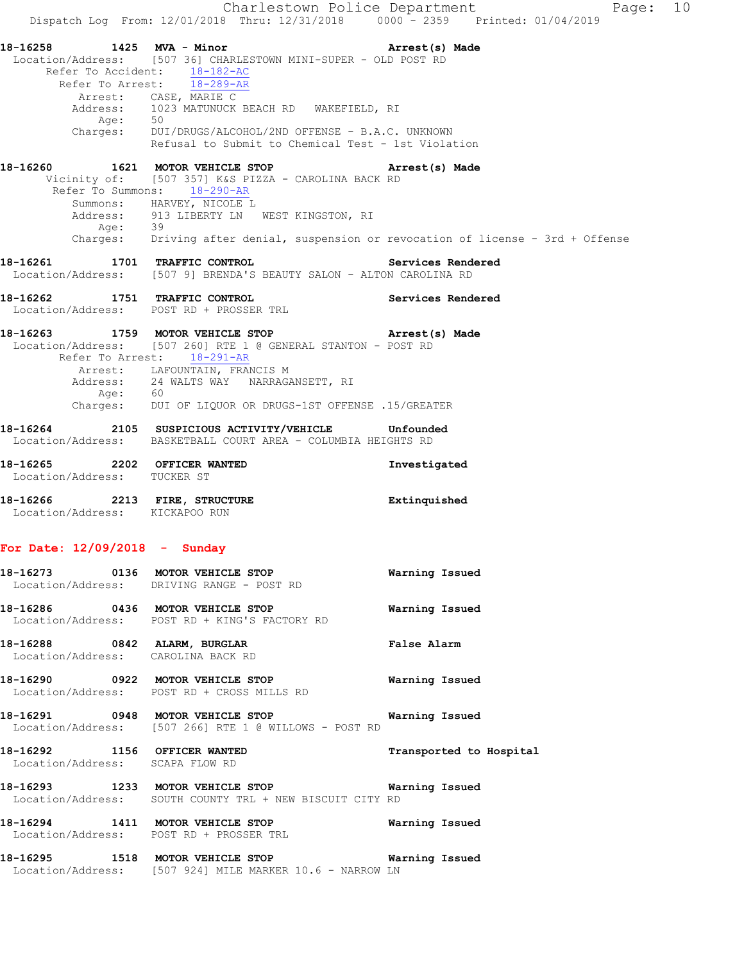Charlestown Police Department Fage: 10 Dispatch Log From: 12/01/2018 Thru: 12/31/2018 0000 - 2359 Printed: 01/04/2019 **18-16258 1425 MVA - Minor Arrest(s) Made**  Location/Address: [507 36] CHARLESTOWN MINI-SUPER - OLD POST RD Refer To Accident: 18-182-AC Refer To Arrest: 18-289-AR Arrest: CASE, MARIE C Address: 1023 MATUNUCK BEACH RD WAKEFIELD, RI Age: 50 Charges: DUI/DRUGS/ALCOHOL/2ND OFFENSE - B.A.C. UNKNOWN Refusal to Submit to Chemical Test - 1st Violation **18-16260 1621 MOTOR VEHICLE STOP Arrest(s) Made**  Vicinity of: [507 357] K&S PIZZA - CAROLINA BACK RD Refer To Summons: 18-290-AR Summons: HARVEY, NICOLE L Address: 913 LIBERTY LN WEST KINGSTON, RI Age: 39 Charges: Driving after denial, suspension or revocation of license - 3rd + Offense **18-16261 1701 TRAFFIC CONTROL Services Rendered**  Location/Address: [507 9] BRENDA'S BEAUTY SALON - ALTON CAROLINA RD **18-16262 1751 TRAFFIC CONTROL Services Rendered**  Location/Address: POST RD + PROSSER TRL **18-16263 1759 MOTOR VEHICLE STOP Arrest(s) Made**  Location/Address: [507 260] RTE 1 @ GENERAL STANTON - POST RD Refer To Arrest: 18-291-AR Arrest: LAFOUNTAIN, FRANCIS M Address: 24 WALTS WAY NARRAGANSETT, RI Age: 60 Charges: DUI OF LIQUOR OR DRUGS-1ST OFFENSE .15/GREATER **18-16264 2105 SUSPICIOUS ACTIVITY/VEHICLE Unfounded**  Location/Address: BASKETBALL COURT AREA - COLUMBIA HEIGHTS RD **18-16265 2202 OFFICER WANTED Investigated**  Location/Address: TUCKER ST **18-16266 2213 FIRE, STRUCTURE Extinquished**  Location/Address: KICKAPOO RUN **For Date: 12/09/2018 - Sunday 18-16273 0136 MOTOR VEHICLE STOP Warning Issued**  Location/Address: DRIVING RANGE - POST RD **18-16286 0436 MOTOR VEHICLE STOP Warning Issued**  Location/Address: POST RD + KING'S FACTORY RD **18-16288 0842 ALARM, BURGLAR False Alarm**  Location/Address: CAROLINA BACK RD **18-16290 0922 MOTOR VEHICLE STOP Warning Issued**  Location/Address: POST RD + CROSS MILLS RD **18-16291 0948 MOTOR VEHICLE STOP Warning Issued**  Location/Address: [507 266] RTE 1 @ WILLOWS - POST RD **18-16292 1156 OFFICER WANTED Transported to Hospital**  Location/Address: SCAPA FLOW RD **18-16293 1233 MOTOR VEHICLE STOP Warning Issued**  Location/Address: SOUTH COUNTY TRL + NEW BISCUIT CITY RD **18-16294 1411 MOTOR VEHICLE STOP Warning Issued**  Location/Address: POST RD + PROSSER TRL **18-16295 1518 MOTOR VEHICLE STOP Warning Issued** 

Location/Address: [507 924] MILE MARKER 10.6 - NARROW LN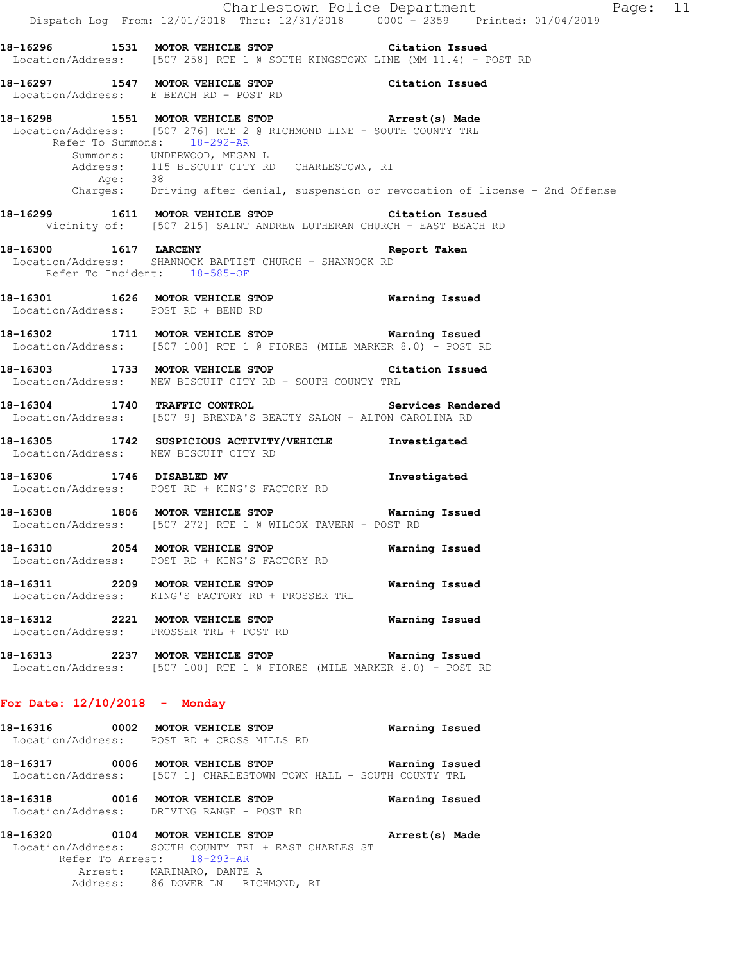|                                       | Dispatch Log From: 12/01/2018 Thru: 12/31/2018 0000 - 2359 Printed: 01/04/2019                                                                                                                                                        | Charlestown Police Department<br>Page: 11                                        |
|---------------------------------------|---------------------------------------------------------------------------------------------------------------------------------------------------------------------------------------------------------------------------------------|----------------------------------------------------------------------------------|
|                                       | 18-16296 1531 MOTOR VEHICLE STOP 6 Citation Issued<br>Location/Address: [507 258] RTE 1 @ SOUTH KINGSTOWN LINE (MM 11.4) - POST RD                                                                                                    |                                                                                  |
|                                       | 18-16297 1547 MOTOR VEHICLE STOP Citation Issued<br>Location/Address: E BEACH RD + POST RD                                                                                                                                            |                                                                                  |
| Age: 38                               | 18-16298 1551 MOTOR VEHICLE STOP Arrest(s) Made<br>Location/Address: [507 276] RTE 2 @ RICHMOND LINE - SOUTH COUNTY TRL<br>Refer To Summons: 18-292-AR<br>Summons: UNDERWOOD, MEGAN L<br>Address: 115 BISCUIT CITY RD CHARLESTOWN, RI | Charges: Driving after denial, suspension or revocation of license - 2nd Offense |
|                                       | 18-16299 1611 MOTOR VEHICLE STOP Citation Issued<br>Vicinity of: [507 215] SAINT ANDREW LUTHERAN CHURCH - EAST BEACH RD                                                                                                               |                                                                                  |
| Refer To Incident: 18-585-OF          | 18-16300 1617 LARCENY Report Taken<br>Location/Address: SHANNOCK BAPTIST CHURCH - SHANNOCK RD                                                                                                                                         |                                                                                  |
| Location/Address: POST RD + BEND RD   | 18-16301 1626 MOTOR VEHICLE STOP 5 Warning Issued                                                                                                                                                                                     |                                                                                  |
|                                       | 18-16302 1711 MOTOR VEHICLE STOP <b>Warning Issued</b><br>Location/Address: [507 100] RTE 1 @ FIORES (MILE MARKER 8.0) - POST RD                                                                                                      |                                                                                  |
|                                       | 18-16303 1733 MOTOR VEHICLE STOP Citation Issued<br>Location/Address: NEW BISCUIT CITY RD + SOUTH COUNTY TRL                                                                                                                          |                                                                                  |
|                                       | 18-16304 1740 TRAFFIC CONTROL 18-16304 Services Rendered<br>Location/Address: [507 9] BRENDA'S BEAUTY SALON - ALTON CAROLINA RD                                                                                                       |                                                                                  |
| Location/Address: NEW BISCUIT CITY RD | 18-16305 1742 SUSPICIOUS ACTIVITY/VEHICLE Investigated                                                                                                                                                                                |                                                                                  |
| 18-16306 1746 DISABLED MV             | Location/Address: POST RD + KING'S FACTORY RD                                                                                                                                                                                         | Investigated                                                                     |
|                                       | 18-16308 1806 MOTOR VEHICLE STOP 6 Warning Issued<br>Location/Address: [507 272] RTE 1 @ WILCOX TAVERN - POST RD                                                                                                                      |                                                                                  |
|                                       | 18-16310 2054 MOTOR VEHICLE STOP<br>Location/Address: POST RD + KING'S FACTORY RD                                                                                                                                                     | Warning Issued                                                                   |
|                                       | 18-16311 2209 MOTOR VEHICLE STOP 6 Warning Issued<br>Location/Address: KING'S FACTORY RD + PROSSER TRL                                                                                                                                |                                                                                  |
|                                       | 18-16312 2221 MOTOR VEHICLE STOP<br>Location/Address: PROSSER TRL + POST RD                                                                                                                                                           | Warning Issued                                                                   |
|                                       | 18-16313 2237 MOTOR VEHICLE STOP 5 20 Warning Issued<br>Location/Address: [507 100] RTE 1 @ FIORES (MILE MARKER 8.0) - POST RD                                                                                                        |                                                                                  |
| For Date: $12/10/2018$ - Monday       |                                                                                                                                                                                                                                       |                                                                                  |
|                                       | 18-16316 0002 MOTOR VEHICLE STOP<br>Location/Address: POST RD + CROSS MILLS RD                                                                                                                                                        | Warning Issued                                                                   |
|                                       | 18-16317 6006 MOTOR VEHICLE STOP 6 Warning Issued<br>Location/Address: [507 1] CHARLESTOWN TOWN HALL - SOUTH COUNTY TRL                                                                                                               |                                                                                  |
|                                       | 18-16318 0016 MOTOR VEHICLE STOP<br>Location/Address: DRIVING RANGE - POST RD                                                                                                                                                         | Warning Issued                                                                   |

**18-16320 0104 MOTOR VEHICLE STOP Arrest(s) Made**  Location/Address: SOUTH COUNTY TRL + EAST CHARLES ST Refer To Arrest: 18-293-AR Arrest: MARINARO, DANTE A Address: 86 DOVER LN RICHMOND, RI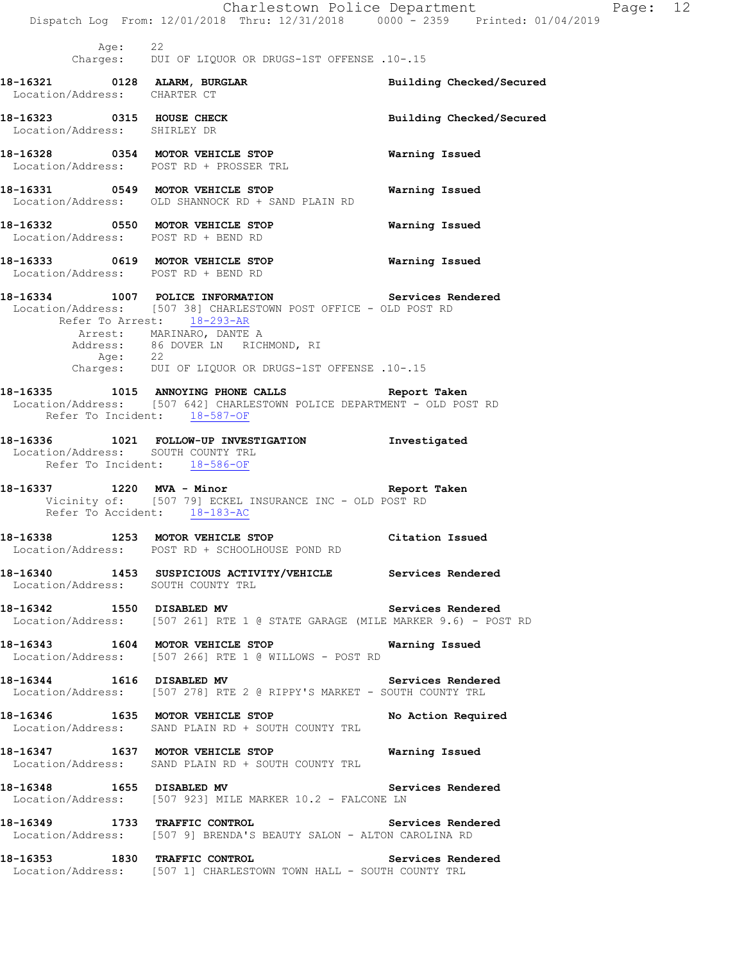|                                                           |         | Dispatch Log From: 12/01/2018 Thru: 12/31/2018 0000 <sup>-</sup> 2359 Printed: 01/04/2019                                                                                                                                                                                                | Charlestown Police Department<br>Page: 12 |  |
|-----------------------------------------------------------|---------|------------------------------------------------------------------------------------------------------------------------------------------------------------------------------------------------------------------------------------------------------------------------------------------|-------------------------------------------|--|
|                                                           | Age: 22 | Charges: DUI OF LIQUOR OR DRUGS-1ST OFFENSE .10-.15                                                                                                                                                                                                                                      |                                           |  |
| Location/Address: CHARTER CT                              |         | 18-16321 0128 ALARM, BURGLAR                                                                                                                                                                                                                                                             | Building Checked/Secured                  |  |
| 18-16323 0315 HOUSE CHECK<br>Location/Address: SHIRLEY DR |         |                                                                                                                                                                                                                                                                                          | Building Checked/Secured                  |  |
|                                                           |         | 18-16328 0354 MOTOR VEHICLE STOP<br>Location/Address: POST RD + PROSSER TRL                                                                                                                                                                                                              | Warning Issued                            |  |
|                                                           |         | 18-16331 0549 MOTOR VEHICLE STOP<br>Location/Address: OLD SHANNOCK RD + SAND PLAIN RD                                                                                                                                                                                                    | Warning Issued                            |  |
|                                                           |         | 18-16332 0550 MOTOR VEHICLE STOP 6 Warning Issued<br>Location/Address: POST RD + BEND RD                                                                                                                                                                                                 |                                           |  |
|                                                           |         | 18-16333 6619 MOTOR VEHICLE STOP 6 Warning Issued<br>Location/Address: POST RD + BEND RD                                                                                                                                                                                                 |                                           |  |
|                                                           |         | 18-16334 1007 POLICE INFORMATION Services Rendered<br>Location/Address: [507 38] CHARLESTOWN POST OFFICE - OLD POST RD<br>Refer To Arrest: 18-293-AR<br>Arrest: MARINARO, DANTE A<br>Address: 86 DOVER LN RICHMOND, RI<br>Age: 22<br>Charges: DUI OF LIQUOR OR DRUGS-1ST OFFENSE .10-.15 |                                           |  |
|                                                           |         | 18-16335 1015 ANNOYING PHONE CALLS Report Taken<br>Location/Address: [507 642] CHARLESTOWN POLICE DEPARTMENT - OLD POST RD<br>Refer To Incident: 18-587-OF                                                                                                                               |                                           |  |
|                                                           |         | 18-16336 1021 FOLLOW-UP INVESTIGATION 1nvestigated<br>Location/Address: SOUTH COUNTY TRL<br>Refer To Incident: 18-586-OF                                                                                                                                                                 |                                           |  |
|                                                           |         | 18-16337 1220 MVA - Minor<br>Vicinity of: [507 79] ECKEL INSURANCE INC - OLD POST RD<br>Refer To Accident: 18-183-AC                                                                                                                                                                     | Report Taken                              |  |
|                                                           |         | 18-16338 1253 MOTOR VEHICLE STOP Citation Issued<br>Location/Address: POST RD + SCHOOLHOUSE POND RD                                                                                                                                                                                      |                                           |  |
|                                                           |         | 18-16340 1453 SUSPICIOUS ACTIVITY/VEHICLE Services Rendered<br>Location/Address: SOUTH COUNTY TRL                                                                                                                                                                                        |                                           |  |
|                                                           |         | 18-16342 1550 DISABLED MV<br>Location/Address: [507 261] RTE 1 @ STATE GARAGE (MILE MARKER 9.6) - POST RD                                                                                                                                                                                | Services Rendered                         |  |
|                                                           |         | 18-16343 1604 MOTOR VEHICLE STOP<br>Location/Address: [507 266] RTE 1 @ WILLOWS - POST RD                                                                                                                                                                                                | Warning Issued                            |  |
|                                                           |         | 18-16344 1616 DISABLED MV Services Rendered<br>Location/Address: [507 278] RTE 2 @ RIPPY'S MARKET - SOUTH COUNTY TRL                                                                                                                                                                     |                                           |  |
|                                                           |         | 18-16346 1635 MOTOR VEHICLE STOP No Action Required<br>Location/Address: SAND PLAIN RD + SOUTH COUNTY TRL                                                                                                                                                                                |                                           |  |
|                                                           |         | 18-16347 1637 MOTOR VEHICLE STOP 18 Warning Issued<br>Location/Address: SAND PLAIN RD + SOUTH COUNTY TRL                                                                                                                                                                                 |                                           |  |
|                                                           |         | 18-16348 1655 DISABLED MV 3ervices Rendered<br>Location/Address: [507 923] MILE MARKER 10.2 - FALCONE LN                                                                                                                                                                                 |                                           |  |
|                                                           |         | 18-16349 1733 TRAFFIC CONTROL 18-16349 Services Rendered<br>Location/Address: [507 9] BRENDA'S BEAUTY SALON - ALTON CAROLINA RD                                                                                                                                                          |                                           |  |
|                                                           |         | 18-16353 1830 TRAFFIC CONTROL<br>Location/Address: [507 1] CHARLESTOWN TOWN HALL - SOUTH COUNTY TRL                                                                                                                                                                                      | Services Rendered                         |  |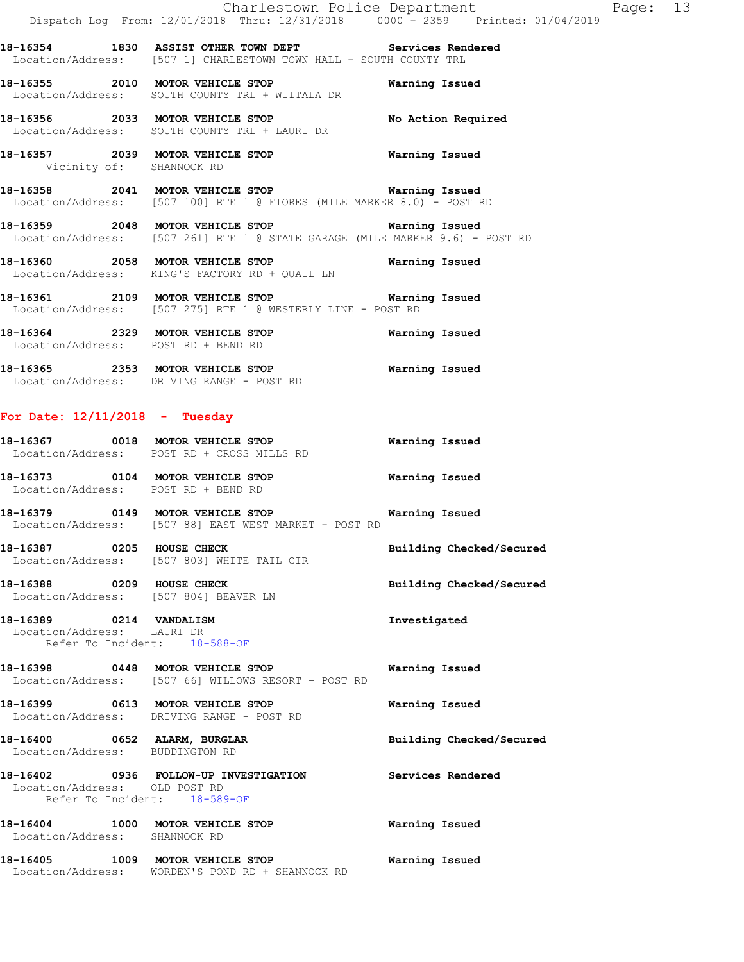**18-16354 1830 ASSIST OTHER TOWN DEPT Services Rendered**  Location/Address: [507 1] CHARLESTOWN TOWN HALL - SOUTH COUNTY TRL

**18-16355 2010 MOTOR VEHICLE STOP Warning Issued**  Location/Address: SOUTH COUNTY TRL + WIITALA DR

**18-16356 2033 MOTOR VEHICLE STOP No Action Required**  Location/Address: SOUTH COUNTY TRL + LAURI DR

**18-16357 2039 MOTOR VEHICLE STOP Warning Issued**  Vicinity of: SHANNOCK RD

**18-16358 2041 MOTOR VEHICLE STOP Warning Issued**  Location/Address: [507 100] RTE 1 @ FIORES (MILE MARKER 8.0) - POST RD

**18-16359 2048 MOTOR VEHICLE STOP Warning Issued**  Location/Address: [507 261] RTE 1 @ STATE GARAGE (MILE MARKER 9.6) - POST RD

**18-16360 2058 MOTOR VEHICLE STOP Warning Issued**  Location/Address: KING'S FACTORY RD + QUAIL LN

**18-16361 2109 MOTOR VEHICLE STOP Warning Issued**  Location/Address: [507 275] RTE 1 @ WESTERLY LINE - POST RD

**18-16364 2329 MOTOR VEHICLE STOP Warning Issued**  Location/Address: POST RD + BEND RD

**18-16365 2353 MOTOR VEHICLE STOP Warning Issued**  Location/Address: DRIVING RANGE - POST RD

#### **For Date: 12/11/2018 - Tuesday**

**18-16367 0018 MOTOR VEHICLE STOP Warning Issued**  Location/Address: POST RD + CROSS MILLS RD **18-16373 0104 MOTOR VEHICLE STOP Warning Issued**  Location/Address: POST RD + BEND RD

**18-16379 0149 MOTOR VEHICLE STOP Warning Issued**  Location/Address: [507 88] EAST WEST MARKET - POST RD

**18-16387 0205 HOUSE CHECK Building Checked/Secured**  Location/Address: [507 803] WHITE TAIL CIR

**18-16388 0209 HOUSE CHECK Building Checked/Secured**  Location/Address: [507 804] BEAVER LN

**18-16389 0214 VANDALISM Investigated**  Location/Address: LAURI DR Refer To Incident: 18-588-OF

**18-16398 0448 MOTOR VEHICLE STOP Warning Issued**  Location/Address: [507 66] WILLOWS RESORT - POST RD

**18-16399 0613 MOTOR VEHICLE STOP Warning Issued**  Location/Address: DRIVING RANGE - POST RD

**18-16400 0652 ALARM, BURGLAR Building Checked/Secured**  Location/Address: BUDDINGTON RD

### **18-16402 0936 FOLLOW-UP INVESTIGATION Services Rendered**  Location/Address: OLD POST RD Refer To Incident: 18-589-OF

**18-16404 1000 MOTOR VEHICLE STOP Warning Issued**  Location/Address: SHANNOCK RD

**18-16405 1009 MOTOR VEHICLE STOP Warning Issued**  Location/Address: WORDEN'S POND RD + SHANNOCK RD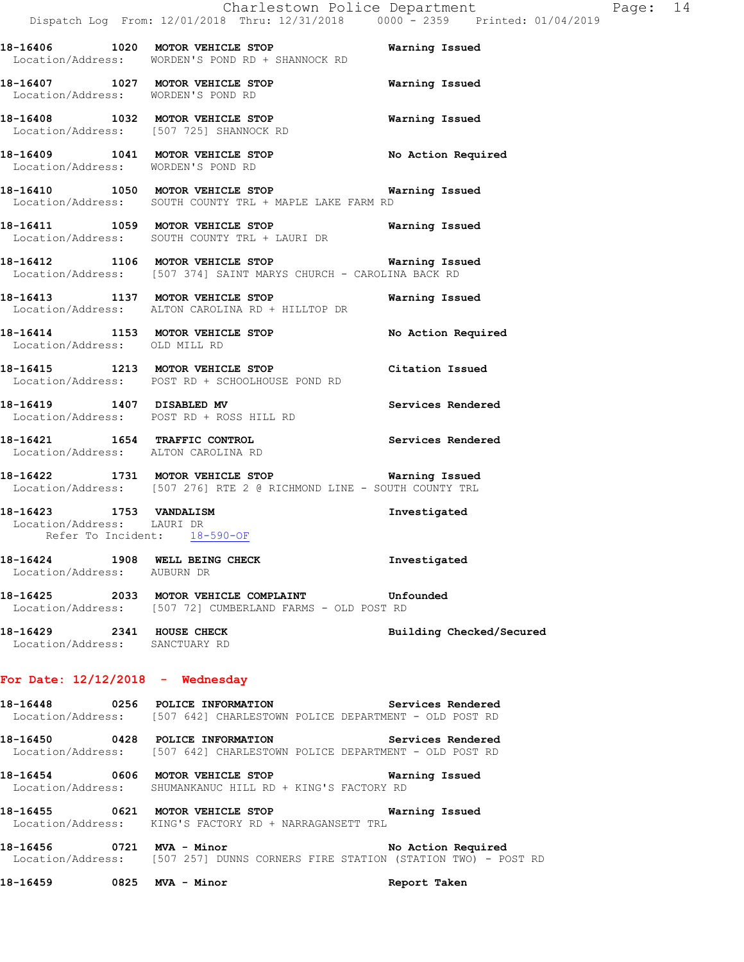**18-16406 1020 MOTOR VEHICLE STOP Warning Issued**  Location/Address: WORDEN'S POND RD + SHANNOCK RD **18-16407 1027 MOTOR VEHICLE STOP Warning Issued** 

 Location/Address: WORDEN'S POND RD **18-16408 1032 MOTOR VEHICLE STOP Warning Issued**  Location/Address: [507 725] SHANNOCK RD

**18-16409 1041 MOTOR VEHICLE STOP No Action Required**  Location/Address: WORDEN'S POND RD

**18-16410 1050 MOTOR VEHICLE STOP Warning Issued**  Location/Address: SOUTH COUNTY TRL + MAPLE LAKE FARM RD

**18-16411 1059 MOTOR VEHICLE STOP Warning Issued**  Location/Address: SOUTH COUNTY TRL + LAURI DR

**18-16412 1106 MOTOR VEHICLE STOP Warning Issued**  Location/Address: [507 374] SAINT MARYS CHURCH - CAROLINA BACK RD

**18-16413 1137 MOTOR VEHICLE STOP Warning Issued**  Location/Address: ALTON CAROLINA RD + HILLTOP DR

18-16414 1153 MOTOR VEHICLE STOP No Action Required Location/Address: OLD MILL RD

**18-16415 1213 MOTOR VEHICLE STOP Citation Issued**  Location/Address: POST RD + SCHOOLHOUSE POND RD

**18-16419 1407 DISABLED MV Services Rendered**  Location/Address: POST RD + ROSS HILL RD

**18-16421 1654 TRAFFIC CONTROL Services Rendered**  Location/Address: ALTON CAROLINA RD

**18-16422 1731 MOTOR VEHICLE STOP Warning Issued**  Location/Address: [507 276] RTE 2 @ RICHMOND LINE - SOUTH COUNTY TRL

**18-16423 1753 VANDALISM Investigated**  Location/Address: LAURI DR Refer To Incident: 18-590-OF

**18-16424 1908 WELL BEING CHECK Investigated**  Location/Address: AUBURN DR

**18-16425 2033 MOTOR VEHICLE COMPLAINT Unfounded**  Location/Address: [507 72] CUMBERLAND FARMS - OLD POST RD

**18-16429 2341 HOUSE CHECK Building Checked/Secured**  Location/Address: SANCTUARY RD

# **For Date: 12/12/2018 - Wednesday**

**18-16448 0256 POLICE INFORMATION Services Rendered**  Location/Address: [507 642] CHARLESTOWN POLICE DEPARTMENT - OLD POST RD

**18-16450 0428 POLICE INFORMATION Services Rendered**  Location/Address: [507 642] CHARLESTOWN POLICE DEPARTMENT - OLD POST RD

**18-16454 0606 MOTOR VEHICLE STOP Warning Issued**  Location/Address: SHUMANKANUC HILL RD + KING'S FACTORY RD

**18-16455 0621 MOTOR VEHICLE STOP Warning Issued**  Location/Address: KING'S FACTORY RD + NARRAGANSETT TRL

18-16456 **0721 MVA - Minor 18-16456** No Action Required Location/Address: [507 257] DUNNS CORNERS FIRE STATION (STATION TWO) - POST RD

**18-16459 0825 MVA - Minor Report Taken**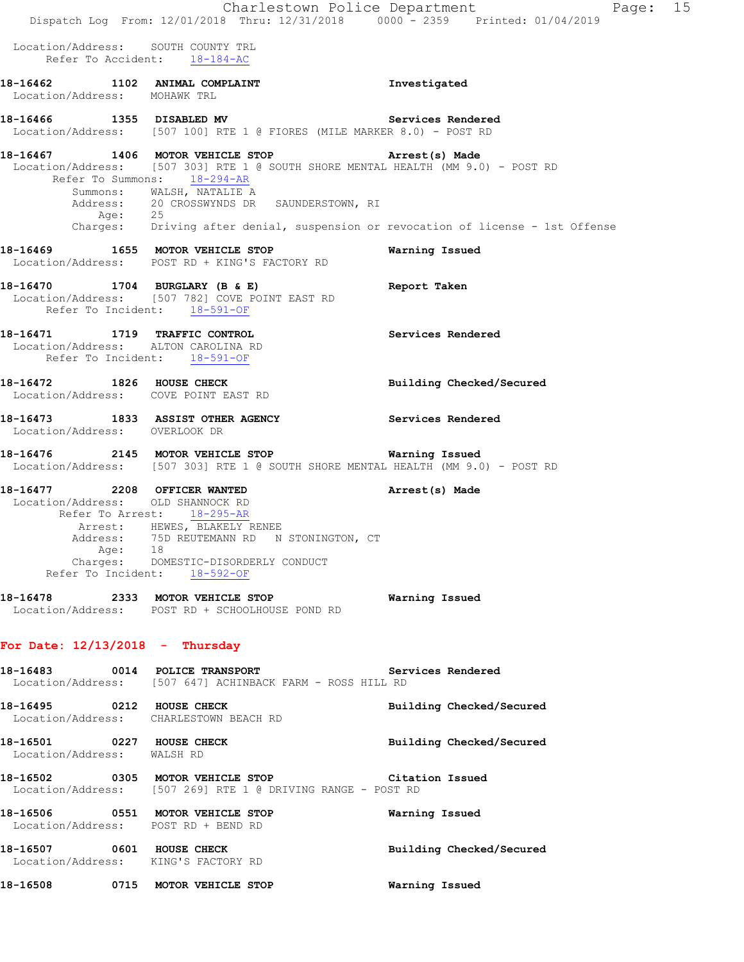|                                                                              | Dispatch Log From: 12/01/2018 Thru: 12/31/2018 0000 <sup>-</sup> 2359 Printed: 01/04/2019                                                                                        | Charlestown Police Department<br>Page: 15 |
|------------------------------------------------------------------------------|----------------------------------------------------------------------------------------------------------------------------------------------------------------------------------|-------------------------------------------|
|                                                                              |                                                                                                                                                                                  |                                           |
| Location/Address: SOUTH COUNTY TRL                                           | Refer To Accident: 18-184-AC                                                                                                                                                     |                                           |
| Location/Address: MOHAWK TRL                                                 | 18-16462 1102 ANIMAL COMPLAINT                                                                                                                                                   | Investigated                              |
|                                                                              | 18-16466 1355 DISABLED MV<br>Location/Address: [507 100] RTE 1 @ FIORES (MILE MARKER 8.0) - POST RD                                                                              | Services Rendered                         |
| 18-16467 1406 MOTOR VEHICLE STOP                                             | Location/Address: [507 303] RTE 1 @ SOUTH SHORE MENTAL HEALTH (MM 9.0) - POST RD<br>Refer To Summons: 18-294-AR<br>Summons: WALSH, NATALIE A                                     | Arrest(s) Made                            |
|                                                                              | Address: 20 CROSSWYNDS DR SAUNDERSTOWN, RI<br>Age: 25<br>Charges: Driving after denial, suspension or revocation of license - 1st Offense                                        |                                           |
|                                                                              | 18-16469 1655 MOTOR VEHICLE STOP<br>Location/Address: POST RD + KING'S FACTORY RD                                                                                                | Warning Issued                            |
| 18-16470 1704 BURGLARY (B & E)                                               | Location/Address: [507 782] COVE POINT EAST RD<br>Refer To Incident: 18-591-OF                                                                                                   | Report Taken                              |
| 18-16471 1719 TRAFFIC CONTROL<br>Location/Address: ALTON CAROLINA RD         | Refer To Incident: 18-591-OF                                                                                                                                                     | Services Rendered                         |
| 18-16472 1826 HOUSE CHECK<br>Location/Address: COVE POINT EAST RD            |                                                                                                                                                                                  | Building Checked/Secured                  |
| Location/Address: OVERLOOK DR                                                | 18-16473 1833 ASSIST OTHER AGENCY                                                                                                                                                | Services Rendered                         |
|                                                                              | 18-16476  2145 MOTOR VEHICLE STOP    Varning Issued<br>Location/Address: [507 303] RTE 1 @ SOUTH SHORE MENTAL HEALTH (MM 9.0) - POST RD                                          |                                           |
| 18-16477 2208 OFFICER WANTED<br>Location/Address: OLD SHANNOCK RD<br>Age: 18 | Refer To Arrest: 18-295-AR<br>Arrest: HEWES, BLAKELY RENEE<br>Address: 75D REUTEMANN RD N STONINGTON, CT<br>Charges: DOMESTIC-DISORDERLY CONDUCT<br>Refer To Incident: 18-592-OF | Arrest(s) Made                            |
|                                                                              | 18-16478 2333 MOTOR VEHICLE STOP<br>Location/Address: POST RD + SCHOOLHOUSE POND RD                                                                                              | Warning Issued                            |
| For Date: $12/13/2018$ - Thursday                                            |                                                                                                                                                                                  |                                           |
|                                                                              | 18-16483 0014 POLICE TRANSPORT<br>Location/Address: [507 647] ACHINBACK FARM - ROSS HILL RD                                                                                      | Services Rendered                         |
|                                                                              | 18-16495 0212 HOUSE CHECK<br>Location/Address: CHARLESTOWN BEACH RD                                                                                                              | Building Checked/Secured                  |
| 18-16501 0227 HOUSE CHECK<br>Location/Address: WALSH RD                      |                                                                                                                                                                                  | Building Checked/Secured                  |
|                                                                              | 18-16502 0305 MOTOR VEHICLE STOP Citation Issued<br>Location/Address: [507 269] RTE 1 @ DRIVING RANGE - POST RD                                                                  |                                           |
| Location/Address: POST RD + BEND RD                                          | 18-16506 0551 MOTOR VEHICLE STOP                                                                                                                                                 | Warning Issued                            |
| 18-16507 0601 HOUSE CHECK<br>Location/Address: KING'S FACTORY RD             |                                                                                                                                                                                  | Building Checked/Secured                  |
|                                                                              | 18-16508 0715 MOTOR VEHICLE STOP                                                                                                                                                 | Warning Issued                            |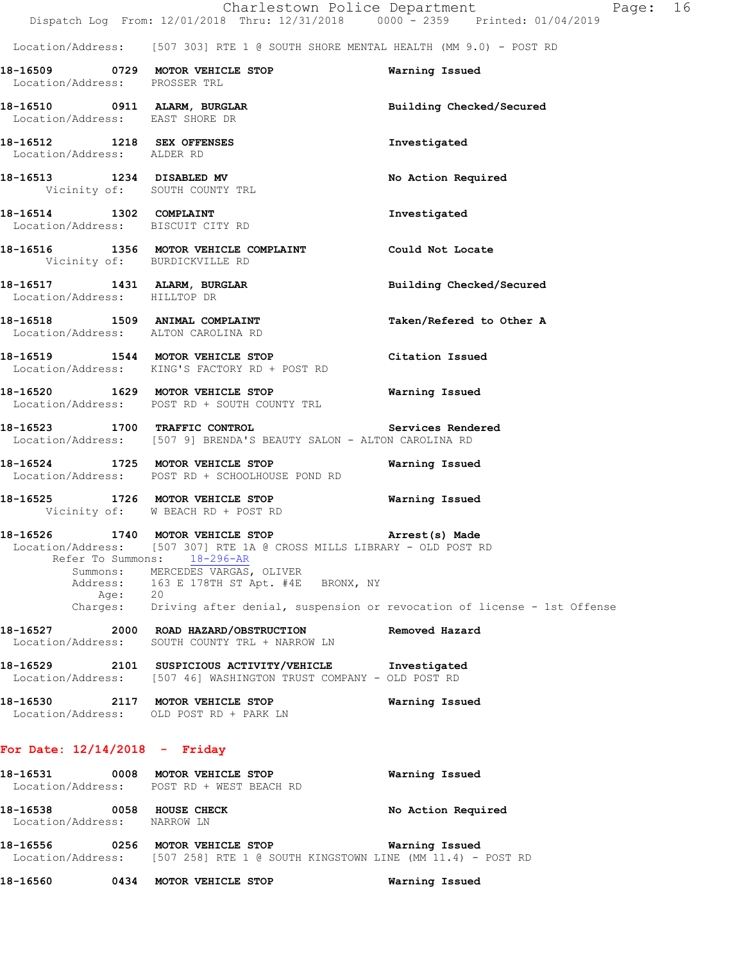|                                                                           | Dispatch Log From: 12/01/2018 Thru: 12/31/2018 0000 - 2359 Printed: 01/04/2019                                                                                                                                                                                  | Charlestown Police Department<br>Page: 16 |  |
|---------------------------------------------------------------------------|-----------------------------------------------------------------------------------------------------------------------------------------------------------------------------------------------------------------------------------------------------------------|-------------------------------------------|--|
|                                                                           | Location/Address: [507 303] RTE 1 @ SOUTH SHORE MENTAL HEALTH (MM 9.0) - POST RD                                                                                                                                                                                |                                           |  |
| Location/Address: PROSSER TRL                                             | 18-16509 0729 MOTOR VEHICLE STOP                                                                                                                                                                                                                                | Warning Issued                            |  |
| Location/Address: EAST SHORE DR                                           | 18-16510 0911 ALARM, BURGLAR                                                                                                                                                                                                                                    | Building Checked/Secured                  |  |
| 18-16512 1218 SEX OFFENSES<br>Location/Address: ALDER RD                  |                                                                                                                                                                                                                                                                 | Investigated                              |  |
| 18-16513 1234 DISABLED MV<br>Vicinity of: SOUTH COUNTY TRL                |                                                                                                                                                                                                                                                                 | No Action Required                        |  |
| 18-16514 1302 COMPLAINT<br>Location/Address: BISCUIT CITY RD              |                                                                                                                                                                                                                                                                 | Investigated                              |  |
| Vicinity of: BURDICKVILLE RD                                              | 18-16516 1356 MOTOR VEHICLE COMPLAINT Could Not Locate                                                                                                                                                                                                          |                                           |  |
| Location/Address: HILLTOP DR                                              | 18-16517 1431 ALARM, BURGLAR                                                                                                                                                                                                                                    | Building Checked/Secured                  |  |
| 18-16518 1509 ANIMAL COMPLAINT<br>Location/Address: ALTON CAROLINA RD     |                                                                                                                                                                                                                                                                 | Taken/Refered to Other A                  |  |
|                                                                           | 18-16519 1544 MOTOR VEHICLE STOP<br>Location/Address: KING'S FACTORY RD + POST RD                                                                                                                                                                               | Citation Issued                           |  |
|                                                                           | 18-16520 1629 MOTOR VEHICLE STOP<br>Location/Address: POST RD + SOUTH COUNTY TRL                                                                                                                                                                                | Warning Issued                            |  |
|                                                                           | 18-16523 1700 TRAFFIC CONTROL Services Rendered<br>Location/Address: [507 9] BRENDA'S BEAUTY SALON - ALTON CAROLINA RD                                                                                                                                          |                                           |  |
|                                                                           | 18-16524 1725 MOTOR VEHICLE STOP<br>Location/Address: POST RD + SCHOOLHOUSE POND RD                                                                                                                                                                             | Warning Issued                            |  |
|                                                                           | 18-16525 1726 MOTOR VEHICLE STOP<br>Vicinity of: W BEACH RD + POST RD                                                                                                                                                                                           | Warning Issued                            |  |
| 18-16526<br>Refer To Summons:<br>Summons:<br>Address:<br>Age:<br>Charges: | 1740 MOTOR VEHICLE STOP<br>Location/Address: [507 307] RTE 1A @ CROSS MILLS LIBRARY - OLD POST RD<br>18-296-AR<br>MERCEDES VARGAS, OLIVER<br>163 E 178TH ST Apt. #4E BRONX, NY<br>20<br>Driving after denial, suspension or revocation of license - 1st Offense | Arrest(s) Made                            |  |
| 18-16527<br>Location/Address:                                             | 2000 ROAD HAZARD/OBSTRUCTION<br>SOUTH COUNTY TRL + NARROW LN                                                                                                                                                                                                    | Removed Hazard                            |  |
| 18-16529                                                                  | 2101 SUSPICIOUS ACTIVITY/VEHICLE Investigated<br>Location/Address: [507 46] WASHINGTON TRUST COMPANY - OLD POST RD                                                                                                                                              |                                           |  |
| 18-16530                                                                  | 2117 MOTOR VEHICLE STOP<br>Location/Address: OLD POST RD + PARK LN                                                                                                                                                                                              | Warning Issued                            |  |

| 18–16531                                | 0008 | MOTOR VEHICLE STOP<br>Location/Address: POST RD + WEST BEACH RD | Warning Issued     |
|-----------------------------------------|------|-----------------------------------------------------------------|--------------------|
| 18–16538<br>Location/Address: NARROW LN | 0058 | HOUSE CHECK                                                     | No Action Required |
| 10 1 <i>c</i> ee <i>c</i>               | 025C | MOROD IRUICIR CROD                                              | Monaine Technic    |

**18-16556 0256 MOTOR VEHICLE STOP Warning Issued**  Location/Address: [507 258] RTE 1 @ SOUTH KINGSTOWN LINE (MM 11.4) - POST RD

**18-16560 0434 MOTOR VEHICLE STOP Warning Issued**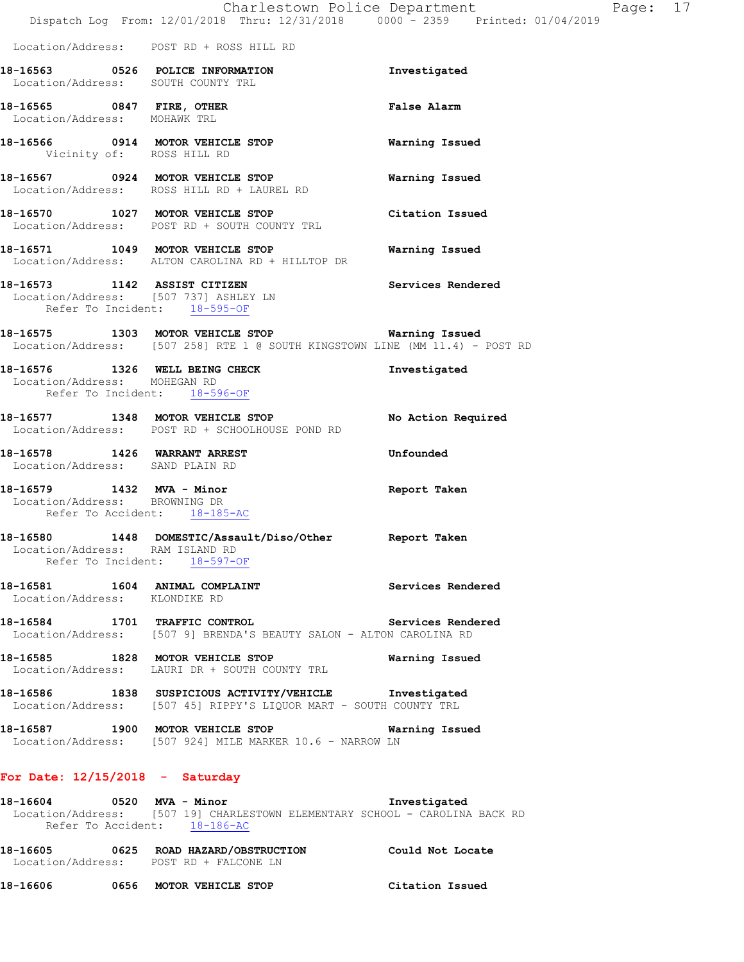|                               |                                                                                                                           | Charlestown Police Department<br>Dispatch Log From: 12/01/2018 Thru: 12/31/2018 0000 - 2359 Printed: 01/04/2019                                                                             | Page: 17 |  |
|-------------------------------|---------------------------------------------------------------------------------------------------------------------------|---------------------------------------------------------------------------------------------------------------------------------------------------------------------------------------------|----------|--|
|                               | Location/Address: POST RD + ROSS HILL RD                                                                                  |                                                                                                                                                                                             |          |  |
|                               | 18-16563 0526 POLICE INFORMATION<br>Location/Address: SOUTH COUNTY TRL                                                    | Investigated                                                                                                                                                                                |          |  |
| Location/Address: MOHAWK TRL  | 18-16565 0847 FIRE, OTHER                                                                                                 | <b>False Alarm</b>                                                                                                                                                                          |          |  |
|                               | 18-16566 0914 MOTOR VEHICLE STOP<br>Vicinity of: ROSS HILL RD                                                             | Warning Issued                                                                                                                                                                              |          |  |
|                               | 18-16567 0924 MOTOR VEHICLE STOP<br>Location/Address: ROSS HILL RD + LAUREL RD                                            | Warning Issued                                                                                                                                                                              |          |  |
|                               | 18-16570 1027 MOTOR VEHICLE STOP<br>Location/Address: POST RD + SOUTH COUNTY TRL                                          | Citation Issued                                                                                                                                                                             |          |  |
|                               | 18-16571 1049 MOTOR VEHICLE STOP<br>Location/Address: ALTON CAROLINA RD + HILLTOP DR                                      | Warning Issued                                                                                                                                                                              |          |  |
|                               | 18-16573 1142 ASSIST CITIZEN<br>Location/Address: [507 737] ASHLEY LN<br>Refer To Incident: 18-595-OF                     | Services Rendered                                                                                                                                                                           |          |  |
|                               |                                                                                                                           | 18-16575 1303 MOTOR VEHICLE STOP Warning Issued<br>Location/Address: [507 258] RTE 1 @ SOUTH KINGSTOWN LINE (MM 11.4) - POST RD                                                             |          |  |
| Location/Address: MOHEGAN RD  | 18-16576 1326 WELL BEING CHECK<br>Refer To Incident: 18-596-OF                                                            | Investigated                                                                                                                                                                                |          |  |
|                               | 18-16577 1348 MOTOR VEHICLE STOP<br>Location/Address: POST RD + SCHOOLHOUSE POND RD                                       | No Action Required                                                                                                                                                                          |          |  |
|                               | 18-16578 1426 WARRANT ARREST<br>Location/Address: SAND PLAIN RD                                                           | Unfounded                                                                                                                                                                                   |          |  |
| Location/Address: BROWNING DR | 18-16579 1432 MVA - Minor<br>Refer To Accident: 18-185-AC                                                                 | Report Taken                                                                                                                                                                                |          |  |
|                               | 18-16580 1448 DOMESTIC/Assault/Diso/Other Report Taken<br>Location/Address: RAM ISLAND RD<br>Refer To Incident: 18-597-OF |                                                                                                                                                                                             |          |  |
| Location/Address: KLONDIKE RD |                                                                                                                           | 18-16581 1604 ANIMAL COMPLAINT Services Rendered                                                                                                                                            |          |  |
|                               |                                                                                                                           | 18-16584 1701 TRAFFIC CONTROL 18-16588 Rendered<br>Location/Address: [507 9] BRENDA'S BEAUTY SALON - ALTON CAROLINA RD                                                                      |          |  |
|                               | 18-16585 1828 MOTOR VEHICLE STOP<br>Location/Address: LAURI DR + SOUTH COUNTY TRL                                         | Warning Issued                                                                                                                                                                              |          |  |
|                               |                                                                                                                           | 18-16586 1838 SUSPICIOUS ACTIVITY/VEHICLE Investigated<br>Location/Address: [507 45] RIPPY'S LIQUOR MART - SOUTH COUNTY TRL                                                                 |          |  |
|                               | 18-16587 1900 MOTOR VEHICLE STOP<br>Location/Address: [507 924] MILE MARKER 10.6 - NARROW LN                              | Warning Issued                                                                                                                                                                              |          |  |
|                               | For Date: $12/15/2018$ - Saturday                                                                                         |                                                                                                                                                                                             |          |  |
|                               | Refer To Accident: 18-186-AC                                                                                              | 18-16604 0520 MVA - Minor Changes of The Study of The Muslim Changes of The Study of The Study of The Theory<br>Location/Address: [507 19] CHARLESTOWN ELEMENTARY SCHOOL - CAROLINA BACK RD |          |  |
|                               |                                                                                                                           |                                                                                                                                                                                             |          |  |

**18-16605 0625 ROAD HAZARD/OBSTRUCTION Could Not Locate**  Location/Address: POST RD + FALCONE LN

**18-16606 0656 MOTOR VEHICLE STOP Citation Issued**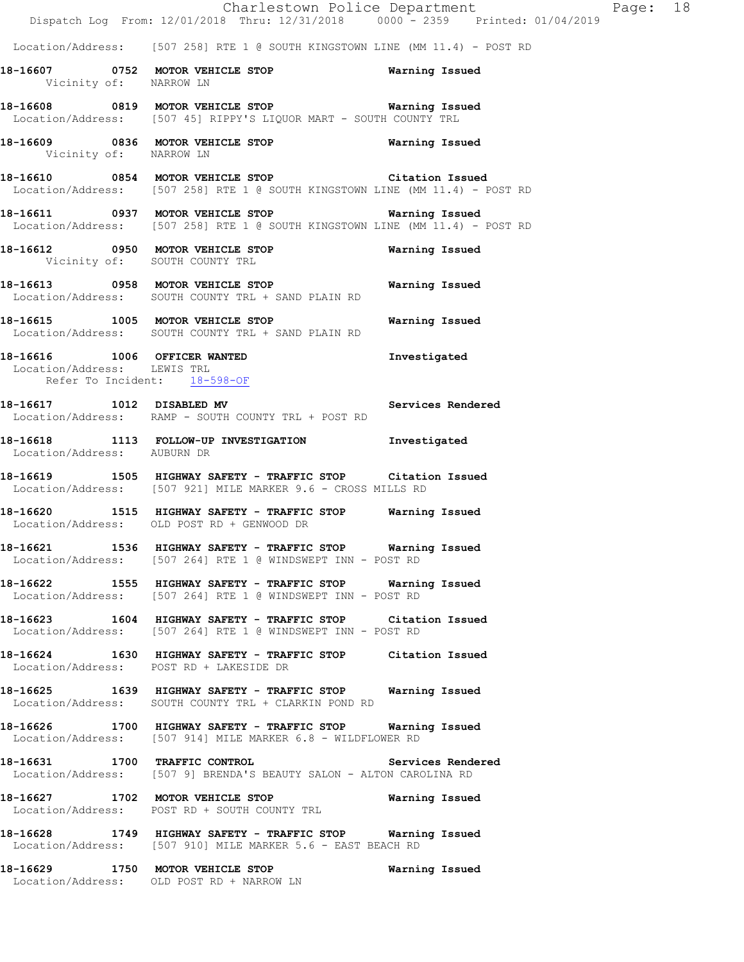Charlestown Police Department Page: 18 Dispatch Log From: 12/01/2018 Thru: 12/31/2018 0000 - 2359 Printed: 01/04/2019 Location/Address: [507 258] RTE 1 @ SOUTH KINGSTOWN LINE (MM 11.4) - POST RD **18-16607 0752 MOTOR VEHICLE STOP Warning Issued**  Vicinity of: NARROW LN **18-16608 0819 MOTOR VEHICLE STOP Warning Issued**  Location/Address: [507 45] RIPPY'S LIQUOR MART - SOUTH COUNTY TRL **18-16609 0836 MOTOR VEHICLE STOP Warning Issued**  Vicinity of: NARROW LN **18-16610 0854 MOTOR VEHICLE STOP Citation Issued**  Location/Address: [507 258] RTE 1 @ SOUTH KINGSTOWN LINE (MM 11.4) - POST RD **18-16611 0937 MOTOR VEHICLE STOP Warning Issued**  Location/Address: [507 258] RTE 1 @ SOUTH KINGSTOWN LINE (MM 11.4) - POST RD **18-16612 0950 MOTOR VEHICLE STOP Warning Issued**  Vicinity of: SOUTH COUNTY TRL **18-16613 0958 MOTOR VEHICLE STOP Warning Issued**  Location/Address: SOUTH COUNTY TRL + SAND PLAIN RD **18-16615 1005 MOTOR VEHICLE STOP Warning Issued**  Location/Address: SOUTH COUNTY TRL + SAND PLAIN RD **18-16616 1006 OFFICER WANTED Investigated**  Location/Address: LEWIS TRL Refer To Incident: 18-598-OF **18-16617 1012 DISABLED MV Services Rendered**  Location/Address: RAMP - SOUTH COUNTY TRL + POST RD **18-16618 1113 FOLLOW-UP INVESTIGATION Investigated**  Location/Address: AUBURN DR **18-16619 1505 HIGHWAY SAFETY - TRAFFIC STOP Citation Issued**  Location/Address: [507 921] MILE MARKER 9.6 - CROSS MILLS RD **18-16620 1515 HIGHWAY SAFETY - TRAFFIC STOP Warning Issued**  Location/Address: OLD POST RD + GENWOOD DR **18-16621 1536 HIGHWAY SAFETY - TRAFFIC STOP Warning Issued**  Location/Address: [507 264] RTE 1 @ WINDSWEPT INN - POST RD **18-16622 1555 HIGHWAY SAFETY - TRAFFIC STOP Warning Issued**  Location/Address: [507 264] RTE 1 @ WINDSWEPT INN - POST RD **18-16623 1604 HIGHWAY SAFETY - TRAFFIC STOP Citation Issued**  Location/Address: [507 264] RTE 1 @ WINDSWEPT INN - POST RD **18-16624 1630 HIGHWAY SAFETY - TRAFFIC STOP Citation Issued**  Location/Address: POST RD + LAKESIDE DR **18-16625 1639 HIGHWAY SAFETY - TRAFFIC STOP Warning Issued**  Location/Address: SOUTH COUNTY TRL + CLARKIN POND RD **18-16626 1700 HIGHWAY SAFETY - TRAFFIC STOP Warning Issued**  Location/Address: [507 914] MILE MARKER 6.8 - WILDFLOWER RD **18-16631 1700 TRAFFIC CONTROL Services Rendered**  Location/Address: [507 9] BRENDA'S BEAUTY SALON - ALTON CAROLINA RD **18-16627 1702 MOTOR VEHICLE STOP Warning Issued**  Location/Address: POST RD + SOUTH COUNTY TRL **18-16628 1749 HIGHWAY SAFETY - TRAFFIC STOP Warning Issued**  Location/Address: [507 910] MILE MARKER 5.6 - EAST BEACH RD **18-16629 1750 MOTOR VEHICLE STOP Warning Issued** 

Location/Address: OLD POST RD + NARROW LN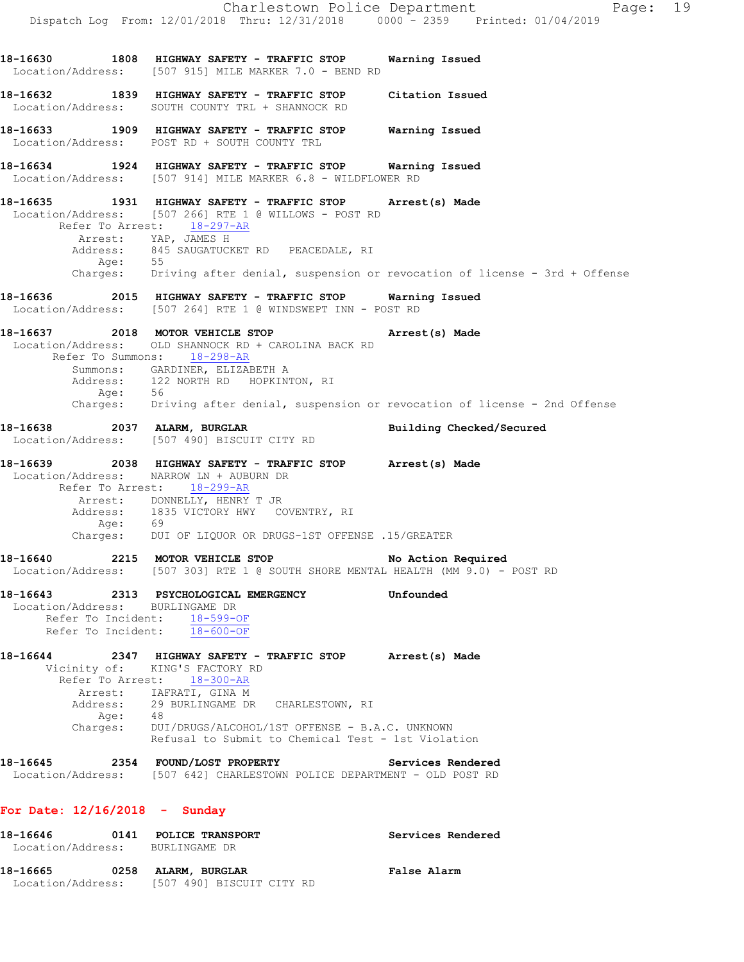Charlestown Police Department Fage: 19 Dispatch Log From: 12/01/2018 Thru: 12/31/2018 0000 - 2359 Printed: 01/04/2019 **18-16630 1808 HIGHWAY SAFETY - TRAFFIC STOP Warning Issued**  Location/Address: [507 915] MILE MARKER 7.0 - BEND RD **18-16632 1839 HIGHWAY SAFETY - TRAFFIC STOP Citation Issued**  Location/Address: SOUTH COUNTY TRL + SHANNOCK RD **18-16633 1909 HIGHWAY SAFETY - TRAFFIC STOP Warning Issued**  Location/Address: POST RD + SOUTH COUNTY TRL **18-16634 1924 HIGHWAY SAFETY - TRAFFIC STOP Warning Issued**  Location/Address: [507 914] MILE MARKER 6.8 - WILDFLOWER RD **18-16635 1931 HIGHWAY SAFETY - TRAFFIC STOP Arrest(s) Made**  Location/Address: [507 266] RTE 1 @ WILLOWS - POST RD Refer To Arrest: 18-297-AR Arrest: YAP, JAMES H<br>Address: 845 SAUGATUCKET RD PEACEDALE, RI Address: 845 SAUGATUCKET RD PEACEDALE, RI Age: 55 Charges: Driving after denial, suspension or revocation of license - 3rd + Offense **18-16636 2015 HIGHWAY SAFETY - TRAFFIC STOP Warning Issued**  Location/Address: [507 264] RTE 1 @ WINDSWEPT INN - POST RD **18-16637 2018 MOTOR VEHICLE STOP Arrest(s) Made**  Location/Address: OLD SHANNOCK RD + CAROLINA BACK RD Refer To Summons: 18-298-AR Summons: GARDINER, ELIZABETH A Address: 122 NORTH RD HOPKINTON, RI Age: 56 Charges: Driving after denial, suspension or revocation of license - 2nd Offense **18-16638 2037 ALARM, BURGLAR Building Checked/Secured**  Location/Address: [507 490] BISCUIT CITY RD **18-16639 2038 HIGHWAY SAFETY - TRAFFIC STOP Arrest(s) Made**  Location/Address: NARROW LN + AUBURN DR Refer To Arrest: 18-299-AR Arrest: DONNELLY, HENRY T JR Address: 1835 VICTORY HWY COVENTRY, RI Age: 69 Charges: DUI OF LIQUOR OR DRUGS-1ST OFFENSE .15/GREATER **18-16640 2215 MOTOR VEHICLE STOP No Action Required**  Location/Address: [507 303] RTE 1 @ SOUTH SHORE MENTAL HEALTH (MM 9.0) - POST RD **18-16643 2313 PSYCHOLOGICAL EMERGENCY Unfounded**  Location/Address: BURLINGAME DR Refer To Incident: 18-599-OF Refer To Incident:  $18-600-OF$ **18-16644 2347 HIGHWAY SAFETY - TRAFFIC STOP Arrest(s) Made**  Vicinity of: KING'S FACTORY RD Refer To Arrest: 18-300-AR Arrest: IAFRATI, GINA M Address: 29 BURLINGAME DR CHARLESTOWN, RI Age: 48 Charges: DUI/DRUGS/ALCOHOL/1ST OFFENSE - B.A.C. UNKNOWN Refusal to Submit to Chemical Test - 1st Violation **18-16645 2354 FOUND/LOST PROPERTY Services Rendered**  Location/Address: [507 642] CHARLESTOWN POLICE DEPARTMENT - OLD POST RD **For Date: 12/16/2018 - Sunday 18-16646 0141 POLICE TRANSPORT Services Rendered**  Location/Address: BURLINGAME DR **18-16665 0258 ALARM, BURGLAR False Alarm**  Location/Address: [507 490] BISCUIT CITY RD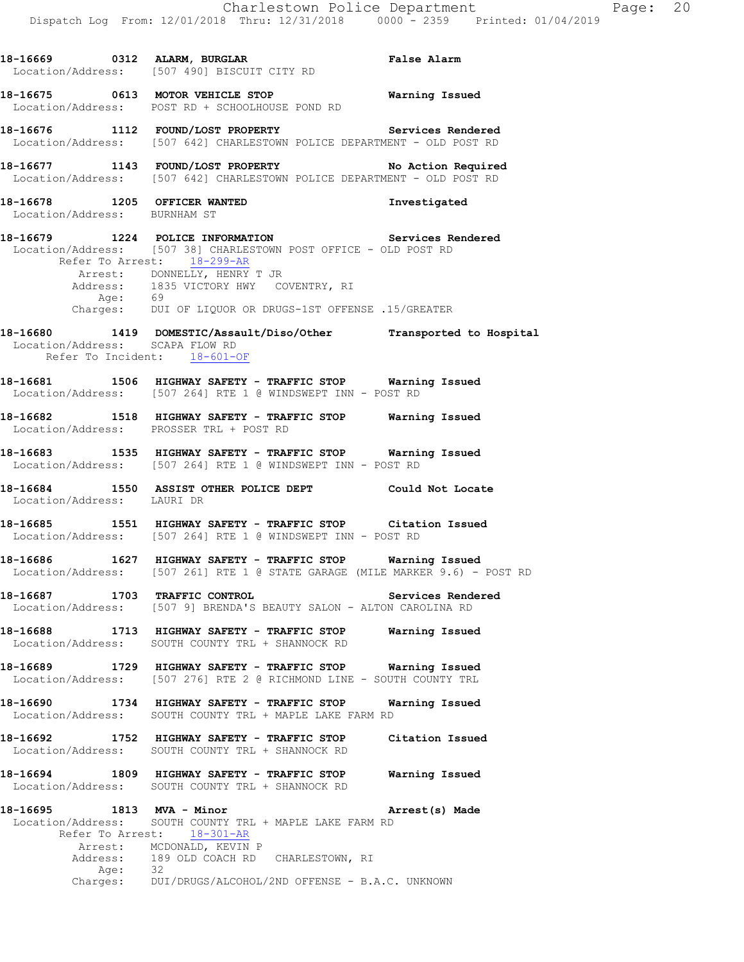**18-16669 0312 ALARM, BURGLAR False Alarm**  Location/Address: [507 490] BISCUIT CITY RD **18-16675 0613 MOTOR VEHICLE STOP Warning Issued**  Location/Address: POST RD + SCHOOLHOUSE POND RD **18-16676 1112 FOUND/LOST PROPERTY Services Rendered**  Location/Address: [507 642] CHARLESTOWN POLICE DEPARTMENT - OLD POST RD **18-16677 1143 FOUND/LOST PROPERTY No Action Required**  Location/Address: [507 642] CHARLESTOWN POLICE DEPARTMENT - OLD POST RD **18-16678 1205 OFFICER WANTED Investigated**  Location/Address: BURNHAM ST **18-16679 1224 POLICE INFORMATION Services Rendered**  Location/Address: [507 38] CHARLESTOWN POST OFFICE - OLD POST RD Refer To Arrest: 18-299-AR Arrest: DONNELLY, HENRY T JR Address: 1835 VICTORY HWY COVENTRY, RI Age: 69 Charges: DUI OF LIQUOR OR DRUGS-1ST OFFENSE .15/GREATER **18-16680 1419 DOMESTIC/Assault/Diso/Other Transported to Hospital**  Location/Address: SCAPA FLOW RD Refer To Incident: 18-601-OF **18-16681 1506 HIGHWAY SAFETY - TRAFFIC STOP Warning Issued**  Location/Address: [507 264] RTE 1 @ WINDSWEPT INN - POST RD **18-16682 1518 HIGHWAY SAFETY - TRAFFIC STOP Warning Issued**  Location/Address: PROSSER TRL + POST RD **18-16683 1535 HIGHWAY SAFETY - TRAFFIC STOP Warning Issued**  Location/Address: [507 264] RTE 1 @ WINDSWEPT INN - POST RD **18-16684 1550 ASSIST OTHER POLICE DEPT Could Not Locate**  Location/Address: LAURI DR **18-16685 1551 HIGHWAY SAFETY - TRAFFIC STOP Citation Issued**  Location/Address: [507 264] RTE 1 @ WINDSWEPT INN - POST RD **18-16686 1627 HIGHWAY SAFETY - TRAFFIC STOP Warning Issued**  Location/Address: [507 261] RTE 1 @ STATE GARAGE (MILE MARKER 9.6) - POST RD **18-16687 1703 TRAFFIC CONTROL Services Rendered**  Location/Address: [507 9] BRENDA'S BEAUTY SALON - ALTON CAROLINA RD **18-16688 1713 HIGHWAY SAFETY - TRAFFIC STOP Warning Issued**  Location/Address: SOUTH COUNTY TRL + SHANNOCK RD **18-16689 1729 HIGHWAY SAFETY - TRAFFIC STOP Warning Issued**  Location/Address: [507 276] RTE 2 @ RICHMOND LINE - SOUTH COUNTY TRL **18-16690 1734 HIGHWAY SAFETY - TRAFFIC STOP Warning Issued**  SOUTH COUNTY TRL + MAPLE LAKE FARM RD **18-16692 1752 HIGHWAY SAFETY - TRAFFIC STOP Citation Issued**  Location/Address: SOUTH COUNTY TRL + SHANNOCK RD **18-16694 1809 HIGHWAY SAFETY - TRAFFIC STOP Warning Issued**  Location/Address: SOUTH COUNTY TRL + SHANNOCK RD **18-16695 1813 MVA - Minor Arrest(s) Made**  Location/Address: SOUTH COUNTY TRL + MAPLE LAKE FARM RD Refer To Arrest: 18-301-AR

Arrest: MCDONALD, KEVIN P Address: 189 OLD COACH RD CHARLESTOWN, RI<br>Age: 32 Age: Charges: DUI/DRUGS/ALCOHOL/2ND OFFENSE - B.A.C. UNKNOWN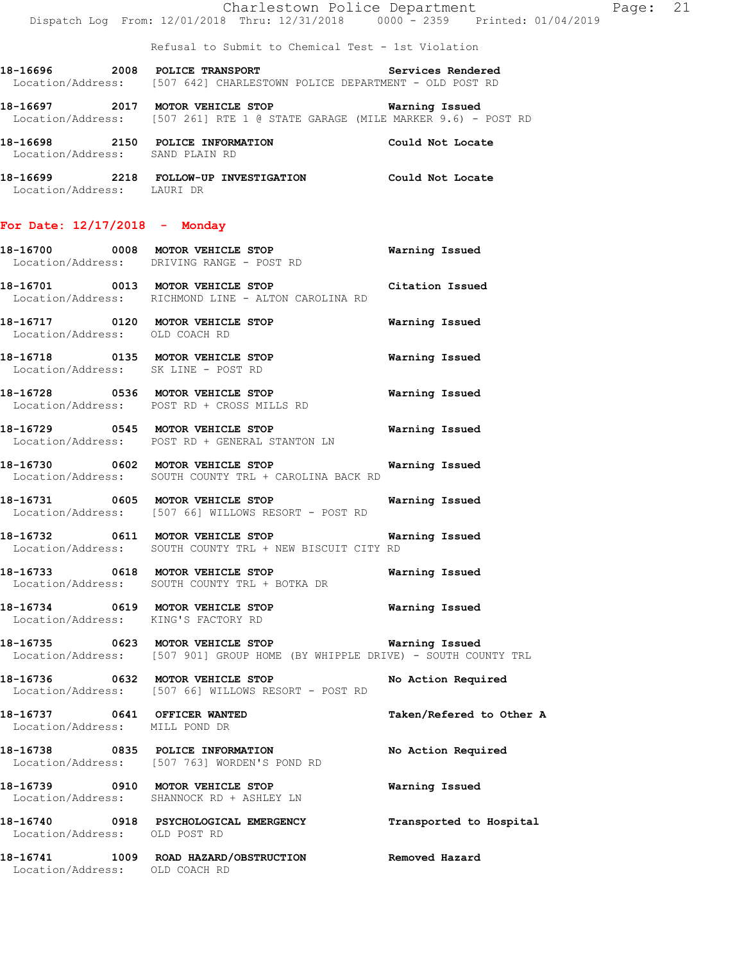Refusal to Submit to Chemical Test - 1st Violation

18-16696 2008 POLICE TRANSPORT Services Rendered Location/Address: [507 642] CHARLESTOWN POLICE DEPARTMENT - OLD POST RD

**18-16697 2017 MOTOR VEHICLE STOP Warning Issued**  Location/Address: [507 261] RTE 1 @ STATE GARAGE (MILE MARKER 9.6) - POST RD

**18-16698 2150 POLICE INFORMATION Could Not Locate**  Location/Address: SAND PLAIN RD

**18-16699 2218 FOLLOW-UP INVESTIGATION Could Not Locate**  Location/Address: LAURI DR

# **For Date: 12/17/2018 - Monday**

**18-16700 0008 MOTOR VEHICLE STOP Warning Issued**  Location/Address: DRIVING RANGE - POST RD 18-16701 0013 MOTOR VEHICLE STOP Citation Issued<br>
Location/Address: RICHMOND LINE - ALTON CAROLINA RD RICHMOND LINE - ALTON CAROLINA RD

**18-16717 0120 MOTOR VEHICLE STOP Warning Issued**  Location/Address: OLD COACH RD

**18-16718 0135 MOTOR VEHICLE STOP Warning Issued**  Location/Address: SK LINE - POST RD

**18-16728 0536 MOTOR VEHICLE STOP Warning Issued**  Location/Address: POST RD + CROSS MILLS RD

**18-16729 0545 MOTOR VEHICLE STOP Warning Issued**  Location/Address: POST RD + GENERAL STANTON LN

**18-16730 0602 MOTOR VEHICLE STOP Warning Issued**  Location/Address: SOUTH COUNTY TRL + CAROLINA BACK RD

**18-16731 0605 MOTOR VEHICLE STOP Warning Issued**  Location/Address: [507 66] WILLOWS RESORT - POST RD

**18-16732 0611 MOTOR VEHICLE STOP Warning Issued**  Location/Address: SOUTH COUNTY TRL + NEW BISCUIT CITY RD

**18-16733 0618 MOTOR VEHICLE STOP Warning Issued**  Location/Address: SOUTH COUNTY TRL + BOTKA DR

**18-16734 0619 MOTOR VEHICLE STOP Warning Issued**  Location/Address: KING'S FACTORY RD

**18-16735 0623 MOTOR VEHICLE STOP Warning Issued**  Location/Address: [507 901] GROUP HOME (BY WHIPPLE DRIVE) - SOUTH COUNTY TRL

**18-16736 0632 MOTOR VEHICLE STOP No Action Required**  Location/Address: [507 66] WILLOWS RESORT - POST RD

**18-16737 0641 OFFICER WANTED Taken/Refered to Other A**  Location/Address: MILL POND DR

**18-16738 0835 POLICE INFORMATION No Action Required**  Location/Address: [507 763] WORDEN'S POND RD

**18-16739 0910 MOTOR VEHICLE STOP Warning Issued**  Location/Address: SHANNOCK RD + ASHLEY LN

**18-16740 0918 PSYCHOLOGICAL EMERGENCY Transported to Hospital** 

Location/Address: OLD POST RD

**18-16741 1009 ROAD HAZARD/OBSTRUCTION Removed Hazard**  Location/Address: OLD COACH RD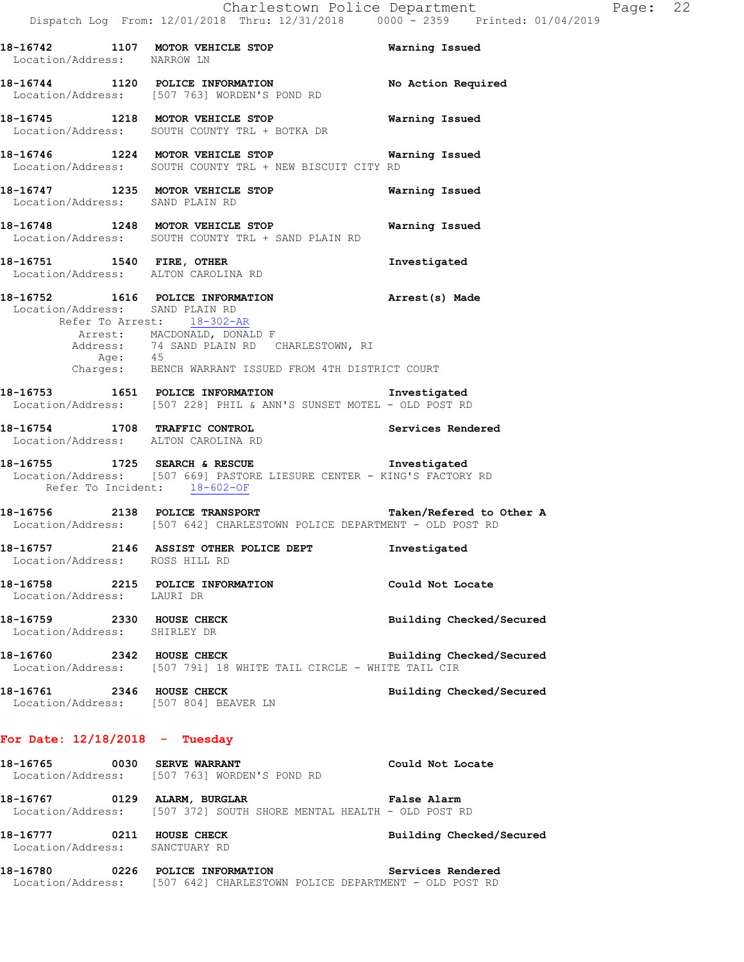**18-16742 1107 MOTOR VEHICLE STOP Warning Issued**  Location/Address: NARROW LN **18-16744 1120 POLICE INFORMATION No Action Required**  Location/Address: [507 763] WORDEN'S POND RD **18-16745 1218 MOTOR VEHICLE STOP Warning Issued**  Location/Address: SOUTH COUNTY TRL + BOTKA DR **18-16746 1224 MOTOR VEHICLE STOP Warning Issued**  Location/Address: SOUTH COUNTY TRL + NEW BISCUIT CITY RD **18-16747 1235 MOTOR VEHICLE STOP Warning Issued**  Location/Address: SAND PLAIN RD **18-16748 1248 MOTOR VEHICLE STOP Warning Issued**  Location/Address: SOUTH COUNTY TRL + SAND PLAIN RD **18-16751 1540 FIRE, OTHER Investigated**  Location/Address: ALTON CAROLINA RD **18-16752 1616 POLICE INFORMATION Arrest(s) Made**  Location/Address: SAND PLAIN RD Refer To Arrest: 18-302-AR Arrest: MACDONALD, DONALD F Address: 74 SAND PLAIN RD CHARLESTOWN, RI Age: 45 Address.<br>Age: 45<br>Charges: BENCH WARRANT ISSUED FROM 4TH DISTRICT COURT **18-16753 1651 POLICE INFORMATION Investigated**  Location/Address: [507 228] PHIL & ANN'S SUNSET MOTEL - OLD POST RD **18-16754 1708 TRAFFIC CONTROL Services Rendered**  Location/Address: ALTON CAROLINA RD **18-16755 1725 SEARCH & RESCUE Investigated**  Location/Address: [507 669] PASTORE LIESURE CENTER - KING'S FACTORY RD Refer To Incident: 18-602-OF **18-16756 2138 POLICE TRANSPORT Taken/Refered to Other A**  Location/Address: [507 642] CHARLESTOWN POLICE DEPARTMENT - OLD POST RD **18-16757 2146 ASSIST OTHER POLICE DEPT Investigated**  Location/Address: ROSS HILL RD **18-16758 2215 POLICE INFORMATION Could Not Locate**  Location/Address: LAURI DR **18-16759 2330 HOUSE CHECK Building Checked/Secured**  Location/Address: SHIRLEY DR **18-16760 2342 HOUSE CHECK Building Checked/Secured**  Location/Address: [507 791] 18 WHITE TAIL CIRCLE - WHITE TAIL CIR **18-16761 2346 HOUSE CHECK Building Checked/Secured**  Location/Address: [507 804] BEAVER LN **For Date: 12/18/2018 - Tuesday 18-16765 0030 SERVE WARRANT Could Not Locate**  Location/Address: [507 763] WORDEN'S POND RD **18-16767 0129 ALARM, BURGLAR False Alarm**  Location/Address: [507 372] SOUTH SHORE MENTAL HEALTH - OLD POST RD **18-16777 0211 HOUSE CHECK Building Checked/Secured**  Location/Address: SANCTUARY RD

**18-16780 0226 POLICE INFORMATION Services Rendered**  Location/Address: [507 642] CHARLESTOWN POLICE DEPARTMENT - OLD POST RD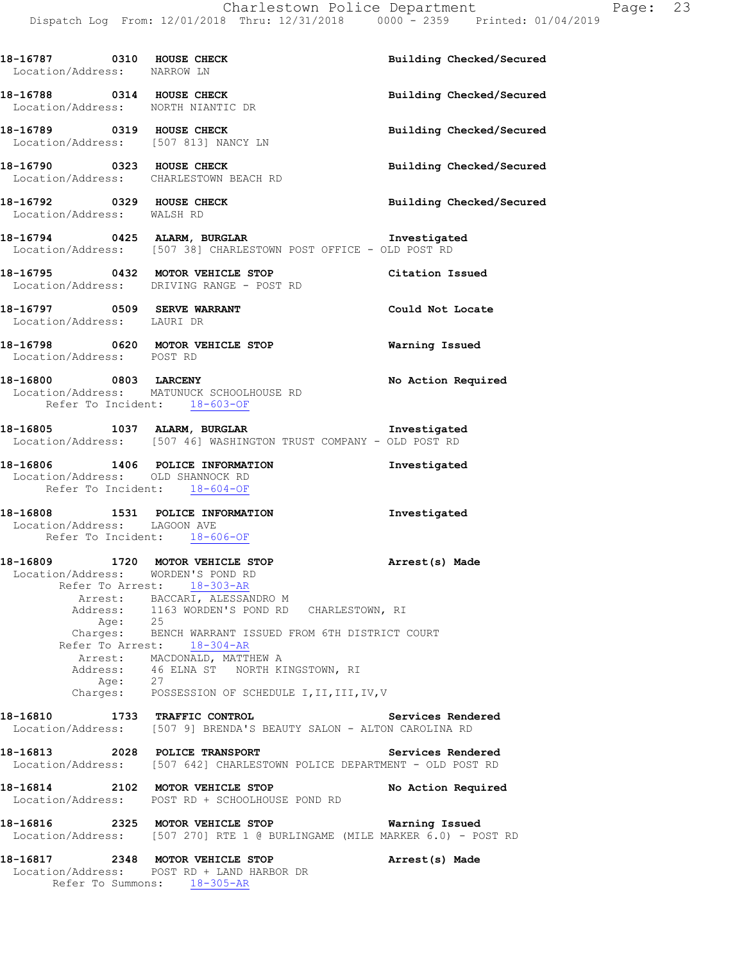| 18-16787 0310 HOUSE CHECK<br>Location/Address: NARROW LN                                             |                                                                                                                                         | Building Checked/Secured |
|------------------------------------------------------------------------------------------------------|-----------------------------------------------------------------------------------------------------------------------------------------|--------------------------|
| 18-16788 0314 HOUSE CHECK<br>Location/Address: NORTH NIANTIC DR                                      |                                                                                                                                         | Building Checked/Secured |
| 18-16789 0319 HOUSE CHECK<br>Location/Address: [507 813] NANCY LN                                    |                                                                                                                                         | Building Checked/Secured |
| 18-16790 0323 HOUSE CHECK<br>Location/Address: CHARLESTOWN BEACH RD                                  |                                                                                                                                         | Building Checked/Secured |
| 18-16792 0329 HOUSE CHECK<br>Location/Address: WALSH RD                                              |                                                                                                                                         | Building Checked/Secured |
|                                                                                                      | 18-16794 0425 ALARM, BURGLAR Investigated<br>Location/Address: [507 38] CHARLESTOWN POST OFFICE - OLD POST RD                           |                          |
|                                                                                                      | 18-16795 0432 MOTOR VEHICLE STOP<br>Location/Address: DRIVING RANGE - POST RD                                                           | Citation Issued          |
| 18-16797 0509 SERVE WARRANT<br>Location/Address: LAURI DR                                            |                                                                                                                                         | Could Not Locate         |
| Location/Address: POST RD                                                                            | 18-16798 0620 MOTOR VEHICLE STOP                                                                                                        | <b>Warning Issued</b>    |
| 18-16800 0803 LARCENY<br>Refer To Incident: 18-603-OF                                                | Location/Address: MATUNUCK SCHOOLHOUSE RD                                                                                               | No Action Required       |
|                                                                                                      | 18-16805 1037 ALARM, BURGLAR Investigated<br>Location/Address: [507 46] WASHINGTON TRUST COMPANY - OLD POST RD                          |                          |
| Location/Address: OLD SHANNOCK RD<br>Refer To Incident: 18-604-OF                                    | 18-16806 1406 POLICE INFORMATION                                                                                                        | Investigated             |
| Location/Address: LAGOON AVE<br>Refer To Incident: 18-606-OF                                         | 18-16808 1531 POLICE INFORMATION                                                                                                        | Investigated             |
| 18-16809 1720 MOTOR VEHICLE STOP<br>Location/Address: WORDEN'S POND RD<br>Refer To Arrest: 18-303-AR | Arrest: BACCARI, ALESSANDRO M                                                                                                           | Arrest(s) Made           |
| Age:                                                                                                 | Address: 1163 WORDEN'S POND RD CHARLESTOWN, RI<br>Age: 25                                                                               |                          |
|                                                                                                      | Charges: BENCH WARRANT ISSUED FROM 6TH DISTRICT COURT<br>Refer To Arrest: 18-304-AR                                                     |                          |
|                                                                                                      | Arrest: MACDONALD, MATTHEW A<br>Address: 46 ELNA ST NORTH KINGSTOWN, RI<br>Age: 27<br>Charges: POSSESSION OF SCHEDULE I, II, III, IV, V |                          |
|                                                                                                      |                                                                                                                                         |                          |
| 18-16810 1733 TRAFFIC CONTROL                                                                        | Location/Address: [507 9] BRENDA'S BEAUTY SALON - ALTON CAROLINA RD                                                                     | Services Rendered        |
| 18-16813 2028 POLICE TRANSPORT                                                                       | Location/Address: [507 642] CHARLESTOWN POLICE DEPARTMENT - OLD POST RD                                                                 | Services Rendered        |
|                                                                                                      | 18-16814 2102 MOTOR VEHICLE STOP<br>Location/Address: POST RD + SCHOOLHOUSE POND RD                                                     | No Action Required       |
| 18-16816                                                                                             | 2325 MOTOR VEHICLE STOP<br>Location/Address: [507 270] RTE 1 @ BURLINGAME (MILE MARKER 6.0) - POST RD                                   | Warning Issued           |
|                                                                                                      | 18-16817 2348 MOTOR VEHICLE STOP<br>Location/Address: POST RD + LAND HARBOR DR<br>Refer To Summons: 18-305-AR                           | Arrest(s) Made           |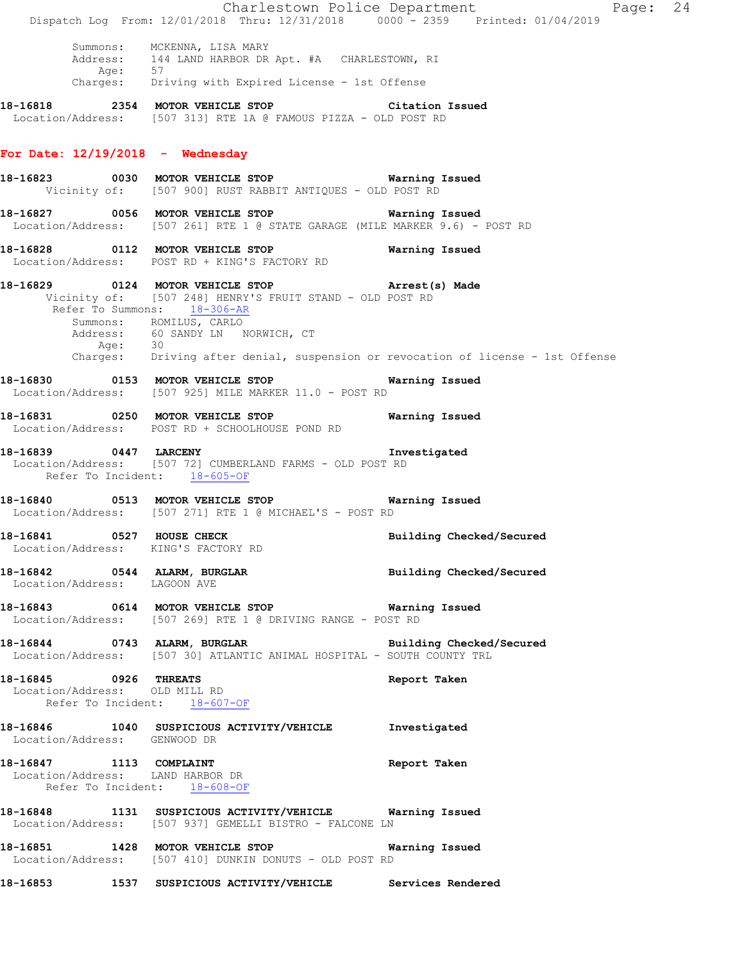|                              | Dispatch Log From: 12/01/2018 Thru: 12/31/2018 0000 - 2359 Printed: 01/04/2019                                                                                                                                                                                                                                  | Charlestown Police Department<br>Page: 24 |  |
|------------------------------|-----------------------------------------------------------------------------------------------------------------------------------------------------------------------------------------------------------------------------------------------------------------------------------------------------------------|-------------------------------------------|--|
| Age: 57                      | Summons: MCKENNA, LISA MARY<br>Address: 144 LAND HARBOR DR Apt. #A CHARLESTOWN, RI<br>Charges: Driving with Expired License - 1st Offense                                                                                                                                                                       |                                           |  |
|                              | 18-16818 2354 MOTOR VEHICLE STOP Citation Issued                                                                                                                                                                                                                                                                |                                           |  |
|                              | Location/Address: [507 313] RTE 1A @ FAMOUS PIZZA - OLD POST RD                                                                                                                                                                                                                                                 |                                           |  |
|                              | For Date: $12/19/2018$ - Wednesday                                                                                                                                                                                                                                                                              |                                           |  |
|                              | 18-16823 0030 MOTOR VEHICLE STOP <b>Exam and SEAL Marning Issued</b><br>Vicinity of: [507 900] RUST RABBIT ANTIQUES - OLD POST RD                                                                                                                                                                               |                                           |  |
|                              | Location/Address: [507 261] RTE 1 @ STATE GARAGE (MILE MARKER 9.6) - POST RD                                                                                                                                                                                                                                    |                                           |  |
|                              | 18-16828   0112   MOTOR VEHICLE STOP   Warning Issued<br>Location/Address:   POST RD + KING'S FACTORY RD                                                                                                                                                                                                        |                                           |  |
| Age: 30                      | 18-16829 0124 MOTOR VEHICLE STOP <b>Example 20 Arrest(s)</b> Made<br>Vicinity of: [507 248] HENRY'S FRUIT STAND - OLD POST RD<br>Refer To Summons: 18-306-AR<br>Summons: ROMILUS, CARLO<br>Address: 60 SANDY LN NORWICH, CT<br>Charges: Driving after denial, suspension or revocation of license - 1st Offense |                                           |  |
|                              | 18-16830 0153 MOTOR VEHICLE STOP Warning Issued<br>Location/Address: [507 925] MILE MARKER 11.0 - POST RD                                                                                                                                                                                                       |                                           |  |
|                              | 18-16831 0250 MOTOR VEHICLE STOP 6 Warning Issued<br>Location/Address: POST RD + SCHOOLHOUSE POND RD                                                                                                                                                                                                            |                                           |  |
|                              | 18-16839 0447 LARCENY 100 1nvestigated<br>Location/Address: [507 72] CUMBERLAND FARMS - OLD POST RD<br>Refer To Incident: 18-605-OF                                                                                                                                                                             |                                           |  |
|                              | 18-16840 0513 MOTOR VEHICLE STOP 6 Warning Issued<br>Location/Address: [507 271] RTE 1 @ MICHAEL'S - POST RD                                                                                                                                                                                                    |                                           |  |
|                              | 18-16841 0527 HOUSE CHECK<br>Location/Address: KING'S FACTORY RD                                                                                                                                                                                                                                                | Building Checked/Secured                  |  |
| Location/Address: LAGOON AVE | 18-16842 0544 ALARM, BURGLAR Communications and Building Checked/Secured                                                                                                                                                                                                                                        |                                           |  |
|                              | 18-16843   0614   MOTOR VEHICLE STOP   Warning Issued<br>Location/Address: [507 269] RTE 1 @ DRIVING RANGE - POST RD                                                                                                                                                                                            |                                           |  |
|                              | 18-16844 0743 ALARM, BURGLAR <b>Example 18 and Solution Checked/Secured</b><br>Location/Address: [507 30] ATLANTIC ANIMAL HOSPITAL - SOUTH COUNTY TRL                                                                                                                                                           |                                           |  |
| 18-16845 0926 THREATS        | Location/Address: OLD MILL RD<br>Refer To Incident: 18-607-OF                                                                                                                                                                                                                                                   | Report Taken                              |  |
| Location/Address: GENWOOD DR | 18-16846 1040 SUSPICIOUS ACTIVITY/VEHICLE Investigated                                                                                                                                                                                                                                                          |                                           |  |
|                              | 18-16847 1113 COMPLAINT<br>Location/Address: LAND HARBOR DR<br>Refer To Incident: 18-608-OF                                                                                                                                                                                                                     | Report Taken                              |  |
|                              | 18-16848 1131 SUSPICIOUS ACTIVITY/VEHICLE Warning Issued<br>Location/Address: [507 937] GEMELLI BISTRO - FALCONE LN                                                                                                                                                                                             |                                           |  |
|                              | 18-16851 1428 MOTOR VEHICLE STOP 6 Warning Issued<br>Location/Address: [507 410] DUNKIN DONUTS - OLD POST RD                                                                                                                                                                                                    |                                           |  |
|                              | 18-16853 1537 SUSPICIOUS ACTIVITY/VEHICLE Services Rendered                                                                                                                                                                                                                                                     |                                           |  |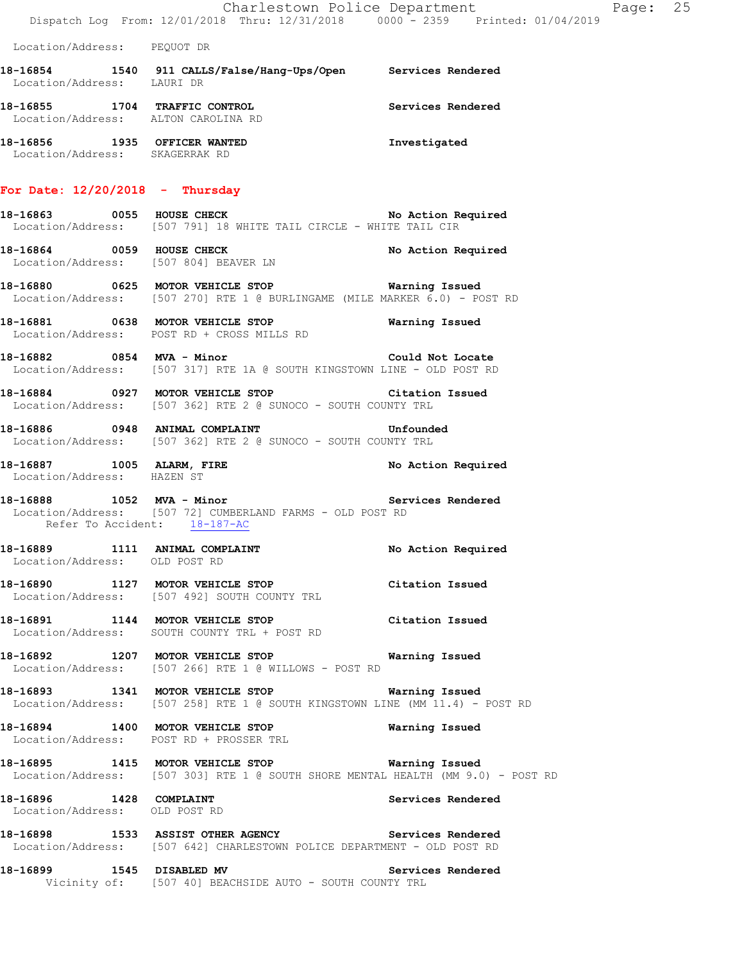|                                     |                                                                                                                                        | Charlestown Police Department | Page: 25 |  |
|-------------------------------------|----------------------------------------------------------------------------------------------------------------------------------------|-------------------------------|----------|--|
|                                     | Dispatch Log From: 12/01/2018 Thru: 12/31/2018 0000 - 2359 Printed: 01/04/2019                                                         |                               |          |  |
| Location/Address: PEQUOT DR         |                                                                                                                                        |                               |          |  |
| Location/Address: LAURI DR          | 18-16854 1540 911 CALLS/False/Hang-Ups/Open Services Rendered                                                                          |                               |          |  |
| Location/Address: ALTON CAROLINA RD | 18-16855 1704 TRAFFIC CONTROL                                                                                                          | Services Rendered             |          |  |
| Location/Address: SKAGERRAK RD      | 18-16856 1935 OFFICER WANTED                                                                                                           | Investigated                  |          |  |
| For Date: $12/20/2018$ - Thursday   |                                                                                                                                        |                               |          |  |
|                                     | 18-16863 0055 HOUSE CHECK<br>Location/Address: [507 791] 18 WHITE TAIL CIRCLE - WHITE TAIL CIR                                         | No Action Required            |          |  |
|                                     | 18-16864 0059 HOUSE CHECK<br>Location/Address: [507 804] BEAVER LN                                                                     | No Action Required            |          |  |
|                                     | 18-16880 0625 MOTOR VEHICLE STOP 6 Warning Issued<br>Location/Address: [507 270] RTE 1 @ BURLINGAME (MILE MARKER 6.0) - POST RD        |                               |          |  |
|                                     | Location/Address: POST RD + CROSS MILLS RD                                                                                             |                               |          |  |
|                                     | 18-16882 0854 MVA - Minor<br>Location/Address: [507 317] RTE 1A @ SOUTH KINGSTOWN LINE - OLD POST RD                                   | Could Not Locate              |          |  |
|                                     | 18-16884 0927 MOTOR VEHICLE STOP Citation Issued<br>Location/Address: [507 362] RTE 2 @ SUNOCO - SOUTH COUNTY TRL                      |                               |          |  |
|                                     | 18-16886 0948 ANIMAL COMPLAINT<br>Location/Address: [507 362] RTE 2 @ SUNOCO - SOUTH COUNTY TRL                                        | Unfounded                     |          |  |
| Location/Address: HAZEN ST          | 18-16887 1005 ALARM, FIRE                                                                                                              | No Action Required            |          |  |
| Refer To Accident: 18-187-AC        | Location/Address: [507 72] CUMBERLAND FARMS - OLD POST RD                                                                              |                               |          |  |
| Location/Address: OLD POST RD       | 18-16889 1111 ANIMAL COMPLAINT No Action Required                                                                                      |                               |          |  |
|                                     | 18-16890 1127 MOTOR VEHICLE STOP Citation Issued<br>Location/Address: [507 492] SOUTH COUNTY TRL                                       |                               |          |  |
|                                     | 18-16891 1144 MOTOR VEHICLE STOP<br>Location/Address: SOUTH COUNTY TRL + POST RD                                                       | Citation Issued               |          |  |
|                                     | 18-16892 1207 MOTOR VEHICLE STOP 6 Warning Issued<br>Location/Address: [507 266] RTE 1 @ WILLOWS - POST RD                             |                               |          |  |
|                                     | 18-16893 1341 MOTOR VEHICLE STOP <b>Warning Issued</b><br>Location/Address: [507 258] RTE 1 @ SOUTH KINGSTOWN LINE (MM 11.4) - POST RD |                               |          |  |
|                                     | 18-16894 1400 MOTOR VEHICLE STOP<br>Location/Address: POST RD + PROSSER TRL                                                            | Warning Issued                |          |  |
|                                     | 18-16895 1415 MOTOR VEHICLE STOP 6 Warning Issued<br>Location/Address: [507 303] RTE 1 @ SOUTH SHORE MENTAL HEALTH (MM 9.0) - POST RD  |                               |          |  |
| Location/Address: OLD POST RD       | 18-16896   1428   COMPLAINT                                                                                                            | Services Rendered             |          |  |
|                                     | 18-16898 1533 ASSIST OTHER AGENCY Services Rendered<br>Location/Address: [507 642] CHARLESTOWN POLICE DEPARTMENT - OLD POST RD         |                               |          |  |
|                                     | 18-16899 1545 DISABLED MV<br>Vicinity of: [507 40] BEACHSIDE AUTO - SOUTH COUNTY TRL                                                   | Services Rendered             |          |  |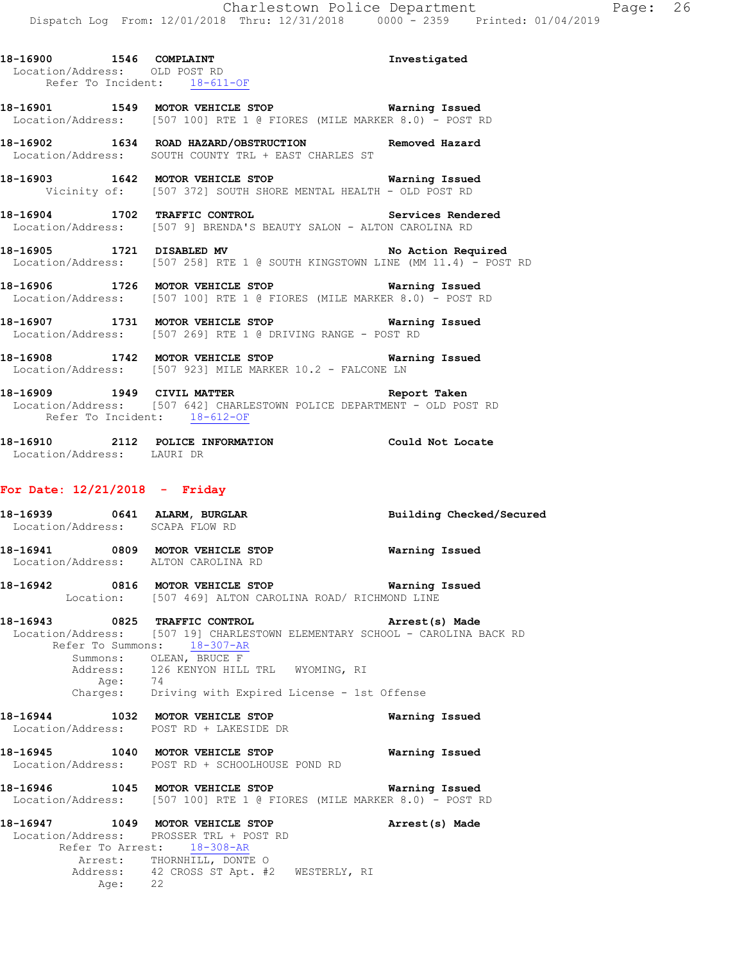**18-16900 1546 COMPLAINT Investigated**  Location/Address: OLD POST RD Refer To Incident: 18-611-OF

**18-16901 1549 MOTOR VEHICLE STOP Warning Issued**  Location/Address: [507 100] RTE 1 @ FIORES (MILE MARKER 8.0) - POST RD

**18-16902 1634 ROAD HAZARD/OBSTRUCTION Removed Hazard**  Location/Address: SOUTH COUNTY TRL + EAST CHARLES ST

**18-16903 1642 MOTOR VEHICLE STOP Warning Issued**  Vicinity of: [507 372] SOUTH SHORE MENTAL HEALTH - OLD POST RD

**18-16904 1702 TRAFFIC CONTROL Services Rendered**  Location/Address: [507 9] BRENDA'S BEAUTY SALON - ALTON CAROLINA RD

18-16905 1721 DISABLED MV **No Action Required** Location/Address: [507 258] RTE 1 @ SOUTH KINGSTOWN LINE (MM 11.4) - POST RD

**18-16906 1726 MOTOR VEHICLE STOP Warning Issued**  Location/Address: [507 100] RTE 1 @ FIORES (MILE MARKER 8.0) - POST RD

**18-16907 1731 MOTOR VEHICLE STOP Warning Issued**  Location/Address: [507 269] RTE 1 @ DRIVING RANGE - POST RD

**18-16908 1742 MOTOR VEHICLE STOP Warning Issued**  Location/Address: [507 923] MILE MARKER 10.2 - FALCONE LN

**18-16909 1949 CIVIL MATTER Report Taken**  Location/Address: [507 642] CHARLESTOWN POLICE DEPARTMENT - OLD POST RD Refer To Incident: 18-612-OF

**18-16910 2112 POLICE INFORMATION Could Not Locate**  Location/Address: LAURI DR

#### **For Date: 12/21/2018 - Friday**

**18-16939 0641 ALARM, BURGLAR Building Checked/Secured**  Location/Address: SCAPA FLOW RD **18-16941 0809 MOTOR VEHICLE STOP Warning Issued**  Location/Address: ALTON CAROLINA RD **18-16942 0816 MOTOR VEHICLE STOP Warning Issued**  Location: [507 469] ALTON CAROLINA ROAD/ RICHMOND LINE **18-16943 0825 TRAFFIC CONTROL Arrest(s) Made**  Location/Address: [507 19] CHARLESTOWN ELEMENTARY SCHOOL - CAROLINA BACK RD Refer To Summons: 18-307-AR Summons: OLEAN, BRUCE F Address: 126 KENYON HILL TRL WYOMING, RI<br>Age: 74 Age:<br>:Charges Driving with Expired License - 1st Offense **18-16944 1032 MOTOR VEHICLE STOP Warning Issued**  Location/Address: POST RD + LAKESIDE DR **18-16945 1040 MOTOR VEHICLE STOP Warning Issued**  Location/Address: POST RD + SCHOOLHOUSE POND RD **18-16946 1045 MOTOR VEHICLE STOP Warning Issued**  Location/Address: [507 100] RTE 1 @ FIORES (MILE MARKER 8.0) - POST RD **18-16947 1049 MOTOR VEHICLE STOP Arrest(s) Made**  Location/Address: PROSSER TRL + POST RD Refer To Arrest: 18-308-AR Arrest: THORNHILL, DONTE O<br>Address: 42 CROSS ST Apt. #2 42 CROSS ST Apt. #2 WESTERLY, RI Age: 22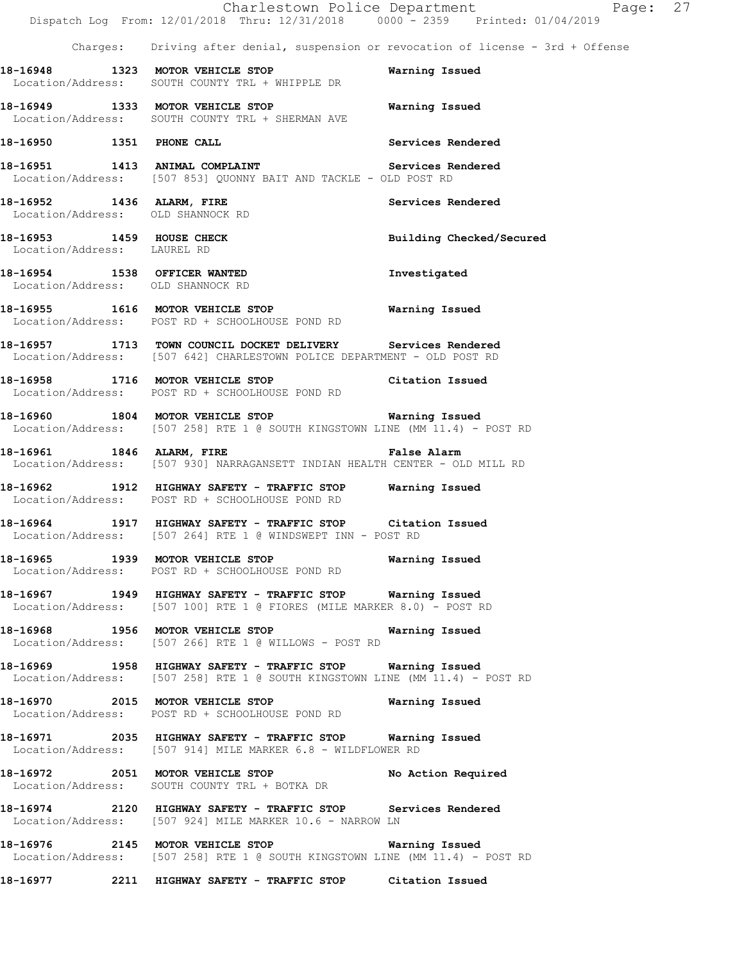|                             | Dispatch Log From: 12/01/2018 Thru: 12/31/2018 0000 - 2359 Printed: 01/04/2019                                                               | Charlestown Police Department<br>Page: 27                                          |  |
|-----------------------------|----------------------------------------------------------------------------------------------------------------------------------------------|------------------------------------------------------------------------------------|--|
|                             |                                                                                                                                              | Charges: Driving after denial, suspension or revocation of license - 3rd + Offense |  |
|                             | 18-16948 1323 MOTOR VEHICLE STOP<br>Location/Address: SOUTH COUNTY TRL + WHIPPLE DR                                                          | Warning Issued                                                                     |  |
|                             | 18-16949 1333 MOTOR VEHICLE STOP 6 Warning Issued<br>Location/Address: SOUTH COUNTY TRL + SHERMAN AVE                                        |                                                                                    |  |
|                             | 18-16950 1351 PHONE CALL                                                                                                                     | Services Rendered                                                                  |  |
|                             | 18-16951 1413 ANIMAL COMPLAINT Services Rendered<br>Location/Address: [507 853] QUONNY BAIT AND TACKLE - OLD POST RD                         |                                                                                    |  |
|                             | 18-16952 1436 ALARM, FIRE<br>Location/Address: OLD SHANNOCK RD                                                                               | Services Rendered                                                                  |  |
| Location/Address: LAUREL RD | 18-16953 1459 HOUSE CHECK                                                                                                                    | Building Checked/Secured                                                           |  |
|                             | 18-16954 1538 OFFICER WANTED<br>Location/Address: OLD SHANNOCK RD                                                                            | Investigated                                                                       |  |
|                             | 18-16955 1616 MOTOR VEHICLE STOP 6 Warning Issued<br>Location/Address: POST RD + SCHOOLHOUSE POND RD                                         |                                                                                    |  |
|                             | 18-16957 1713 TOWN COUNCIL DOCKET DELIVERY Services Rendered<br>Location/Address: [507 642] CHARLESTOWN POLICE DEPARTMENT - OLD POST RD      |                                                                                    |  |
|                             | 18-16958 1716 MOTOR VEHICLE STOP Citation Issued<br>Location/Address: POST RD + SCHOOLHOUSE POND RD                                          |                                                                                    |  |
|                             | 18-16960 1804 MOTOR VEHICLE STOP <b>WATER</b> Warning Issued<br>Location/Address: [507 258] RTE 1 @ SOUTH KINGSTOWN LINE (MM 11.4) - POST RD |                                                                                    |  |
|                             | 18-16961 1846 ALARM, FIRE <b>18-16961</b> False Alarm<br>Location/Address: [507 930] NARRAGANSETT INDIAN HEALTH CENTER - OLD MILL RD         |                                                                                    |  |
|                             | 18-16962 1912 HIGHWAY SAFETY - TRAFFIC STOP Warning Issued<br>Location/Address: POST RD + SCHOOLHOUSE POND RD                                |                                                                                    |  |
|                             | 18-16964 1917 HIGHWAY SAFETY - TRAFFIC STOP Citation Issued<br>Location/Address: [507 264] RTE 1 @ WINDSWEPT INN - POST RD                   |                                                                                    |  |
|                             | 18-16965 1939 MOTOR VEHICLE STOP 6 Warning Issued<br>Location/Address: POST RD + SCHOOLHOUSE POND RD                                         |                                                                                    |  |
|                             | 18-16967 1949 HIGHWAY SAFETY - TRAFFIC STOP Warning Issued<br>Location/Address: [507 100] RTE 1 @ FIORES (MILE MARKER 8.0) - POST RD         |                                                                                    |  |
|                             | 18-16968 1956 MOTOR VEHICLE STOP<br>Location/Address: [507 266] RTE 1 @ WILLOWS - POST RD                                                    | Warning Issued                                                                     |  |
|                             | 18-16969 1958 HIGHWAY SAFETY - TRAFFIC STOP Warning Issued<br>Location/Address: [507 258] RTE 1 @ SOUTH KINGSTOWN LINE (MM 11.4) - POST RD   |                                                                                    |  |
|                             | 18-16970 2015 MOTOR VEHICLE STOP<br>Location/Address: POST RD + SCHOOLHOUSE POND RD                                                          | Warning Issued                                                                     |  |
|                             | 18-16971 2035 HIGHWAY SAFETY - TRAFFIC STOP Warning Issued<br>Location/Address: [507 914] MILE MARKER 6.8 - WILDFLOWER RD                    |                                                                                    |  |
|                             | 18-16972 2051 MOTOR VEHICLE STOP<br>Location/Address: SOUTH COUNTY TRL + BOTKA DR                                                            | No Action Required                                                                 |  |
|                             | 18-16974 2120 HIGHWAY SAFETY - TRAFFIC STOP Services Rendered<br>Location/Address: [507 924] MILE MARKER 10.6 - NARROW LN                    |                                                                                    |  |
|                             | 18-16976 2145 MOTOR VEHICLE STOP 6 Warning Issued<br>Location/Address: [507 258] RTE 1 @ SOUTH KINGSTOWN LINE (MM 11.4) - POST RD            |                                                                                    |  |
|                             | 18-16977 2211 HIGHWAY SAFETY - TRAFFIC STOP Citation Issued                                                                                  |                                                                                    |  |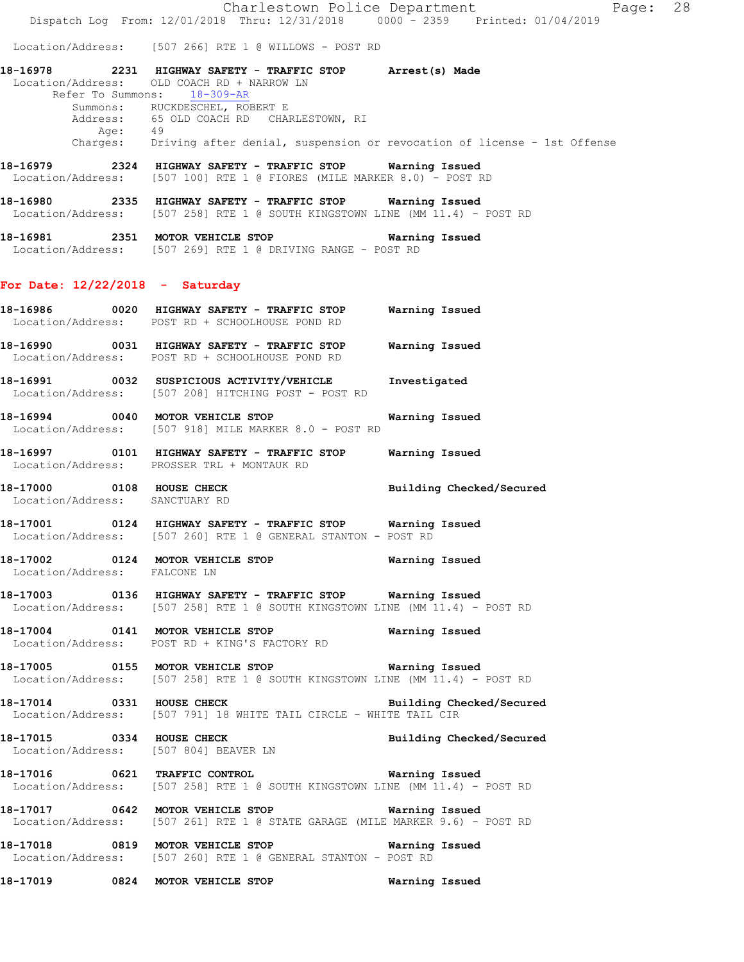Charlestown Police Department The Page: 28 Dispatch Log From: 12/01/2018 Thru: 12/31/2018 0000 - 2359 Printed: 01/04/2019

Location/Address: [507 266] RTE 1 @ WILLOWS - POST RD

**18-16978 2231 HIGHWAY SAFETY - TRAFFIC STOP Arrest(s) Made**  Location/Address: OLD COACH RD + NARROW LN Refer To Summons: 18-309-AR Summons: RUCKDESCHEL, ROBERT E Address: 65 OLD COACH RD CHARLESTOWN, RI Age: 49 Charges: Driving after denial, suspension or revocation of license - 1st Offense

**18-16979 2324 HIGHWAY SAFETY - TRAFFIC STOP Warning Issued**  Location/Address: [507 100] RTE 1 @ FIORES (MILE MARKER 8.0) - POST RD

**18-16980 2335 HIGHWAY SAFETY - TRAFFIC STOP Warning Issued**  Location/Address: [507 258] RTE 1 @ SOUTH KINGSTOWN LINE (MM 11.4) - POST RD

**18-16981 2351 MOTOR VEHICLE STOP Warning Issued**  Location/Address: [507 269] RTE 1 @ DRIVING RANGE - POST RD

### **For Date: 12/22/2018 - Saturday**

- **18-16986 0020 HIGHWAY SAFETY TRAFFIC STOP Warning Issued**  Location/Address: POST RD + SCHOOLHOUSE POND RD **18-16990 0031 HIGHWAY SAFETY - TRAFFIC STOP Warning Issued**
- Location/Address: POST RD + SCHOOLHOUSE POND RD **18-16991 0032 SUSPICIOUS ACTIVITY/VEHICLE Investigated**
- Location/Address: [507 208] HITCHING POST POST RD
- **18-16994 0040 MOTOR VEHICLE STOP Warning Issued**  Location/Address: [507 918] MILE MARKER 8.0 - POST RD
- **18-16997 0101 HIGHWAY SAFETY TRAFFIC STOP Warning Issued**  Location/Address: PROSSER TRL + MONTAUK RD
- **18-17000 0108 HOUSE CHECK Building Checked/Secured**  Location/Address: SANCTUARY RD
- **18-17001 0124 HIGHWAY SAFETY TRAFFIC STOP Warning Issued**  Location/Address: [507 260] RTE 1 @ GENERAL STANTON - POST RD
- **18-17002 0124 MOTOR VEHICLE STOP Warning Issued**  Location/Address: FALCONE LN
- **18-17003 0136 HIGHWAY SAFETY TRAFFIC STOP Warning Issued**  Location/Address: [507 258] RTE 1 @ SOUTH KINGSTOWN LINE (MM 11.4) - POST RD
- **18-17004 0141 MOTOR VEHICLE STOP Warning Issued**  Location/Address: POST RD + KING'S FACTORY RD

**18-17005 0155 MOTOR VEHICLE STOP Warning Issued**  Location/Address: [507 258] RTE 1 @ SOUTH KINGSTOWN LINE (MM 11.4) - POST RD

- **18-17014 0331 HOUSE CHECK Building Checked/Secured Building Checked/Secured Location/Address:** [507 791] 18 WHITE TAIL CIRCLE WHITE TAIL CIR [507 791] 18 WHITE TAIL CIRCLE - WHITE TAIL CIR
- **18-17015 0334 HOUSE CHECK Building Checked/Secured**  Location/Address: [507 804] BEAVER LN
- **18-17016 0621 TRAFFIC CONTROL Warning Issued**  Location/Address: [507 258] RTE 1 @ SOUTH KINGSTOWN LINE (MM 11.4) - POST RD
- **18-17017 0642 MOTOR VEHICLE STOP Warning Issued**  Location/Address: [507 261] RTE 1 @ STATE GARAGE (MILE MARKER 9.6) - POST RD
- **18-17018 0819 MOTOR VEHICLE STOP Warning Issued**  Location/Address: [507 260] RTE 1 @ GENERAL STANTON - POST RD

**18-17019 0824 MOTOR VEHICLE STOP Warning Issued**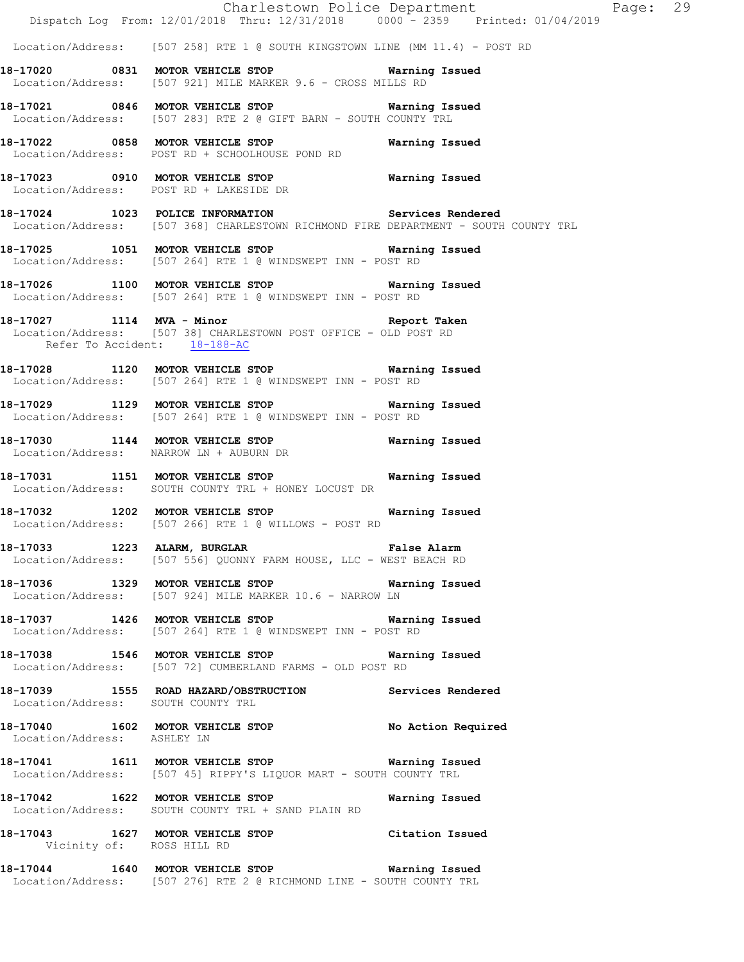|                                    | Dispatch Log From: 12/01/2018 Thru: 12/31/2018 0000 - 2359 Printed: 01/04/2019                                                            | Charlestown Police Department Fage: 29 |  |
|------------------------------------|-------------------------------------------------------------------------------------------------------------------------------------------|----------------------------------------|--|
|                                    | Location/Address: [507 258] RTE 1 @ SOUTH KINGSTOWN LINE (MM 11.4) - POST RD                                                              |                                        |  |
|                                    | 18-17020 0831 MOTOR VEHICLE STOP 6 Warning Issued<br>Location/Address: [507 921] MILE MARKER 9.6 - CROSS MILLS RD                         |                                        |  |
|                                    | 18-17021 0846 MOTOR VEHICLE STOP <b>WATER</b> Warning Issued<br>Location/Address: [507 283] RTE 2 @ GIFT BARN - SOUTH COUNTY TRL          |                                        |  |
|                                    | 18-17022 0858 MOTOR VEHICLE STOP 6 Warning Issued<br>Location/Address: POST RD + SCHOOLHOUSE POND RD                                      |                                        |  |
|                                    | 18-17023 0910 MOTOR VEHICLE STOP Warning Issued<br>Location/Address: POST RD + LAKESIDE DR                                                |                                        |  |
|                                    | 18-17024 1023 POLICE INFORMATION Services Rendered<br>Location/Address: [507 368] CHARLESTOWN RICHMOND FIRE DEPARTMENT - SOUTH COUNTY TRL |                                        |  |
|                                    | 18-17025 1051 MOTOR VEHICLE STOP 6 Warning Issued<br>Location/Address: [507 264] RTE 1 @ WINDSWEPT INN - POST RD                          |                                        |  |
|                                    | 18-17026 1100 MOTOR VEHICLE STOP 6 Warning Issued<br>Location/Address: [507 264] RTE 1 @ WINDSWEPT INN - POST RD                          |                                        |  |
| Refer To Accident: 18-188-AC       | 18-17027 1114 MVA - Minor 18-17027 2014<br>Location/Address: [507 38] CHARLESTOWN POST OFFICE - OLD POST RD                               |                                        |  |
|                                    | 18-17028 1120 MOTOR VEHICLE STOP 6 Warning Issued<br>Location/Address: [507 264] RTE 1 @ WINDSWEPT INN - POST RD                          |                                        |  |
|                                    | 18-17029 1129 MOTOR VEHICLE STOP 6 Warning Issued<br>Location/Address: [507 264] RTE 1 @ WINDSWEPT INN - POST RD                          |                                        |  |
|                                    | 18-17030 1144 MOTOR VEHICLE STOP 6 Warning Issued<br>Location/Address: NARROW LN + AUBURN DR                                              |                                        |  |
|                                    | 18-17031 1151 MOTOR VEHICLE STOP <b>Warning Issued</b><br>Location/Address: SOUTH COUNTY TRL + HONEY LOCUST DR                            |                                        |  |
|                                    | 18-17032 1202 MOTOR VEHICLE STOP 6 Warning Issued<br>Location/Address: [507 266] RTE 1 @ WILLOWS - POST RD                                |                                        |  |
|                                    | 18-17033 1223 ALARM, BURGLAR 18 12 False Alarm<br>Location/Address: [507 556] QUONNY FARM HOUSE, LLC - WEST BEACH RD                      |                                        |  |
|                                    | 18-17036 1329 MOTOR VEHICLE STOP 6 Warning Issued<br>Location/Address: [507 924] MILE MARKER 10.6 - NARROW LN                             |                                        |  |
|                                    | 18-17037 1426 MOTOR VEHICLE STOP 6 Warning Issued<br>Location/Address: [507 264] RTE 1 @ WINDSWEPT INN - POST RD                          |                                        |  |
|                                    | 18-17038 1546 MOTOR VEHICLE STOP 6 Warning Issued<br>Location/Address: [507 72] CUMBERLAND FARMS - OLD POST RD                            |                                        |  |
| Location/Address: SOUTH COUNTY TRL | 18-17039 1555 ROAD HAZARD/OBSTRUCTION Services Rendered                                                                                   |                                        |  |
| Location/Address: ASHLEY LN        | 18-17040 1602 MOTOR VEHICLE STOP No Action Required                                                                                       |                                        |  |
|                                    | 18-17041 1611 MOTOR VEHICLE STOP 6 Warning Issued<br>Location/Address: [507 45] RIPPY'S LIQUOR MART - SOUTH COUNTY TRL                    |                                        |  |
|                                    | 18-17042 1622 MOTOR VEHICLE STOP 6 Warning Issued<br>Location/Address: SOUTH COUNTY TRL + SAND PLAIN RD                                   |                                        |  |
| Vicinity of: ROSS HILL RD          | 18-17043 1627 MOTOR VEHICLE STOP Citation Issued                                                                                          |                                        |  |
|                                    | 18-17044 1640 MOTOR VEHICLE STOP 6 Warning Issued<br>Location/Address: [507 276] RTE 2 @ RICHMOND LINE - SOUTH COUNTY TRL                 |                                        |  |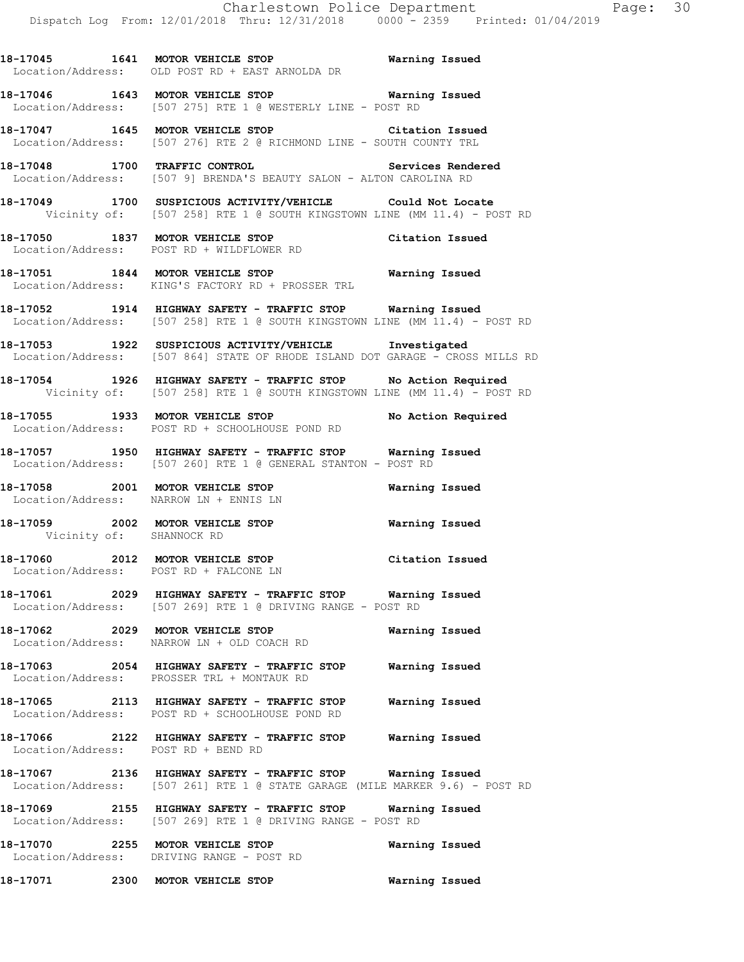**18-17045 1641 MOTOR VEHICLE STOP Warning Issued**  Location/Address: OLD POST RD + EAST ARNOLDA DR

**18-17046 1643 MOTOR VEHICLE STOP Warning Issued**  Location/Address: [507 275] RTE 1 @ WESTERLY LINE - POST RD

**18-17047 1645 MOTOR VEHICLE STOP Citation Issued**  Location/Address: [507 276] RTE 2 @ RICHMOND LINE - SOUTH COUNTY TRL

**18-17048 1700 TRAFFIC CONTROL Services Rendered**  Location/Address: [507 9] BRENDA'S BEAUTY SALON - ALTON CAROLINA RD

**18-17049 1700 SUSPICIOUS ACTIVITY/VEHICLE Could Not Locate**  Vicinity of: [507 258] RTE 1 @ SOUTH KINGSTOWN LINE (MM 11.4) - POST RD

**18-17050 1837 MOTOR VEHICLE STOP Citation Issued**  Location/Address: POST RD + WILDFLOWER RD

**18-17051 1844 MOTOR VEHICLE STOP Warning Issued**  Location/Address: KING'S FACTORY RD + PROSSER TRL

**18-17052 1914 HIGHWAY SAFETY - TRAFFIC STOP Warning Issued**  Location/Address: [507 258] RTE 1 @ SOUTH KINGSTOWN LINE (MM 11.4) - POST RD

**18-17053 1922 SUSPICIOUS ACTIVITY/VEHICLE Investigated**  Location/Address: [507 864] STATE OF RHODE ISLAND DOT GARAGE - CROSS MILLS RD

**18-17054 1926 HIGHWAY SAFETY - TRAFFIC STOP No Action Required**  Vicinity of: [507 258] RTE 1 @ SOUTH KINGSTOWN LINE (MM 11.4) - POST RD

**18-17055 1933 MOTOR VEHICLE STOP No Action Required**  Location/Address: POST RD + SCHOOLHOUSE POND RD

**18-17057 1950 HIGHWAY SAFETY - TRAFFIC STOP Warning Issued**  Location/Address: [507 260] RTE 1 @ GENERAL STANTON - POST RD

**18-17058 2001 MOTOR VEHICLE STOP Warning Issued** Location/Address: NARROW LN + ENNIS LN Location/Address:

**18-17059 2002 MOTOR VEHICLE STOP Warning Issued**  Vicinity of: SHANNOCK RD

**18-17060 2012 MOTOR VEHICLE STOP Citation Issued**  Location/Address: POST RD + FALCONE LN

**18-17061 2029 HIGHWAY SAFETY - TRAFFIC STOP Warning Issued**  Location/Address: [507 269] RTE 1 @ DRIVING RANGE - POST RD

**18-17062 2029 MOTOR VEHICLE STOP Warning Issued**  Location/Address: NARROW LN + OLD COACH RD

**18-17063 2054 HIGHWAY SAFETY - TRAFFIC STOP Warning Issued**  Location/Address: PROSSER TRL + MONTAUK RD

**18-17065 2113 HIGHWAY SAFETY - TRAFFIC STOP Warning Issued**  Location/Address: POST RD + SCHOOLHOUSE POND RD

**18-17066 2122 HIGHWAY SAFETY - TRAFFIC STOP Warning Issued**  Location/Address: POST RD + BEND RD

**18-17067 2136 HIGHWAY SAFETY - TRAFFIC STOP Warning Issued**  Location/Address: [507 261] RTE 1 @ STATE GARAGE (MILE MARKER 9.6) - POST RD

**18-17069 2155 HIGHWAY SAFETY - TRAFFIC STOP Warning Issued**  Location/Address: [507 269] RTE 1 @ DRIVING RANGE - POST RD

**18-17070 2255 MOTOR VEHICLE STOP Warning Issued**  Location/Address: DRIVING RANGE - POST RD

**18-17071 2300 MOTOR VEHICLE STOP Warning Issued**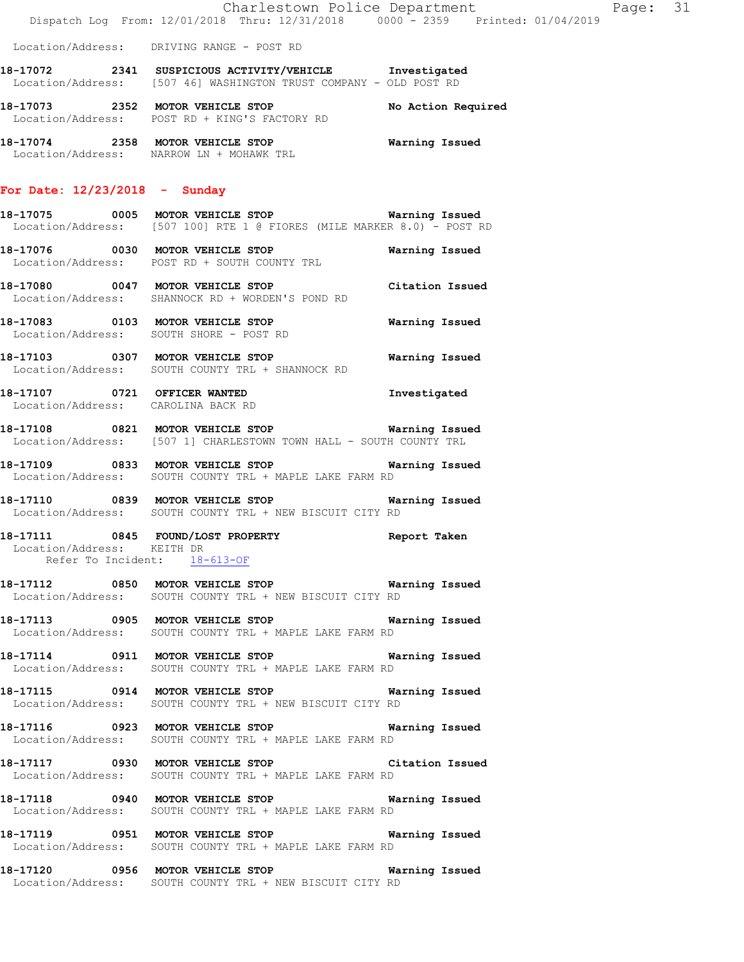**18-17072 2341 SUSPICIOUS ACTIVITY/VEHICLE Investigated**  Location/Address: [507 46] WASHINGTON TRUST COMPANY - OLD POST RD

**18-17073 2352 MOTOR VEHICLE STOP No Action Required**  Location/Address: POST RD + KING'S FACTORY RD

**18-17074 2358 MOTOR VEHICLE STOP Warning Issued**  Location/Address: NARROW LN + MOHAWK TRL

#### **For Date: 12/23/2018 - Sunday**

**18-17075 0005 MOTOR VEHICLE STOP Warning Issued**  Location/Address: [507 100] RTE 1 @ FIORES (MILE MARKER 8.0) - POST RD

**18-17076 0030 MOTOR VEHICLE STOP Warning Issued**  Location/Address: POST RD + SOUTH COUNTY TRL

**18-17080 0047 MOTOR VEHICLE STOP Citation Issued**  Location/Address: SHANNOCK RD + WORDEN'S POND RD

**18-17083 0103 MOTOR VEHICLE STOP Warning Issued**  Location/Address: SOUTH SHORE - POST RD

**18-17103 0307 MOTOR VEHICLE STOP Warning Issued**  Location/Address: SOUTH COUNTY TRL + SHANNOCK RD

**18-17107 0721 OFFICER WANTED Investigated**  Location/Address: CAROLINA BACK RD

**18-17108 0821 MOTOR VEHICLE STOP Warning Issued**  Location/Address: [507 1] CHARLESTOWN TOWN HALL - SOUTH COUNTY TRL

**18-17109 0833 MOTOR VEHICLE STOP Warning Issued**  Location/Address: SOUTH COUNTY TRL + MAPLE LAKE FARM RD

**18-17110 0839 MOTOR VEHICLE STOP Warning Issued**  Location/Address: SOUTH COUNTY TRL + NEW BISCUIT CITY RD

**18-17111 0845 FOUND/LOST PROPERTY Report Taken**  Location/Address: KEITH DR Refer To Incident: 18-613-OF

**18-17112 0850 MOTOR VEHICLE STOP Warning Issued**  Location/Address: SOUTH COUNTY TRL + NEW BISCUIT CITY RD

**18-17113 0905 MOTOR VEHICLE STOP Warning Issued**  Location/Address: SOUTH COUNTY TRL + MAPLE LAKE FARM RD

**18-17114 0911 MOTOR VEHICLE STOP Warning Issued**  Location/Address: SOUTH COUNTY TRL + MAPLE LAKE FARM RD

**18-17115 0914 MOTOR VEHICLE STOP Warning Issued**  Location/Address: SOUTH COUNTY TRL + NEW BISCUIT CITY RD

**18-17116 0923 MOTOR VEHICLE STOP Warning Issued**  Location/Address: SOUTH COUNTY TRL + MAPLE LAKE FARM RD

**18-17117 0930 MOTOR VEHICLE STOP Citation Issued**  Location/Address: SOUTH COUNTY TRL + MAPLE LAKE FARM RD

**18-17118 0940 MOTOR VEHICLE STOP Warning Issued**  Location/Address: SOUTH COUNTY TRL + MAPLE LAKE FARM RD

**18-17119 0951 MOTOR VEHICLE STOP Warning Issued**  Location/Address: SOUTH COUNTY TRL + MAPLE LAKE FARM RD

**18-17120 0956 MOTOR VEHICLE STOP Warning Issued**  Location/Address: SOUTH COUNTY TRL + NEW BISCUIT CITY RD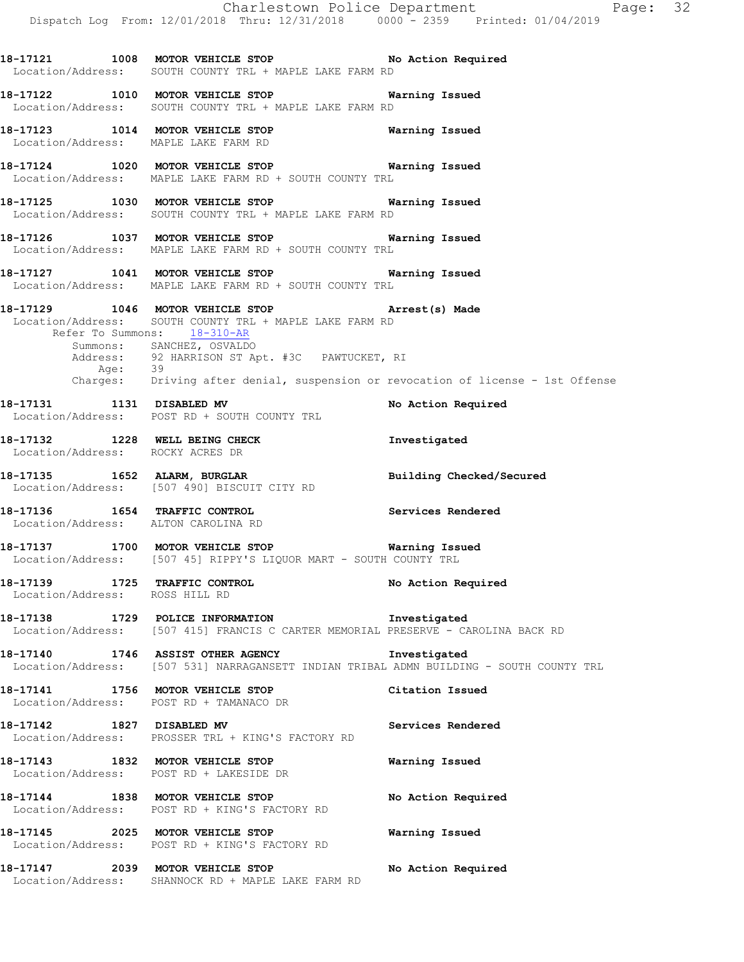Charlestown Police Department Fage: 32 Dispatch Log From: 12/01/2018 Thru: 12/31/2018 0000 - 2359 Printed: 01/04/2019 **18-17121 1008 MOTOR VEHICLE STOP No Action Required**  Location/Address: SOUTH COUNTY TRL + MAPLE LAKE FARM RD **18-17122 1010 MOTOR VEHICLE STOP Warning Issued**  Location/Address: SOUTH COUNTY TRL + MAPLE LAKE FARM RD **18-17123 1014 MOTOR VEHICLE STOP Warning Issued**  Location/Address: MAPLE LAKE FARM RD **18-17124 1020 MOTOR VEHICLE STOP Warning Issued**  Location/Address: MAPLE LAKE FARM RD + SOUTH COUNTY TRL **18-17125 1030 MOTOR VEHICLE STOP Warning Issued**  Location/Address: SOUTH COUNTY TRL + MAPLE LAKE FARM RD **18-17126 1037 MOTOR VEHICLE STOP Warning Issued**  Location/Address: MAPLE LAKE FARM RD + SOUTH COUNTY TRL **18-17127 1041 MOTOR VEHICLE STOP Warning Issued**  Location/Address: MAPLE LAKE FARM RD + SOUTH COUNTY TRL **18-17129 1046 MOTOR VEHICLE STOP Arrest(s) Made**  Location/Address: SOUTH COUNTY TRL + MAPLE LAKE FARM RD Refer To Summons: 18-310-AR Summons: SANCHEZ, OSVALDO Address: 92 HARRISON ST Apt. #3C PAWTUCKET, RI Age: 39 Charges: Driving after denial, suspension or revocation of license - 1st Offense 18-17131 1131 DISABLED MV No Action Required Location/Address: POST RD + SOUTH COUNTY TRL **18-17132 1228 WELL BEING CHECK Investigated**  Location/Address: ROCKY ACRES DR **18-17135 1652 ALARM, BURGLAR Building Checked/Secured**  Location/Address: [507 490] BISCUIT CITY RD **18-17136 1654 TRAFFIC CONTROL Services Rendered**  Location/Address: ALTON CAROLINA RD **18-17137 1700 MOTOR VEHICLE STOP Warning Issued**  Location/Address: [507 45] RIPPY'S LIQUOR MART - SOUTH COUNTY TRL 18-17139 **1725 TRAFFIC CONTROL 18-17139** No Action Required Location/Address: ROSS HILL RD **18-17138 1729 POLICE INFORMATION Investigated**  Location/Address: [507 415] FRANCIS C CARTER MEMORIAL PRESERVE - CAROLINA BACK RD **18-17140 1746 ASSIST OTHER AGENCY Investigated**  Location/Address: [507 531] NARRAGANSETT INDIAN TRIBAL ADMN BUILDING - SOUTH COUNTY TRL **18-17141 1756 MOTOR VEHICLE STOP Citation Issued**  Location/Address: POST RD + TAMANACO DR **18-17142 1827 DISABLED MV Services Rendered**  Location/Address: PROSSER TRL + KING'S FACTORY RD **18-17143 1832 MOTOR VEHICLE STOP Warning Issued**  Location/Address: POST RD + LAKESIDE DR **18-17144 1838 MOTOR VEHICLE STOP No Action Required**  Location/Address: POST RD + KING'S FACTORY RD **18-17145 2025 MOTOR VEHICLE STOP Warning Issued**  Location/Address: POST RD + KING'S FACTORY RD

**18-17147 2039 MOTOR VEHICLE STOP No Action Required**  Location/Address: SHANNOCK RD + MAPLE LAKE FARM RD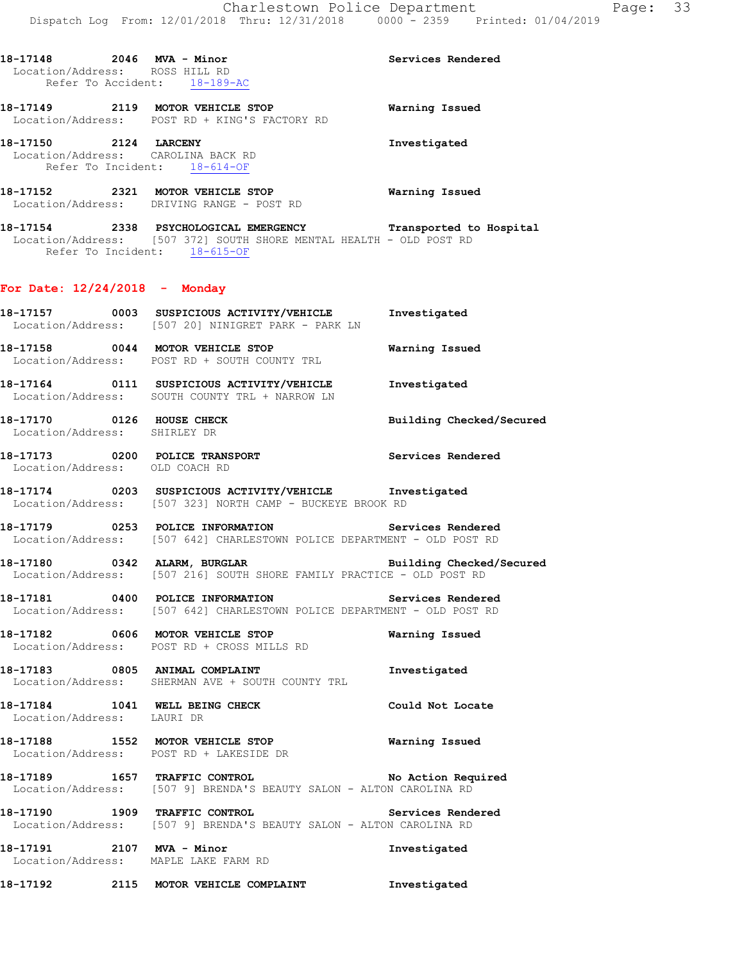| 18-17148 |      | 2046 MVA - Minor               | Services Rendered |
|----------|------|--------------------------------|-------------------|
|          |      | Location/Address: ROSS HILL RD |                   |
|          |      | Refer To Accident: 18-189-AC   |                   |
| 18-17149 | 2119 | MOTOR VEHICLE STOP             | Warning Issued    |

 Location/Address: POST RD + KING'S FACTORY RD **18-17150 2124 LARCENY Investigated**  Location/Address: CAROLINA BACK RD

Refer To Incident: 18-614-OF

**18-17152 2321 MOTOR VEHICLE STOP Warning Issued**  Location/Address: DRIVING RANGE - POST RD

**18-17154 2338 PSYCHOLOGICAL EMERGENCY Transported to Hospital**  Location/Address: [507 372] SOUTH SHORE MENTAL HEALTH - OLD POST RD Refer To Incident: 18-615-OF

### **For Date: 12/24/2018 - Monday**

Location/Address: SOUTH COUNTY TRL + NARROW LN

| 18-17157 | 0003 | SUSPICIOUS ACTIVITY/VEHICLE<br>Location/Address: [507 20] NINIGRET PARK - PARK LN | Investigated   |
|----------|------|-----------------------------------------------------------------------------------|----------------|
| 18-17158 | 0044 | MOTOR VEHICLE STOP<br>Location/Address: POST RD + SOUTH COUNTY TRL                | Warning Issued |
| 18-17164 | 0111 | SUSPICIOUS ACTIVITY/VEHICLE                                                       | Investigated   |

**18-17170 0126 HOUSE CHECK Building Checked/Secured**  Location/Address: SHIRLEY DR

**18-17173 0200 POLICE TRANSPORT Services Rendered**  Location/Address: OLD COACH RD

**18-17174 0203 SUSPICIOUS ACTIVITY/VEHICLE Investigated**  Location/Address: [507 323] NORTH CAMP - BUCKEYE BROOK RD

**18-17179 0253 POLICE INFORMATION Services Rendered**  Location/Address: [507 642] CHARLESTOWN POLICE DEPARTMENT - OLD POST RD

**18-17180 0342 ALARM, BURGLAR Building Checked/Secured**  Location/Address: [507 216] SOUTH SHORE FAMILY PRACTICE - OLD POST RD

**18-17181 0400 POLICE INFORMATION Services Rendered**  Location/Address: [507 642] CHARLESTOWN POLICE DEPARTMENT - OLD POST RD

**18-17182 0606 MOTOR VEHICLE STOP Warning Issued**  Location/Address: POST RD + CROSS MILLS RD

**18-17183 0805 ANIMAL COMPLAINT Investigated**  Location/Address: SHERMAN AVE + SOUTH COUNTY TRL

18-17184 1041 WELL BEING CHECK Could Not Locate Location/Address: LAURI DR

**18-17188 1552 MOTOR VEHICLE STOP Warning Issued**  Location/Address: POST RD + LAKESIDE DR

**18-17189 1657 TRAFFIC CONTROL No Action Required**  Location/Address: [507 9] BRENDA'S BEAUTY SALON - ALTON CAROLINA RD

**18-17190 1909 TRAFFIC CONTROL Services Rendered**  Location/Address: [507 9] BRENDA'S BEAUTY SALON - ALTON CAROLINA RD

**18-17191 2107 MVA - Minor Investigated**  Location/Address: MAPLE LAKE FARM RD

**18-17192 2115 MOTOR VEHICLE COMPLAINT Investigated**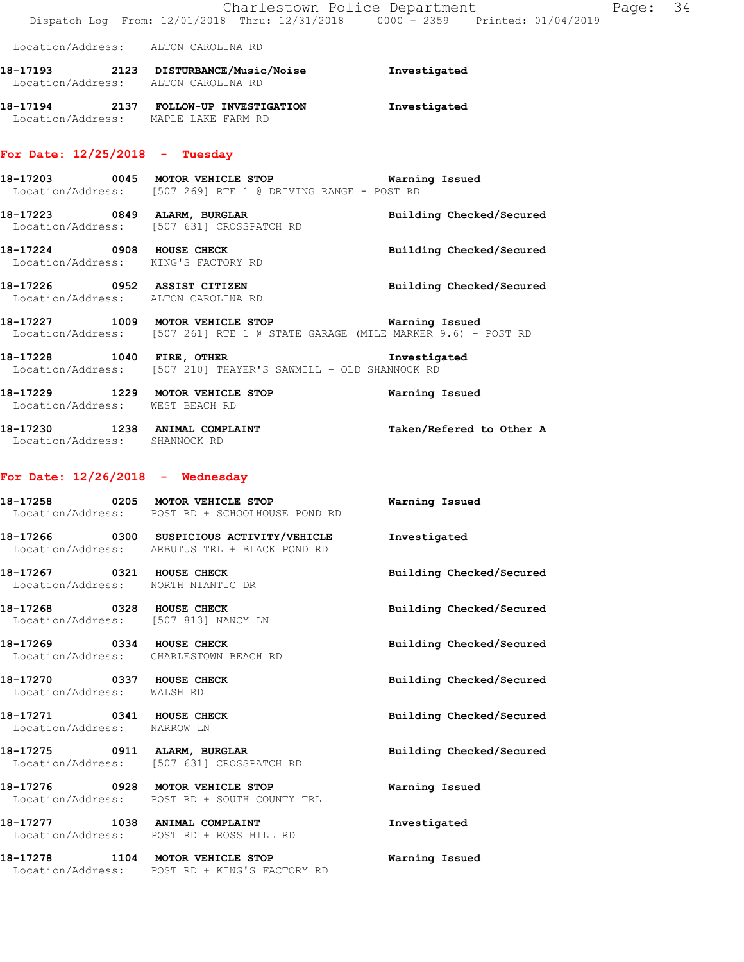|                                                          | Dispatch Log From: 12/01/2018 Thru: 12/31/2018 0000 - 2359 Printed: 01/04/2019                                                  | Charlestown Police Department | Page: 34 |  |
|----------------------------------------------------------|---------------------------------------------------------------------------------------------------------------------------------|-------------------------------|----------|--|
|                                                          | Location/Address: ALTON CAROLINA RD                                                                                             |                               |          |  |
|                                                          | 18-17193 2123 DISTURBANCE/Music/Noise Investigated<br>Location/Address: ALTON CAROLINA RD                                       |                               |          |  |
|                                                          | 18-17194 2137 FOLLOW-UP INVESTIGATION Investigated<br>Location/Address: MAPLE LAKE FARM RD                                      |                               |          |  |
| For Date: $12/25/2018$ - Tuesday                         |                                                                                                                                 |                               |          |  |
|                                                          | 18-17203 0045 MOTOR VEHICLE STOP 6 Warning Issued<br>Location/Address: [507 269] RTE 1 @ DRIVING RANGE - POST RD                |                               |          |  |
|                                                          | 18-17223 0849 ALARM, BURGLAR<br>Location/Address: [507 631] CROSSPATCH RD                                                       | Building Checked/Secured      |          |  |
|                                                          | 18-17224 0908 HOUSE CHECK<br>Location/Address: KING'S FACTORY RD                                                                | Building Checked/Secured      |          |  |
|                                                          | 18-17226 0952 ASSIST CITIZEN<br>Location/Address: ALTON CAROLINA RD                                                             | Building Checked/Secured      |          |  |
|                                                          | 18-17227 1009 MOTOR VEHICLE STOP Warning Issued<br>Location/Address: [507 261] RTE 1 @ STATE GARAGE (MILE MARKER 9.6) - POST RD |                               |          |  |
|                                                          | 18-17228 1040 FIRE, OTHER 18-17228<br>Location/Address: [507 210] THAYER'S SAWMILL - OLD SHANNOCK RD                            |                               |          |  |
| Location/Address: WEST BEACH RD                          | 18-17229 1229 MOTOR VEHICLE STOP 6 Warning Issued                                                                               |                               |          |  |
| Location/Address: SHANNOCK RD                            | 18-17230 1238 ANIMAL COMPLAINT Taken/Refered to Other A                                                                         |                               |          |  |
| For Date: $12/26/2018$ - Wednesday                       |                                                                                                                                 |                               |          |  |
|                                                          | 18-17258 6205 MOTOR VEHICLE STOP 6 Warning Issued<br>Location/Address: POST RD + SCHOOLHOUSE POND RD                            |                               |          |  |
|                                                          | 18-17266 0300 SUSPICIOUS ACTIVITY/VEHICLE <b>Investigated</b><br>Location/Address: ARBUTUS TRL + BLACK POND RD                  |                               |          |  |
|                                                          | 18-17267 0321 HOUSE CHECK<br>Location/Address: NORTH NIANTIC DR                                                                 | Building Checked/Secured      |          |  |
|                                                          | 18-17268 0328 HOUSE CHECK<br>Location/Address: [507 813] NANCY LN                                                               | Building Checked/Secured      |          |  |
|                                                          | 18-17269 0334 HOUSE CHECK<br>Location/Address: CHARLESTOWN BEACH RD                                                             | Building Checked/Secured      |          |  |
| 18-17270 0337 HOUSE CHECK<br>Location/Address: WALSH RD  |                                                                                                                                 | Building Checked/Secured      |          |  |
| 18-17271 0341 HOUSE CHECK<br>Location/Address: NARROW LN |                                                                                                                                 | Building Checked/Secured      |          |  |
|                                                          | 18-17275 0911 ALARM, BURGLAR<br>Location/Address: [507 631] CROSSPATCH RD                                                       | Building Checked/Secured      |          |  |
|                                                          | 18-17276 0928 MOTOR VEHICLE STOP<br>Location/Address: POST RD + SOUTH COUNTY TRL                                                | Warning Issued                |          |  |
|                                                          | 18-17277 1038 ANIMAL COMPLAINT<br>Location/Address: POST RD + ROSS HILL RD                                                      | Investigated                  |          |  |
|                                                          | 18-17278 1104 MOTOR VEHICLE STOP<br>Location/Address: POST RD + KING'S FACTORY RD                                               | Warning Issued                |          |  |
|                                                          |                                                                                                                                 |                               |          |  |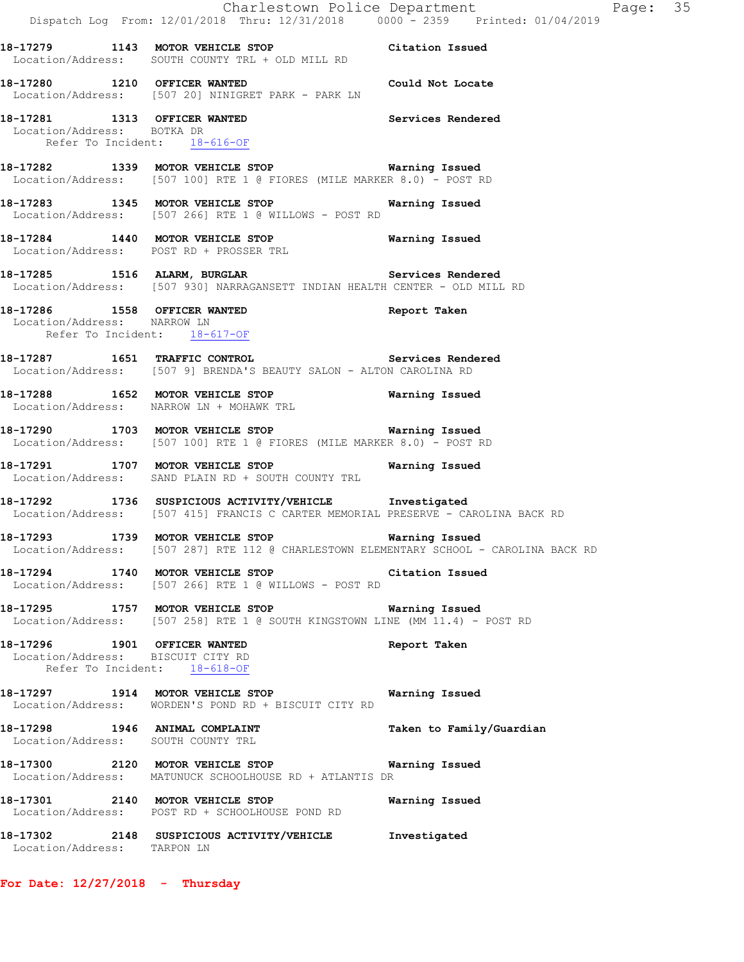|                                   | Dispatch Log From: 12/01/2018 Thru: 12/31/2018 0000 - 2359 Printed: 01/04/2019                                                                                      | Charlestown Police Department | Page: 35 |  |
|-----------------------------------|---------------------------------------------------------------------------------------------------------------------------------------------------------------------|-------------------------------|----------|--|
|                                   | 18-17279 1143 MOTOR VEHICLE STOP Citation Issued                                                                                                                    |                               |          |  |
| 18-17280 1210 OFFICER WANTED      | Location/Address: SOUTH COUNTY TRL + OLD MILL RD<br>Could Not Locate                                                                                                |                               |          |  |
| Location/Address: BOTKA DR        | Location/Address: [507 20] NINIGRET PARK - PARK LN<br>18-17281 1313 OFFICER WANTED Services Rendered<br>Refer To Incident: 18-616-OF                                |                               |          |  |
|                                   | 18-17282 1339 MOTOR VEHICLE STOP 6 Warning Issued<br>Location/Address: [507 100] RTE 1 @ FIORES (MILE MARKER 8.0) - POST RD                                         |                               |          |  |
|                                   | 18-17283 1345 MOTOR VEHICLE STOP 6 Warning Issued<br>Location/Address: [507 266] RTE 1 @ WILLOWS - POST RD                                                          |                               |          |  |
|                                   | 18-17284 1440 MOTOR VEHICLE STOP 6 Warning Issued<br>Location/Address: POST RD + PROSSER TRL                                                                        |                               |          |  |
|                                   | 18-17285 1516 ALARM, BURGLAR Services Rendered<br>Location/Address: [507 930] NARRAGANSETT INDIAN HEALTH CENTER - OLD MILL RD                                       |                               |          |  |
| Location/Address: NARROW LN       | 18-17286 1558 OFFICER WANTED<br>Refer To Incident: 18-617-OF                                                                                                        | Report Taken                  |          |  |
|                                   | 18-17287 1651 TRAFFIC CONTROL<br>Location/Address: [507 9] BRENDA'S BEAUTY SALON - ALTON CAROLINA RD                                                                | Services Rendered             |          |  |
|                                   | 18-17288   1652   MOTOR VEHICLE STOP   Warning Issued Location/Address:   NARROW LN + MOHAWK TRL                                                                    |                               |          |  |
|                                   | 18-17290 1703 MOTOR VEHICLE STOP 6 Warning Issued<br>Location/Address: [507 100] RTE 1 @ FIORES (MILE MARKER 8.0) - POST RD                                         |                               |          |  |
|                                   | 18-17291 1707 MOTOR VEHICLE STOP 6 Warning Issued<br>Location/Address: SAND PLAIN RD + SOUTH COUNTY TRL                                                             |                               |          |  |
|                                   | 18-17292 1736 SUSPICIOUS ACTIVITY/VEHICLE Investigated<br>Location/Address: [507 415] FRANCIS C CARTER MEMORIAL PRESERVE - CAROLINA BACK RD                         |                               |          |  |
|                                   | 18-17293 1739 MOTOR VEHICLE STOP<br>Location/Address: [507 287] RTE 112 @ CHARLESTOWN ELEMENTARY SCHOOL - CAROLINA BACK RD                                          | Warning Issued                |          |  |
|                                   | 18-17294 1740 MOTOR VEHICLE STOP Citation Issued<br>Location/Address: [507 266] RTE 1 @ WILLOWS - POST RD<br>18-17295 1757 MOTOR VEHICLE STOP <b>Warning Issued</b> |                               |          |  |
| 18-17296 1901 OFFICER WANTED      | Location/Address: [507 258] RTE 1 @ SOUTH KINGSTOWN LINE (MM 11.4) - POST RD                                                                                        | Report Taken                  |          |  |
| Location/Address: BISCUIT CITY RD | Refer To Incident: 18-618-OF                                                                                                                                        |                               |          |  |
|                                   | 18-17297 1914 MOTOR VEHICLE STOP<br>Location/Address: WORDEN'S POND RD + BISCUIT CITY RD                                                                            | Warning Issued                |          |  |
|                                   | 18-17298 1946 ANIMAL COMPLAINT<br>Location/Address: SOUTH COUNTY TRL                                                                                                | Taken to Family/Guardian      |          |  |
|                                   | 18-17300 2120 MOTOR VEHICLE STOP Warning Issued<br>Location/Address: MATUNUCK SCHOOLHOUSE RD + ATLANTIS DR                                                          |                               |          |  |
|                                   | 18-17301 2140 MOTOR VEHICLE STOP<br>Location/Address: POST RD + SCHOOLHOUSE POND RD                                                                                 | Warning Issued                |          |  |
| Location/Address: TARPON LN       | 18-17302 2148 SUSPICIOUS ACTIVITY/VEHICLE Investigated                                                                                                              |                               |          |  |

**For Date: 12/27/2018 - Thursday**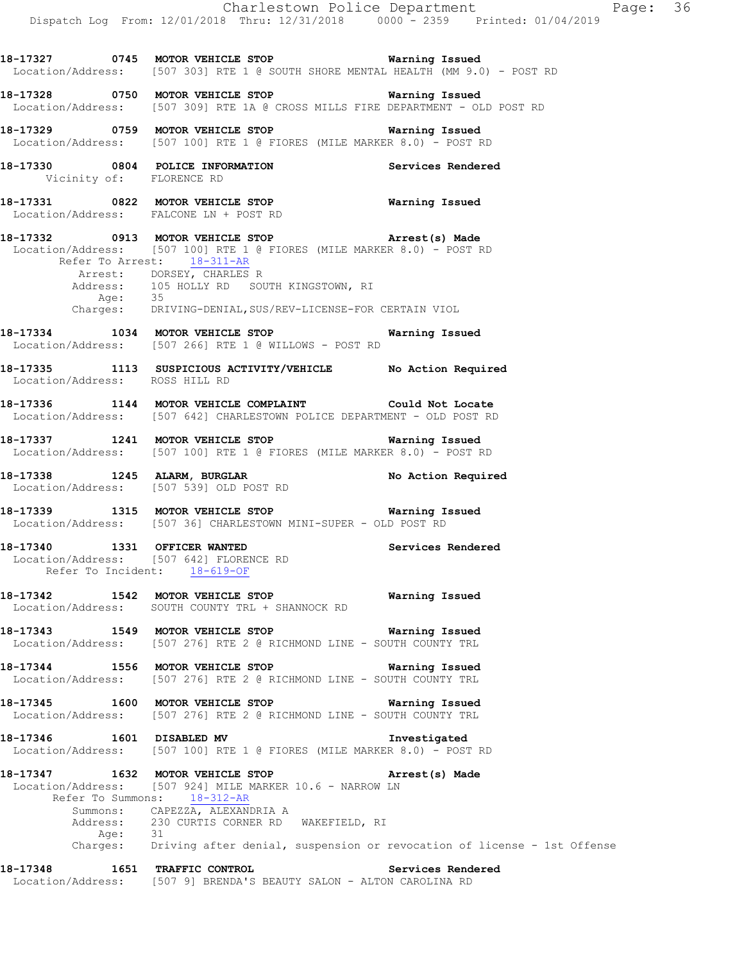|                                                              | Dispatch Log From: 12/01/2018 Thru: 12/31/2018 0000 - 2359 Printed: 01/04/2019                                                                                                                                                                                          | Charlestown Police Department | Page: 36 |  |
|--------------------------------------------------------------|-------------------------------------------------------------------------------------------------------------------------------------------------------------------------------------------------------------------------------------------------------------------------|-------------------------------|----------|--|
|                                                              | 18-17327 0745 MOTOR VEHICLE STOP 6 Warning Issued<br>Location/Address: [507 303] RTE 1 @ SOUTH SHORE MENTAL HEALTH (MM 9.0) - POST RD                                                                                                                                   |                               |          |  |
|                                                              | 18-17328 0750 MOTOR VEHICLE STOP Warning Issued<br>Location/Address: [507 309] RTE 1A @ CROSS MILLS FIRE DEPARTMENT - OLD POST RD                                                                                                                                       |                               |          |  |
|                                                              | 18-17329 0759 MOTOR VEHICLE STOP Warning Issued<br>Location/Address: [507 100] RTE 1 @ FIORES (MILE MARKER 8.0) - POST RD                                                                                                                                               |                               |          |  |
|                                                              | 18-17330 0804 POLICE INFORMATION<br>Vicinity of: FLORENCE RD                                                                                                                                                                                                            | Services Rendered             |          |  |
|                                                              | 18-17331 0822 MOTOR VEHICLE STOP<br>Location/Address: FALCONE LN + POST RD                                                                                                                                                                                              | Warning Issued                |          |  |
| Refer To Arrest: 18-311-AR                                   | 18-17332 0913 MOTOR VEHICLE STOP <b>Arrest</b> (s) Made<br>Location/Address: [507 100] RTE 1 @ FIORES (MILE MARKER 8.0) - POST RD<br>Arrest: DORSEY, CHARLES R<br>Address: 105 HOLLY RD SOUTH KINGSTOWN, RI                                                             |                               |          |  |
|                                                              | Age: 35<br>Charges: DRIVING-DENIAL, SUS/REV-LICENSE-FOR CERTAIN VIOL                                                                                                                                                                                                    |                               |          |  |
|                                                              | 18-17334 1034 MOTOR VEHICLE STOP <b>Warning Issued</b><br>Location/Address: [507 266] RTE 1 @ WILLOWS - POST RD                                                                                                                                                         |                               |          |  |
| Location/Address: ROSS HILL RD                               | 18-17335 1113 SUSPICIOUS ACTIVITY/VEHICLE No Action Required                                                                                                                                                                                                            |                               |          |  |
|                                                              | 18-17336 1144 MOTOR VEHICLE COMPLAINT Could Not Locate<br>Location/Address: [507 642] CHARLESTOWN POLICE DEPARTMENT - OLD POST RD                                                                                                                                       |                               |          |  |
|                                                              | 18-17337 1241 MOTOR VEHICLE STOP <b>Warning Issued</b><br>Location/Address: [507 100] RTE 1 @ FIORES (MILE MARKER 8.0) - POST RD                                                                                                                                        |                               |          |  |
|                                                              | 18-17338 1245 ALARM, BURGLAR No Action Required Location/Address: [507 539] OLD POST RD                                                                                                                                                                                 |                               |          |  |
|                                                              | 18-17339 1315 MOTOR VEHICLE STOP 6 Warning Issued<br>Location/Address: [507 36] CHARLESTOWN MINI-SUPER - OLD POST RD                                                                                                                                                    |                               |          |  |
| 18-17340 1331 OFFICER WANTED<br>Refer To Incident: 18-619-OF | Location/Address: [507 642] FLORENCE RD                                                                                                                                                                                                                                 | Services Rendered             |          |  |
|                                                              | 18-17342 1542 MOTOR VEHICLE STOP <b>Warning Issued</b><br>Location/Address: SOUTH COUNTY TRL + SHANNOCK RD                                                                                                                                                              |                               |          |  |
|                                                              | 18-17343 1549 MOTOR VEHICLE STOP<br>Location/Address: [507 276] RTE 2 @ RICHMOND LINE - SOUTH COUNTY TRL                                                                                                                                                                | Warning Issued                |          |  |
|                                                              | 18-17344 1556 MOTOR VEHICLE STOP 6 Warning Issued<br>Location/Address: [507 276] RTE 2 @ RICHMOND LINE - SOUTH COUNTY TRL                                                                                                                                               |                               |          |  |
|                                                              | 18-17345 1600 MOTOR VEHICLE STOP 6 Warning Issued<br>Location/Address: [507 276] RTE 2 @ RICHMOND LINE - SOUTH COUNTY TRL                                                                                                                                               |                               |          |  |
|                                                              | 18-17346   1601   DISABLED MV<br>Location/Address: [507 100] RTE 1 @ FIORES (MILE MARKER 8.0) - POST RD                                                                                                                                                                 | Investigated                  |          |  |
| 18-17347 1632 MOTOR VEHICLE STOP                             | Location/Address: [507 924] MILE MARKER 10.6 - NARROW LN<br>Refer To Summons: 18-312-AR<br>Summons: CAPEZZA, ALEXANDRIA A<br>Address: 230 CURTIS CORNER RD WAKEFIELD, RI<br>Age: 31<br>Charges: Driving after denial, suspension or revocation of license - 1st Offense | Arrest(s) Made                |          |  |
| 18-17348 1651 TRAFFIC CONTROL                                |                                                                                                                                                                                                                                                                         | Services Rendered             |          |  |

Location/Address: [507 9] BRENDA'S BEAUTY SALON - ALTON CAROLINA RD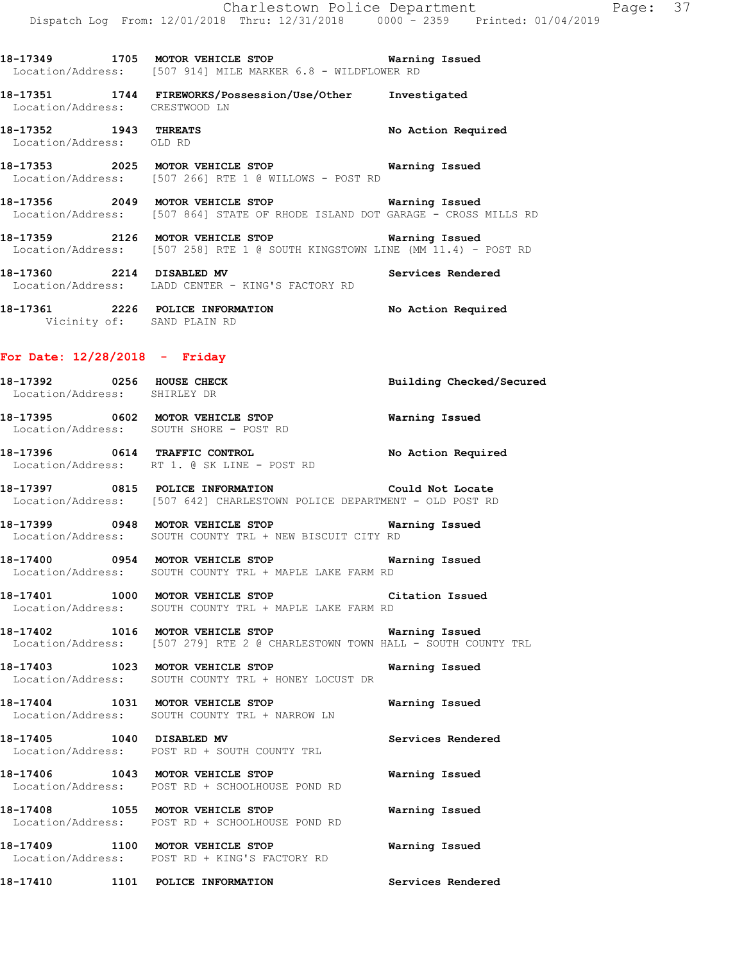**18-17351 1744 FIREWORKS/Possession/Use/Other Investigated**  Location/Address: CRESTWOOD LN

**18-17352 1943 THREATS No Action Required**  Location/Address: OLD RD

**18-17353 2025 MOTOR VEHICLE STOP Warning Issued**  Location/Address: [507 266] RTE 1 @ WILLOWS - POST RD

- **18-17356 2049 MOTOR VEHICLE STOP Warning Issued**  Location/Address: [507 864] STATE OF RHODE ISLAND DOT GARAGE - CROSS MILLS RD
- **18-17359 2126 MOTOR VEHICLE STOP Warning Issued**  Location/Address: [507 258] RTE 1 @ SOUTH KINGSTOWN LINE (MM 11.4) - POST RD

**18-17360 2214 DISABLED MV Services Rendered**  Location/Address: LADD CENTER - KING'S FACTORY RD

**18-17361 2226 POLICE INFORMATION No Action Required**  Vicinity of: SAND PLAIN RD

#### **For Date: 12/28/2018 - Friday**

Location/Address: SOUTH SHORE - POST RD

**18-17392 0256 HOUSE CHECK Building Checked/Secured**  Location/Address: SHIRLEY DR **18-17395 0602 MOTOR VEHICLE STOP Warning Issued** 

**18-17396 0614 TRAFFIC CONTROL No Action Required**  Location/Address: RT 1. @ SK LINE - POST RD

**18-17397 0815 POLICE INFORMATION Could Not Locate**  Location/Address: [507 642] CHARLESTOWN POLICE DEPARTMENT - OLD POST RD

**18-17399 0948 MOTOR VEHICLE STOP Warning Issued**  Location/Address: SOUTH COUNTY TRL + NEW BISCUIT CITY RD

**18-17400 0954 MOTOR VEHICLE STOP Warning Issued**  Location/Address: SOUTH COUNTY TRL + MAPLE LAKE FARM RD

**18-17401 1000 MOTOR VEHICLE STOP Citation Issued**  Location/Address: SOUTH COUNTY TRL + MAPLE LAKE FARM RD

**18-17402 1016 MOTOR VEHICLE STOP Warning Issued**  Location/Address: [507 279] RTE 2 @ CHARLESTOWN TOWN HALL - SOUTH COUNTY TRL

**18-17403 1023 MOTOR VEHICLE STOP Warning Issued**  Location/Address: SOUTH COUNTY TRL + HONEY LOCUST DR

**18-17404 1031 MOTOR VEHICLE STOP Warning Issued**  Location/Address: SOUTH COUNTY TRL + NARROW LN

**18-17405 1040 DISABLED MV Services Rendered**  Location/Address: POST RD + SOUTH COUNTY TRL

**18-17406 1043 MOTOR VEHICLE STOP Warning Issued**  Location/Address: POST RD + SCHOOLHOUSE POND RD

**18-17408 1055 MOTOR VEHICLE STOP Warning Issued**  Location/Address: POST RD + SCHOOLHOUSE POND RD

**18-17409 1100 MOTOR VEHICLE STOP Warning Issued**  Location/Address: POST RD + KING'S FACTORY RD

**18-17410 1101 POLICE INFORMATION Services Rendered**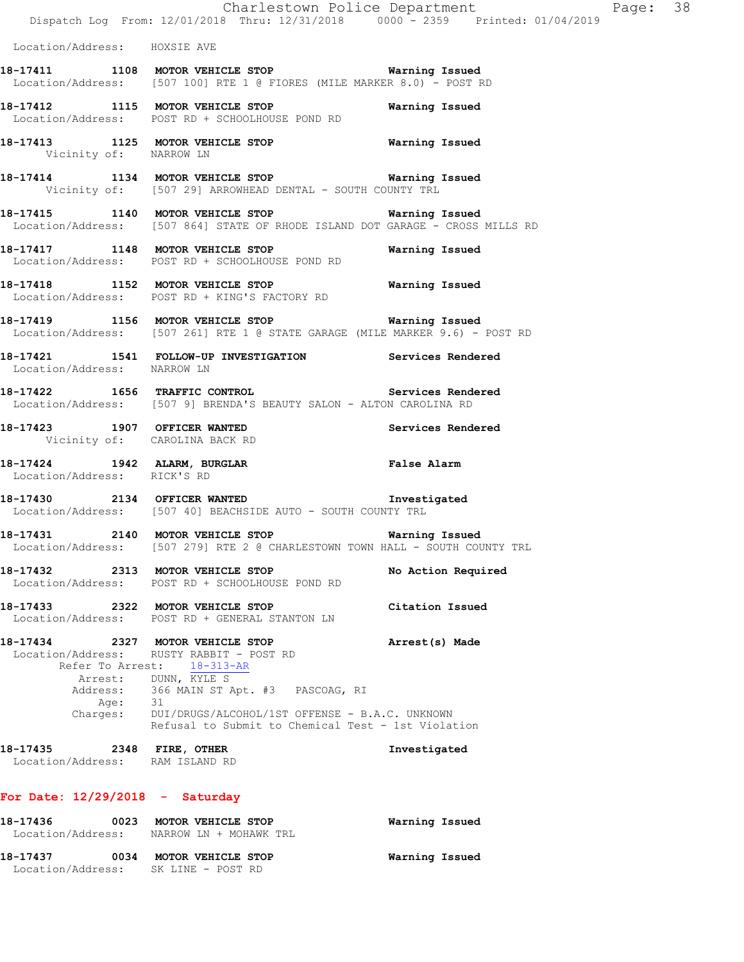|                                                              | Dispatch Log From: 12/01/2018 Thru: 12/31/2018 0000 <sup>-</sup> 2359 Printed: 01/04/2019                                          | Charlestown Police Department | Page: 38 |  |
|--------------------------------------------------------------|------------------------------------------------------------------------------------------------------------------------------------|-------------------------------|----------|--|
| Location/Address: HOXSIE AVE                                 |                                                                                                                                    |                               |          |  |
|                                                              | 18-17411 1108 MOTOR VEHICLE STOP 6 Warning Issued<br>Location/Address: [507 100] RTE 1 @ FIORES (MILE MARKER 8.0) - POST RD        |                               |          |  |
|                                                              | 18-17412 1115 MOTOR VEHICLE STOP<br>Location/Address: POST RD + SCHOOLHOUSE POND RD                                                | Warning Issued                |          |  |
| Vicinity of: NARROW LN                                       | 18-17413 1125 MOTOR VEHICLE STOP 6 Warning Issued                                                                                  |                               |          |  |
|                                                              | 18-17414 1134 MOTOR VEHICLE STOP 6 Warning Issued<br>Vicinity of: [507 29] ARROWHEAD DENTAL - SOUTH COUNTY TRL                     |                               |          |  |
|                                                              | 18-17415 1140 MOTOR VEHICLE STOP 6 Warning Issued<br>Location/Address: [507 864] STATE OF RHODE ISLAND DOT GARAGE - CROSS MILLS RD |                               |          |  |
|                                                              | 18-17417 1148 MOTOR VEHICLE STOP<br>Location/Address: POST RD + SCHOOLHOUSE POND RD                                                | Warning Issued                |          |  |
|                                                              | 18-17418 1152 MOTOR VEHICLE STOP 6 Warning Issued<br>Location/Address: POST RD + KING'S FACTORY RD                                 |                               |          |  |
|                                                              | 18-17419 1156 MOTOR VEHICLE STOP Warning Issued<br>Location/Address: [507 261] RTE 1 @ STATE GARAGE (MILE MARKER 9.6) - POST RD    |                               |          |  |
| Location/Address: NARROW LN                                  | 18-17421 1541 FOLLOW-UP INVESTIGATION Services Rendered                                                                            |                               |          |  |
|                                                              | 18-17422 1656 TRAFFIC CONTROL 2008 Services Rendered<br>Location/Address: [507 9] BRENDA'S BEAUTY SALON - ALTON CAROLINA RD        |                               |          |  |
| Vicinity of: CAROLINA BACK RD                                | 18-17423 1907 OFFICER WANTED                                                                                                       | Services Rendered             |          |  |
| Location/Address: RICK'S RD                                  | 18-17424 1942 ALARM, BURGLAR 18-17424 False Alarm                                                                                  |                               |          |  |
|                                                              | 18-17430 2134 OFFICER WANTED 18-17430<br>Location/Address: [507 40] BEACHSIDE AUTO - SOUTH COUNTY TRL                              |                               |          |  |
| 18-17431 2140 MOTOR VEHICLE STOP                             | Location/Address: [507 279] RTE 2 @ CHARLESTOWN TOWN HALL - SOUTH COUNTY TRL                                                       | Warning Issued                |          |  |
| 18-17432                                                     | 2313 MOTOR VEHICLE STOP<br>Location/Address: POST RD + SCHOOLHOUSE POND RD                                                         | No Action Required            |          |  |
| 18-17433 2322 MOTOR VEHICLE STOP                             | Location/Address: POST RD + GENERAL STANTON LN                                                                                     | Citation Issued               |          |  |
| 18-17434 2327 MOTOR VEHICLE STOP                             | Location/Address: RUSTY RABBIT - POST RD<br>Refer To Arrest: 18-313-AR                                                             | Arrest(s) Made                |          |  |
| Age: 31                                                      | Arrest: DUNN, KYLE S<br>Address: 366 MAIN ST Apt. #3 PASCOAG, RI                                                                   |                               |          |  |
|                                                              | Charges: DUI/DRUGS/ALCOHOL/1ST OFFENSE - B.A.C. UNKNOWN<br>Refusal to Submit to Chemical Test - 1st Violation                      |                               |          |  |
| 18-17435 2348 FIRE, OTHER<br>Location/Address: RAM ISLAND RD |                                                                                                                                    | Investigated                  |          |  |
| For Date: $12/29/2018$ - Saturday                            |                                                                                                                                    |                               |          |  |
| 18-17436                                                     | 0023 MOTOR VEHICLE STOP<br>Location/Address: NARROW LN + MOHAWK TRL                                                                | Warning Issued                |          |  |

**18-17437 0034 MOTOR VEHICLE STOP Warning Issued**  Location/Address: SK LINE - POST RD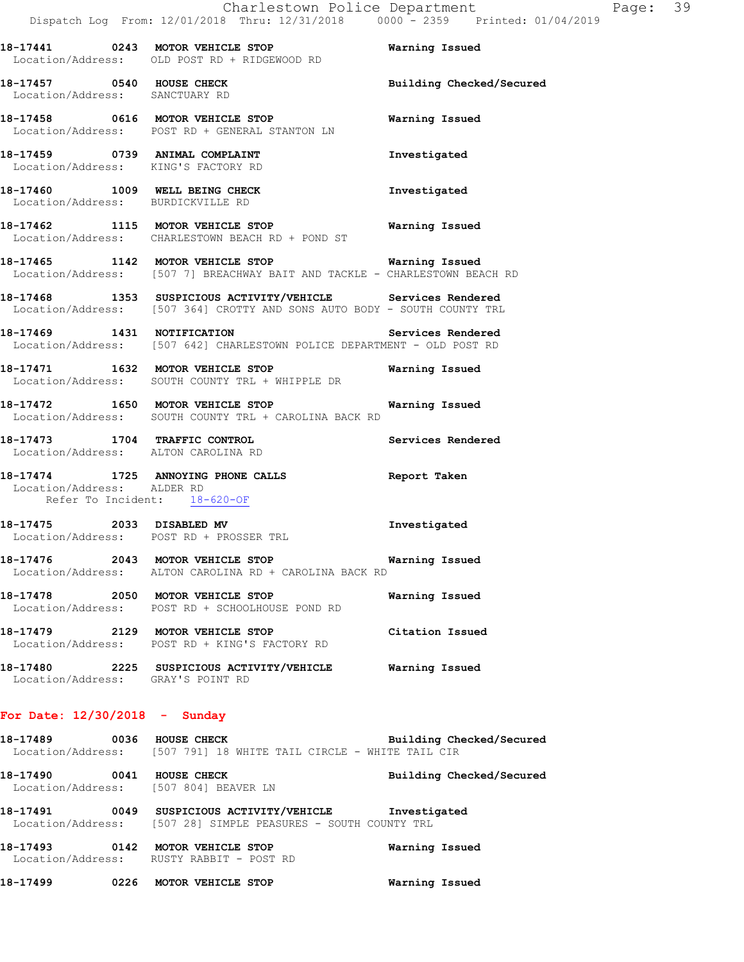|                                                                                |  | Charlestown Police Department |  |  | Page: 39 |  |
|--------------------------------------------------------------------------------|--|-------------------------------|--|--|----------|--|
| Dispatch Log From: 12/01/2018 Thru: 12/31/2018 0000 - 2359 Printed: 01/04/2019 |  |                               |  |  |          |  |

|                                                            | Charlestown Police Department<br>Dispatch Log From: 12/01/2018 Thru: 12/31/2018  0000 - 2359  Printed: 01/                              |                 |
|------------------------------------------------------------|-----------------------------------------------------------------------------------------------------------------------------------------|-----------------|
|                                                            | 18-17441 0243 MOTOR VEHICLE STOP<br>Location/Address: OLD POST RD + RIDGEWOOD RD                                                        | Warning Issued  |
| Location/Address: SANCTUARY RD                             | 18-17457 0540 HOUSE CHECK Building Checked/Secured                                                                                      |                 |
|                                                            | 18-17458 0616 MOTOR VEHICLE STOP Warning Issued<br>Location/Address: POST RD + GENERAL STANTON LN                                       |                 |
| Location/Address: KING'S FACTORY RD                        | 18-17459 0739 ANIMAL COMPLAINT                                                                                                          | Investigated    |
| Location/Address: BURDICKVILLE RD                          | 18-17460 1009 WELL BEING CHECK                                                                                                          | Investigated    |
|                                                            | 18-17462 1115 MOTOR VEHICLE STOP Warning Issued<br>Location/Address: CHARLESTOWN BEACH RD + POND ST                                     |                 |
|                                                            | 18-17465 1142 MOTOR VEHICLE STOP Warning Issued<br>Location/Address: [507 7] BREACHWAY BAIT AND TACKLE - CHARLESTOWN BEACH RD           |                 |
|                                                            | 18-17468 1353 SUSPICIOUS ACTIVITY/VEHICLE Services Rendered<br>Location/Address: [507 364] CROTTY AND SONS AUTO BODY - SOUTH COUNTY TRL |                 |
|                                                            | 18-17469   1431   NOTIFICATION   Services Rendered<br>Location/Address: [507 642] CHARLESTOWN POLICE DEPARTMENT - OLD POST RD           |                 |
|                                                            | 18-17471 1632 MOTOR VEHICLE STOP Warning Issued<br>Location/Address: SOUTH COUNTY TRL + WHIPPLE DR                                      |                 |
|                                                            | 18-17472 1650 MOTOR VEHICLE STOP <b>Warning Issued</b><br>Location/Address: SOUTH COUNTY TRL + CAROLINA BACK RD                         |                 |
|                                                            | 18-17473 1704 TRAFFIC CONTROL 18-17473<br>Location/Address: ALTON CAROLINA RD                                                           |                 |
| Location/Address: ALDER RD<br>Refer To Incident: 18-620-OF | 18-17474 1725 ANNOYING PHONE CALLS <b>Report Taken</b>                                                                                  |                 |
| 18-17475 2033 DISABLED MV                                  | Location/Address: POST RD + PROSSER TRL                                                                                                 | Investigated    |
| 18-17476                                                   | 2043 MOTOR VEHICLE STOP<br>Location/Address: ALTON CAROLINA RD + CAROLINA BACK RD                                                       | Warning Issued  |
| 18-17478 2050 MOTOR VEHICLE STOP                           | Location/Address: POST RD + SCHOOLHOUSE POND RD                                                                                         | Warning Issued  |
| 18-17479 2129 MOTOR VEHICLE STOP                           | Location/Address: POST RD + KING'S FACTORY RD                                                                                           | Citation Issued |
| Location/Address: GRAY'S POINT RD                          | 18-17480 2225 SUSPICIOUS ACTIVITY/VEHICLE                                                                                               | Warning Issued  |
| For Date: $12/30/2018$ - Sunday                            |                                                                                                                                         |                 |

- **18-17489 0036 HOUSE CHECK Building Checked/Secured**  Location/Address: [507 791] 18 WHITE TAIL CIRCLE - WHITE TAIL CIR
- **18-17490 0041 HOUSE CHECK Building Checked/Secured**  Location/Address: [507 804] BEAVER LN
- **18-17491 0049 SUSPICIOUS ACTIVITY/VEHICLE Investigated**  Location/Address: [507 28] SIMPLE PEASURES - SOUTH COUNTY TRL
- **18-17493 0142 MOTOR VEHICLE STOP Warning Issued**  Location/Address: RUSTY RABBIT - POST RD
- **18-17499 0226 MOTOR VEHICLE STOP Warning Issued**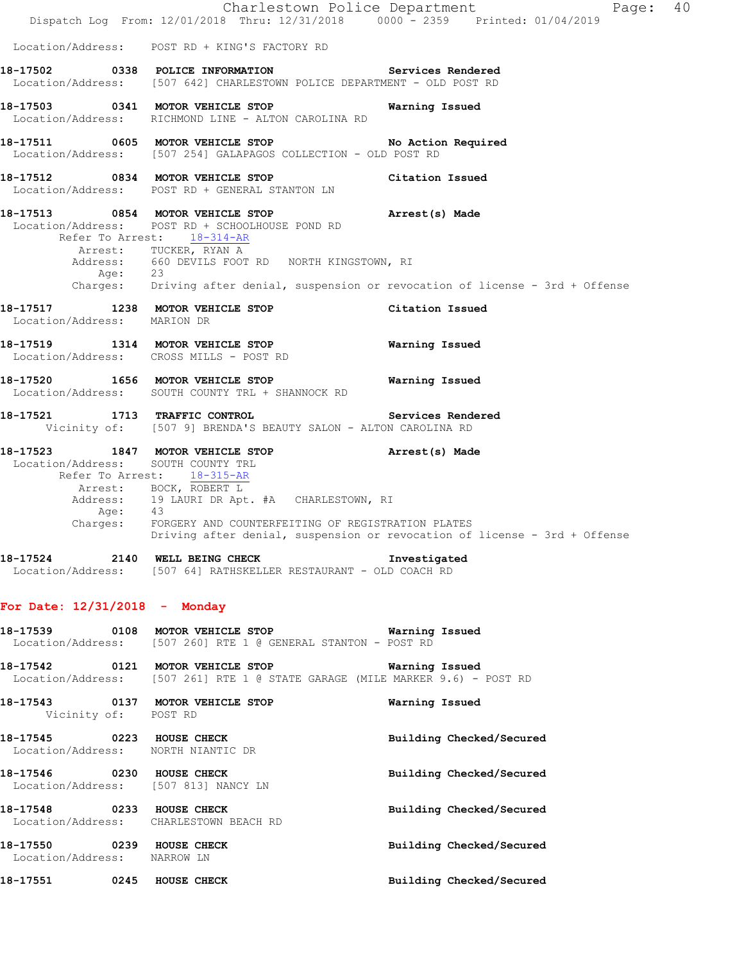|                             |                                                                                                                                                                                                                                                         | Charlestown Police Department<br>Page: 40                                                   |  |
|-----------------------------|---------------------------------------------------------------------------------------------------------------------------------------------------------------------------------------------------------------------------------------------------------|---------------------------------------------------------------------------------------------|--|
|                             | Dispatch Log From: 12/01/2018 Thru: 12/31/2018 0000 - 2359 Printed: 01/04/2019                                                                                                                                                                          |                                                                                             |  |
|                             | Location/Address: POST RD + KING'S FACTORY RD                                                                                                                                                                                                           |                                                                                             |  |
|                             | 18-17502 0338 POLICE INFORMATION Services Rendered<br>Location/Address: [507 642] CHARLESTOWN POLICE DEPARTMENT - OLD POST RD                                                                                                                           |                                                                                             |  |
|                             | 18-17503 0341 MOTOR VEHICLE STOP<br>Location/Address: RICHMOND LINE - ALTON CAROLINA RD                                                                                                                                                                 | Warning Issued                                                                              |  |
|                             | 18-17511 0605 MOTOR VEHICLE STOP<br>Location/Address: [507 254] GALAPAGOS COLLECTION - OLD POST RD                                                                                                                                                      | No Action Required                                                                          |  |
|                             | 18-17512 0834 MOTOR VEHICLE STOP Citation Issued<br>Location/Address: POST RD + GENERAL STANTON LN                                                                                                                                                      |                                                                                             |  |
|                             | 18-17513 0854 MOTOR VEHICLE STOP<br>Location/Address: POST RD + SCHOOLHOUSE POND RD<br>Refer To Arrest: 18-314-AR                                                                                                                                       | Arrest(s) Made                                                                              |  |
| Age: 23                     | Arrest: TUCKER, RYAN A<br>Address: 660 DEVILS FOOT RD NORTH KINGSTOWN, RI                                                                                                                                                                               |                                                                                             |  |
|                             |                                                                                                                                                                                                                                                         | Charges: Driving after denial, suspension or revocation of license - 3rd + Offense          |  |
| Location/Address: MARION DR | 18-17517 1238 MOTOR VEHICLE STOP                                                                                                                                                                                                                        | Citation Issued                                                                             |  |
|                             | 18-17519 1314 MOTOR VEHICLE STOP<br>Location/Address: CROSS MILLS - POST RD                                                                                                                                                                             | Warning Issued                                                                              |  |
|                             | 18-17520 1656 MOTOR VEHICLE STOP<br>Location/Address: SOUTH COUNTY TRL + SHANNOCK RD                                                                                                                                                                    | Warning Issued                                                                              |  |
|                             | 18-17521 1713 TRAFFIC CONTROL<br>Vicinity of: [507 9] BRENDA'S BEAUTY SALON - ALTON CAROLINA RD                                                                                                                                                         | Services Rendered                                                                           |  |
|                             | 18-17523 1847 MOTOR VEHICLE STOP<br>Location/Address: SOUTH COUNTY TRL<br>Refer To Arrest: 18-315-AR<br>Arrest: BOCK, ROBERT L<br>Address: 19 LAURI DR Apt. #A CHARLESTOWN, RI<br>Age: 43<br>Charges: FORGERY AND COUNTERFEITING OF REGISTRATION PLATES | Arrest(s) Made<br>Driving after denial, suspension or revocation of license - 3rd + Offense |  |
|                             | 18-17524 2140 WELL BEING CHECK 1 Investigated<br>Location/Address: [507 64] RATHSKELLER RESTAURANT - OLD COACH RD                                                                                                                                       |                                                                                             |  |
|                             | For Date: $12/31/2018$ - Monday                                                                                                                                                                                                                         |                                                                                             |  |
|                             | 18-17539 0108 MOTOR VEHICLE STOP 6 Warning Issued<br>Location/Address: [507 260] RTE 1 @ GENERAL STANTON - POST RD                                                                                                                                      |                                                                                             |  |
|                             | 18-17542 0121 MOTOR VEHICLE STOP <b>WATER</b> Warning Issued<br>Location/Address: [507 261] RTE 1 @ STATE GARAGE (MILE MARKER 9.6) - POST RD                                                                                                            |                                                                                             |  |
| Vicinity of: POST RD        | 18-17543 0137 MOTOR VEHICLE STOP                                                                                                                                                                                                                        | Warning Issued                                                                              |  |
|                             | 18-17545 0223 HOUSE CHECK<br>Location/Address: NORTH NIANTIC DR                                                                                                                                                                                         | Building Checked/Secured                                                                    |  |
|                             | 18-17546 0230 HOUSE CHECK<br>Location/Address: [507 813] NANCY LN                                                                                                                                                                                       | Building Checked/Secured                                                                    |  |
|                             | 18-17548 0233 HOUSE CHECK<br>Location/Address: CHARLESTOWN BEACH RD                                                                                                                                                                                     | Building Checked/Secured                                                                    |  |
| Location/Address: NARROW LN | 18-17550 0239 HOUSE CHECK                                                                                                                                                                                                                               | Building Checked/Secured                                                                    |  |
|                             | 18-17551 0245 HOUSE CHECK                                                                                                                                                                                                                               | Building Checked/Secured                                                                    |  |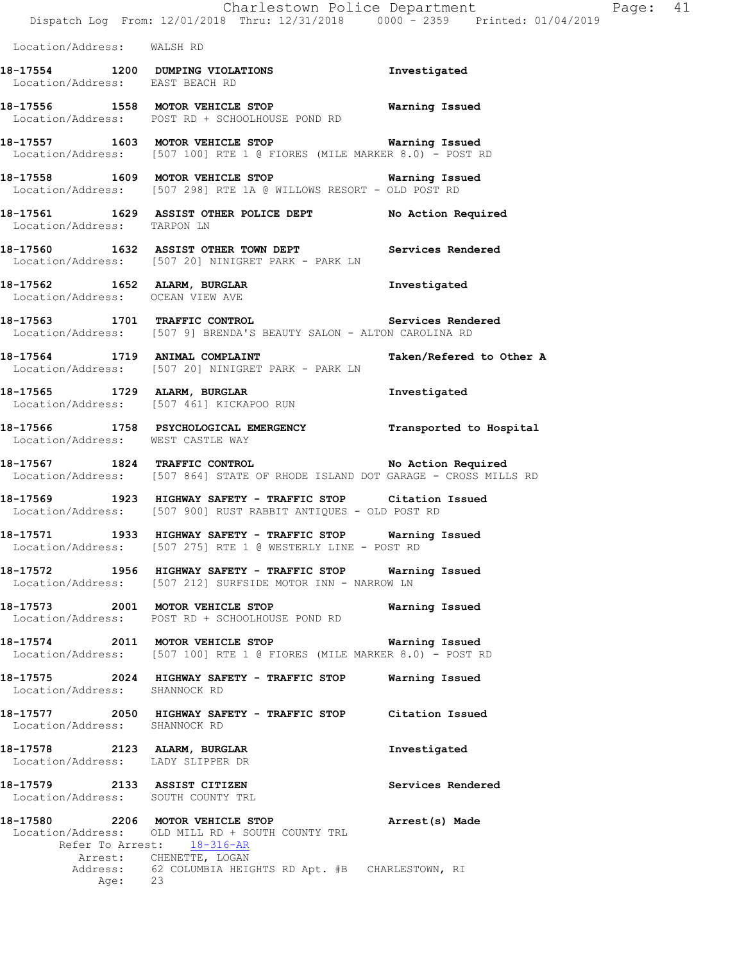|                                                                   | Dispatch Log From: 12/01/2018 Thru: 12/31/2018 0000 <sup>-</sup> 2359 Printed: 01/04/2019                                                                                                                | Charlestown Police Department | Page: 41 |  |
|-------------------------------------------------------------------|----------------------------------------------------------------------------------------------------------------------------------------------------------------------------------------------------------|-------------------------------|----------|--|
| Location/Address: WALSH RD                                        |                                                                                                                                                                                                          |                               |          |  |
| Location/Address: EAST BEACH RD                                   | 18-17554 1200 DUMPING VIOLATIONS                                                                                                                                                                         | Investigated                  |          |  |
|                                                                   | 18-17556 1558 MOTOR VEHICLE STOP <b>WATILE RESEASE A</b> Marning Issued<br>Location/Address: POST RD + SCHOOLHOUSE POND RD                                                                               |                               |          |  |
|                                                                   | 18-17557 1603 MOTOR VEHICLE STOP 18 Warning Issued<br>Location/Address: [507 100] RTE 1 @ FIORES (MILE MARKER 8.0) - POST RD                                                                             |                               |          |  |
|                                                                   | 18-17558 1609 MOTOR VEHICLE STOP 18 Warning Issued<br>Location/Address: [507 298] RTE 1A @ WILLOWS RESORT - OLD POST RD                                                                                  |                               |          |  |
| Location/Address: TARPON LN                                       | 18-17561 1629 ASSIST OTHER POLICE DEPT No Action Required                                                                                                                                                |                               |          |  |
|                                                                   | 18-17560 1632 ASSIST OTHER TOWN DEPT<br>Location/Address: [507 20] NINIGRET PARK - PARK LN                                                                                                               | Services Rendered             |          |  |
| 18-17562 1652 ALARM, BURGLAR<br>Location/Address: OCEAN VIEW AVE  |                                                                                                                                                                                                          | Investigated                  |          |  |
|                                                                   | 18-17563 1701 TRAFFIC CONTROL 18 Services Rendered<br>Location/Address: [507 9] BRENDA'S BEAUTY SALON - ALTON CAROLINA RD                                                                                |                               |          |  |
|                                                                   | 18-17564 1719 ANIMAL COMPLAINT<br>Location/Address: [507 20] NINIGRET PARK - PARK LN                                                                                                                     | Taken/Refered to Other A      |          |  |
|                                                                   | 18-17565 1729 ALARM, BURGLAR<br>Location/Address: [507 461] KICKAPOO RUN                                                                                                                                 | Investigated                  |          |  |
| Location/Address: WEST CASTLE WAY                                 | 18-17566 1758 PSYCHOLOGICAL EMERGENCY Transported to Hospital                                                                                                                                            |                               |          |  |
|                                                                   | 18-17567 1824 TRAFFIC CONTROL No Action Required<br>Location/Address: [507 864] STATE OF RHODE ISLAND DOT GARAGE - CROSS MILLS RD                                                                        |                               |          |  |
|                                                                   | 18-17569 1923 HIGHWAY SAFETY - TRAFFIC STOP Citation Issued<br>Location/Address: [507 900] RUST RABBIT ANTIQUES - OLD POST RD                                                                            |                               |          |  |
| 18-17571                                                          | 1933 HIGHWAY SAFETY - TRAFFIC STOP Warning Issued<br>Location/Address: [507 275] RTE 1 @ WESTERLY LINE - POST RD                                                                                         |                               |          |  |
|                                                                   | 18-17572   1956 HIGHWAY SAFETY - TRAFFIC STOP       Warning Issued<br>Location/Address: [507 212] SURFSIDE MOTOR INN - NARROW LN                                                                         |                               |          |  |
|                                                                   | 18-17573 2001 MOTOR VEHICLE STOP<br>Location/Address: POST RD + SCHOOLHOUSE POND RD                                                                                                                      | Warning Issued                |          |  |
|                                                                   | 18-17574 2011 MOTOR VEHICLE STOP 6 Warning Issued<br>Location/Address: [507 100] RTE 1 @ FIORES (MILE MARKER 8.0) - POST RD                                                                              |                               |          |  |
| Location/Address: SHANNOCK RD                                     | 18-17575 2024 HIGHWAY SAFETY - TRAFFIC STOP Warning Issued                                                                                                                                               |                               |          |  |
| Location/Address: SHANNOCK RD                                     | 18-17577 2050 HIGHWAY SAFETY - TRAFFIC STOP Citation Issued                                                                                                                                              |                               |          |  |
| 18-17578 2123 ALARM, BURGLAR<br>Location/Address: LADY SLIPPER DR |                                                                                                                                                                                                          | Investigated                  |          |  |
| Location/Address: SOUTH COUNTY TRL                                | 18-17579 2133 ASSIST CITIZEN                                                                                                                                                                             | Services Rendered             |          |  |
| Age: 23                                                           | 18-17580 2206 MOTOR VEHICLE STOP<br>Location/Address: OLD MILL RD + SOUTH COUNTY TRL<br>Refer To Arrest: 18-316-AR<br>Arrest: CHENETTE, LOGAN<br>Address: 62 COLUMBIA HEIGHTS RD Apt. #B CHARLESTOWN, RI | Arrest(s) Made                |          |  |
|                                                                   |                                                                                                                                                                                                          |                               |          |  |